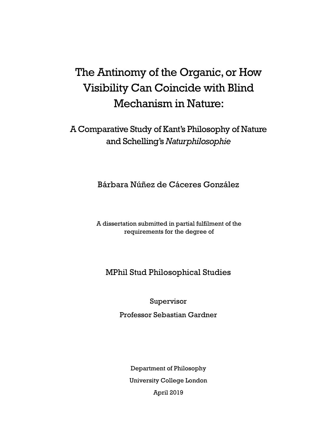# The Antinomy of the Organic, or How Visibility Can Coincide with Blind Mechanism in Nature:

# A Comparative Study of Kant's Philosophy of Nature and Schelling's *Naturphilosophie*

Bárbara Núñez de Cáceres González

A dissertation submitted in partial fulfilment of the requirements for the degree of

# MPhil Stud Philosophical Studies

Supervisor

Professor Sebastian Gardner

Department of Philosophy University College London April 2019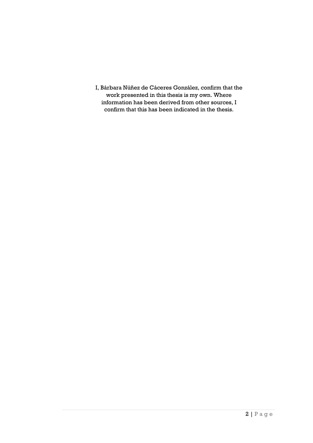I, Bárbara Núñez de Cáceres González, confirm that the work presented in this thesis is my own. Where information has been derived from other sources, I confirm that this has been indicated in the thesis.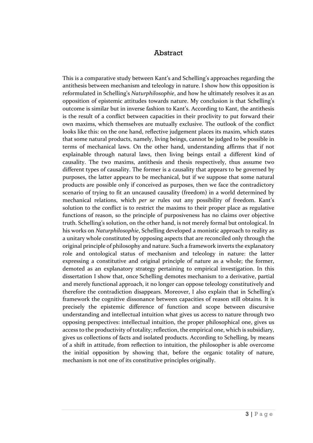#### Abstract

This is a comparative study between Kant's and Schelling's approaches regarding the antithesis between mechanism and teleology in nature. I show how this opposition is reformulated in Schelling's *Naturphilosophie*, and how he ultimately resolves it as an opposition of epistemic attitudes towards nature. My conclusion is that Schelling's outcome is similar but in inverse fashion to Kant's. According to Kant, the antithesis is the result of a conflict between capacities in their proclivity to put forward their own maxims, which themselves are mutually exclusive. The outlook of the conflict looks like this: on the one hand, reflective judgement places its maxim, which states that some natural products, namely, living beings, cannot be judged to be possible in terms of mechanical laws. On the other hand, understanding affirms that if not explainable through natural laws, then living beings entail a different kind of causality. The two maxims, antithesis and thesis respectively, thus assume two different types of causality. The former is a causality that appears to be governed by purposes, the latter appears to be mechanical, but if we suppose that some natural products are possible only if conceived as purposes, then we face the contradictory scenario of trying to fit an uncaused causality (freedom) in a world determined by mechanical relations, which *per se* rules out any possibility of freedom. Kant's solution to the conflict is to restrict the maxims to their proper place as regulative functions of reason, so the principle of purposiveness has no claims over objective truth. Schelling's solution, on the other hand, is not merely formal but ontological. In his works on *Naturphilosophie*, Schelling developed a monistic approach to reality as a unitary whole constituted by opposing aspects that are reconciled only through the original principle of philosophy and nature. Such a framework inverts the explanatory role and ontological status of mechanism and teleology in nature: the latter expressing a constitutive and original principle of nature as a whole; the former, demoted as an explanatory strategy pertaining to empirical investigation. In this dissertation I show that, once Schelling demotes mechanism to a derivative, partial and merely functional approach, it no longer can oppose teleology constitutively and therefore the contradiction disappears. Moreover, I also explain that in Schelling's framework the cognitive dissonance between capacities of reason still obtains. It is precisely the epistemic difference of function and scope between discursive understanding and intellectual intuition what gives us access to nature through two opposing perspectives: intellectual intuition, the proper philosophical one, gives us access to the productivity of totality; reflection, the empirical one, which is subsidiary, gives us collections of facts and isolated products. According to Schelling, by means of a shift in attitude, from reflection to intuition, the philosopher is able overcome the initial opposition by showing that, before the organic totality of nature, mechanism is not one of its constitutive principles originally.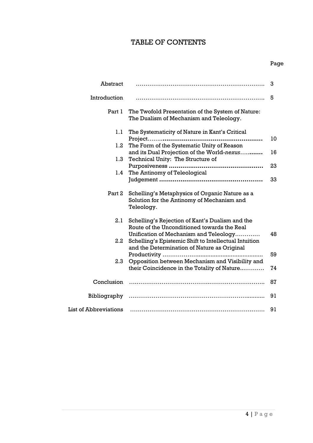# TABLE OF CONTENTS

| Abstract                     |                                                                                                                                                | 3  |
|------------------------------|------------------------------------------------------------------------------------------------------------------------------------------------|----|
| Introduction                 |                                                                                                                                                | 5  |
| Part 1                       | The Twofold Presentation of the System of Nature:<br>The Dualism of Mechanism and Teleology.                                                   |    |
| 1.1                          | The Systematicity of Nature in Kant's Critical                                                                                                 | 10 |
| $1.2\,$                      | The Form of the Systematic Unity of Reason                                                                                                     |    |
| 1.3                          | and its Dual Projection of the World-nexus<br>Technical Unity: The Structure of                                                                | 16 |
| 1.4                          | The Antinomy of Teleological                                                                                                                   | 23 |
|                              |                                                                                                                                                | 33 |
| Part 2                       | Schelling's Metaphysics of Organic Nature as a<br>Solution for the Antinomy of Mechanism and<br>Teleology.                                     |    |
| 2.1                          | Schelling's Rejection of Kant's Dualism and the<br>Route of the Unconditioned towards the Real                                                 |    |
| $2.2\,$                      | Unification of Mechanism and Teleology<br>Schelling's Epistemic Shift to Intellectual Intuition<br>and the Determination of Nature as Original | 48 |
| 2.3                          | Opposition between Mechanism and Visibility and                                                                                                | 59 |
|                              | their Coincidence in the Totality of Nature                                                                                                    | 74 |
| Conclusion                   |                                                                                                                                                | 87 |
|                              |                                                                                                                                                | 91 |
| <b>List of Abbreviations</b> |                                                                                                                                                | 91 |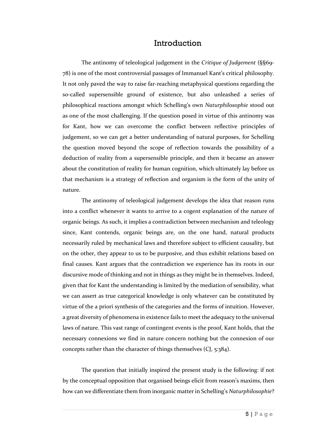### Introduction

The antinomy of teleological judgement in the *Critique of Judgement* (§§69- 78) is one of the most controversial passages of Immanuel Kant's critical philosophy. It not only paved the way to raise far-reaching metaphysical questions regarding the so-called supersensible ground of existence, but also unleashed a series of philosophical reactions amongst which Schelling's own *Naturphilosophie* stood out as one of the most challenging. If the question posed in virtue of this antinomy was for Kant, how we can overcome the conflict between reflective principles of judgement, so we can get a better understanding of natural purposes, for Schelling the question moved beyond the scope of reflection towards the possibility of a deduction of reality from a supersensible principle, and then it became an answer about the constitution of reality for human cognition, which ultimately lay before us that mechanism is a strategy of reflection and organism is the form of the unity of nature.

The antinomy of teleological judgement develops the idea that reason runs into a conflict whenever it wants to arrive to a cogent explanation of the nature of organic beings. As such, it implies a contradiction between mechanism and teleology since, Kant contends, organic beings are, on the one hand, natural products necessarily ruled by mechanical laws and therefore subject to efficient causality, but on the other, they appear to us to be purposive, and thus exhibit relations based on final causes. Kant argues that the contradiction we experience has its roots in our discursive mode of thinking and not in things as they might be in themselves. Indeed, given that for Kant the understanding is limited by the mediation of sensibility, what we can assert as true categorical knowledge is only whatever can be constituted by virtue of the a priori synthesis of the categories and the forms of intuition. However, a great diversity of phenomena in existence fails to meet the adequacy to the universal laws of nature. This vast range of contingent events is the proof, Kant holds, that the necessary connexions we find in nature concern nothing but the connexion of our concepts rather than the character of things themselves (CJ, 5:384).

The question that initially inspired the present study is the following: if not by the conceptual opposition that organised beings elicit from reason's maxims, then how can we differentiate them from inorganic matter in Schelling's *Naturphilosophie*?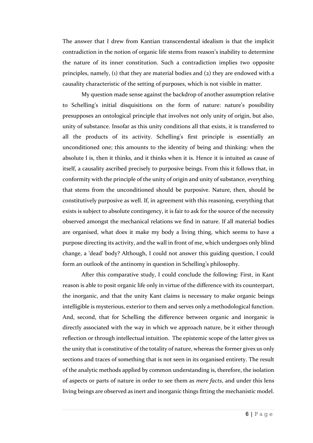The answer that I drew from Kantian transcendental idealism is that the implicit contradiction in the notion of organic life stems from reason's inability to determine the nature of its inner constitution. Such a contradiction implies two opposite principles, namely, (1) that they are material bodies and (2) they are endowed with a causality characteristic of the setting of purposes, which is not visible in matter.

My question made sense against the backdrop of another assumption relative to Schelling's initial disquisitions on the form of nature: nature's possibility presupposes an ontological principle that involves not only unity of origin, but also, unity of substance. Insofar as this unity conditions all that exists, it is transferred to all the products of its activity. Schelling's first principle is essentially an unconditioned one; this amounts to the identity of being and thinking: when the absolute I is, then it thinks, and it thinks when it is. Hence it is intuited as cause of itself, a causality ascribed precisely to purposive beings. From this it follows that, in conformity with the principle of the unity of origin and unity of substance, everything that stems from the unconditioned should be purposive. Nature, then, should be constitutively purposive as well. If, in agreement with this reasoning, everything that exists is subject to absolute contingency, it is fair to ask for the source of the necessity observed amongst the mechanical relations we find in nature. If all material bodies are organised, what does it make my body a living thing, which seems to have a purpose directing its activity, and the wall in front of me, which undergoes only blind change, a 'dead' body? Although, I could not answer this guiding question, I could form an outlook of the antinomy in question in Schelling's philosophy.

After this comparative study, I could conclude the following: First, in Kant reason is able to posit organic life only in virtue of the difference with its counterpart, the inorganic, and that the unity Kant claims is necessary to make organic beings intelligible is mysterious, exterior to them and serves only a methodological function. And, second, that for Schelling the difference between organic and inorganic is directly associated with the way in which we approach nature, be it either through reflection or through intellectual intuition. The epistemic scope of the latter gives us the unity that is constitutive of the totality of nature, whereas the former gives us only sections and traces of something that is not seen in its organised entirety. The result of the analytic methods applied by common understanding is, therefore, the isolation of aspects or parts of nature in order to see them as *mere facts*, and under this lens living beings are observed as inert and inorganic things fitting the mechanistic model.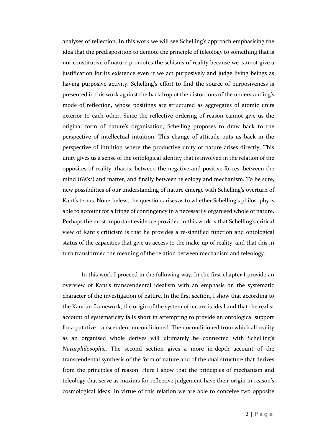analyses of reflection. In this work we will see Schelling's approach emphasising the idea that the predisposition to demote the principle of teleology to something that is not constitutive of nature promotes the schisms of reality because we cannot give a justification for its existence even if we act purposively and judge living beings as having purposive activity. Schelling's effort to find the source of purposiveness is presented in this work against the backdrop of the distortions of the understanding's mode of reflection, whose positings are structured as aggregates of atomic units exterior to each other. Since the reflective ordering of reason cannot give us the original form of nature's organisation, Schelling proposes to draw back to the perspective of intellectual intuition. This change of attitude puts us back in the perspective of intuition where the productive unity of nature arises directly. This unity gives us a sense of the ontological identity that is involved in the relation of the opposites of reality, that is, between the negative and positive forces, between the mind (*Geist*) and matter, and finally between teleology and mechanism. To be sure, new possibilities of our understanding of nature emerge with Schelling's overturn of Kant's terms. Nonetheless, the question arises as to whether Schelling's philosophy is able to account for a fringe of contingency in a necessarily organised whole of nature. Perhaps the most important evidence provided in this work is that Schelling's critical view of Kant's criticism is that he provides a re-signified function and ontological status of the capacities that give us access to the make-up of reality, and that this in turn transformed the meaning of the relation between mechanism and teleology.

In this work I proceed in the following way. In the first chapter I provide an overview of Kant's transcendental idealism with an emphasis on the systematic character of the investigation of nature. In the first section, I show that according to the Kantian framework, the origin of the system of nature is ideal and that the realist account of systematicity falls short in attempting to provide an ontological support for a putative transcendent unconditioned. The unconditioned from which all reality as an organised whole derives will ultimately be connected with Schelling's *Naturphilosophie*. The second section gives a more in-depth account of the transcendental synthesis of the form of nature and of the dual structure that derives from the principles of reason. Here I show that the principles of mechanism and teleology that serve as maxims for reflective judgement have their origin in reason's cosmological ideas. In virtue of this relation we are able to conceive two opposite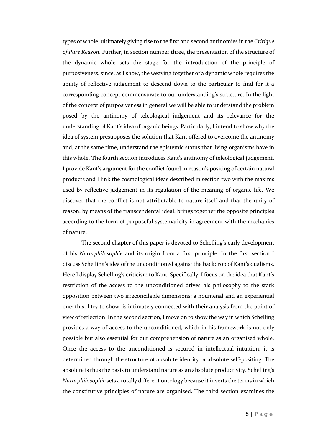types of whole, ultimately giving rise to the first and second antinomies in the *Critique of Pure Reason*. Further, in section number three, the presentation of the structure of the dynamic whole sets the stage for the introduction of the principle of purposiveness, since, as I show, the weaving together of a dynamic whole requires the ability of reflective judgement to descend down to the particular to find for it a corresponding concept commensurate to our understanding's structure. In the light of the concept of purposiveness in general we will be able to understand the problem posed by the antinomy of teleological judgement and its relevance for the understanding of Kant's idea of organic beings. Particularly, I intend to show why the idea of system presupposes the solution that Kant offered to overcome the antinomy and, at the same time, understand the epistemic status that living organisms have in this whole. The fourth section introduces Kant's antinomy of teleological judgement. I provide Kant's argument for the conflict found in reason's positing of certain natural products and I link the cosmological ideas described in section two with the maxims used by reflective judgement in its regulation of the meaning of organic life. We discover that the conflict is not attributable to nature itself and that the unity of reason, by means of the transcendental ideal, brings together the opposite principles according to the form of purposeful systematicity in agreement with the mechanics of nature.

The second chapter of this paper is devoted to Schelling's early development of his *Naturphilosophie* and its origin from a first principle. In the first section I discuss Schelling's idea of the unconditioned against the backdrop of Kant's dualisms. Here I display Schelling's criticism to Kant. Specifically, I focus on the idea that Kant's restriction of the access to the unconditioned drives his philosophy to the stark opposition between two irreconcilable dimensions: a noumenal and an experiential one; this, I try to show, is intimately connected with their analysis from the point of view of reflection. In the second section, I move on to show the way in which Schelling provides a way of access to the unconditioned, which in his framework is not only possible but also essential for our comprehension of nature as an organised whole. Once the access to the unconditioned is secured in intellectual intuition, it is determined through the structure of absolute identity or absolute self-positing. The absolute is thus the basis to understand nature as an absolute productivity. Schelling's *Naturphilosophie* sets a totally different ontology because it inverts the terms in which the constitutive principles of nature are organised. The third section examines the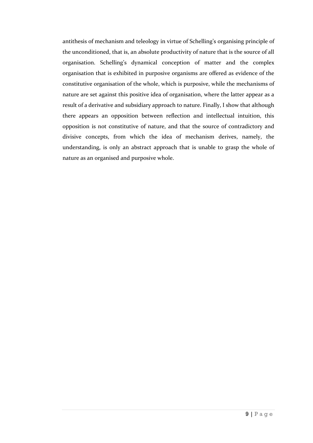antithesis of mechanism and teleology in virtue of Schelling's organising principle of the unconditioned, that is, an absolute productivity of nature that is the source of all organisation. Schelling's dynamical conception of matter and the complex organisation that is exhibited in purposive organisms are offered as evidence of the constitutive organisation of the whole, which is purposive, while the mechanisms of nature are set against this positive idea of organisation, where the latter appear as a result of a derivative and subsidiary approach to nature. Finally, I show that although there appears an opposition between reflection and intellectual intuition, this opposition is not constitutive of nature, and that the source of contradictory and divisive concepts, from which the idea of mechanism derives, namely, the understanding, is only an abstract approach that is unable to grasp the whole of nature as an organised and purposive whole.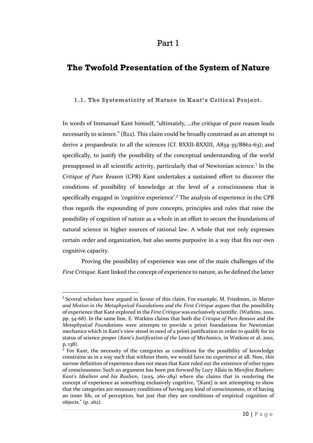#### Part 1

## **The Twofold Presentation of the System of Nature**

#### **1.1. The Systematicity of Nature in Kant's Critical Project.**

In words of Immanuel Kant himself, "ultimately, …the critique of pure reason leads necessarily to science." (B22). This claim could be broadly construed as an attempt to derive a propaedeutic to all the sciences (Cf. BXXII-BXXIII, A834-35/B862-63); and specifically, to justify the possibility of the conceptual understanding of the world presupposed in all scientific activity, particularly that of Newtonian science.<sup>1</sup> In the *Critique of Pure Reason* (CPR) Kant undertakes a sustained effort to discover the conditions of possibility of knowledge at the level of a consciousness that is specifically engaged in 'cognitive experience'.<sup>2</sup> The analysis of experience in the CPR thus regards the expounding of pure concepts, principles and rules that raise the possibility of cognition of nature as a whole in an effort to secure the foundations of natural science in higher sources of rational law. A whole that not only expresses certain order and organization, but also seems purposive in a way that fits our own cognitive capacity.

Proving the possibility of experience was one of the main challenges of the *First Critique*. Kant linked the concept of experience to nature, as he defined the latter

<sup>1</sup> Several scholars have argued in favour of this claim. For example, M. Friedman, in *Matter and Motion in the Metaphysical Foundations and the First Critique* argues that the possibility of experience that Kant explored in the *First Critique* was exclusively scientific. (Watkins, 2001, pp. 54-68). In the same line, E. Watkins claims that both the *Critique of Pure Reason* and the *Metaphysical Foundations* were attempts to provide a priori foundations for Newtonian mechanics which in Kant's view stood in need of a priori justification in order to qualify for its status of science proper (*Kant's Justification of the Laws of Mechanics*, in Watkins et al, 2001, p. 138).

 $2$  For Kant, the necessity of the categories as conditions for the possibility of knowledge constrains us in a way such that without them, we would have no *experience* at all. Now, this narrow definition of experience does not mean that Kant ruled out the existence of other types of consciousness. Such an argument has been put forward by Lucy Allais in *Manifest Realism: Kant's Idealism and his Realism*, (2015, 260-289) where she claims that in rendering the concept of experience as something exclusively cognitive, "[Kant] is not attempting to show that the categories are necessary conditions of having any kind of consciousness, or of having an inner life, or of perception, but just that they are conditions of empirical cognition of objects." (p. 262).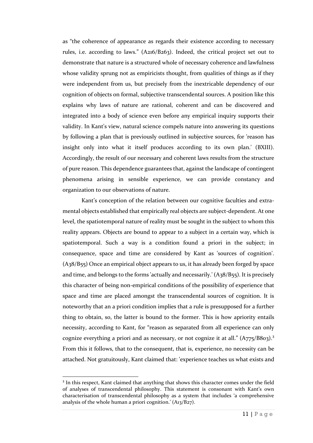as "the coherence of appearance as regards their existence according to necessary rules, i.e. according to laws." (A216/B263). Indeed, the critical project set out to demonstrate that nature is a structured whole of necessary coherence and lawfulness whose validity sprung not as empiricists thought, from qualities of things as if they were independent from us, but precisely from the inextricable dependency of our cognition of objects on formal, subjective transcendental sources. A position like this explains why laws of nature are rational, coherent and can be discovered and integrated into a body of science even before any empirical inquiry supports their validity. In Kant's view, natural science compels nature into answering its questions by following a plan that is previously outlined in subjective sources, for 'reason has insight only into what it itself produces according to its own plan.' (BXIII). Accordingly, the result of our necessary and coherent laws results from the structure of pure reason. This dependence guarantees that, against the landscape of contingent phenomena arising in sensible experience, we can provide constancy and organization to our observations of nature.

Kant's conception of the relation between our cognitive faculties and extramental objects established that empirically real objects are subject-dependent. At one level, the spatiotemporal nature of reality must be sought in the subject to whom this reality appears. Objects are bound to appear to a subject in a certain way, which is spatiotemporal. Such a way is a condition found a priori in the subject; in consequence, space and time are considered by Kant as 'sources of cognition'. (A38/B55) Once an empirical object appears to us, it has already been forged by space and time, and belongs to the forms 'actually and necessarily.'  $(A<sub>3</sub>8/B<sub>5</sub>5)$ . It is precisely this character of being non-empirical conditions of the possibility of experience that space and time are placed amongst the transcendental sources of cognition. It is noteworthy that an a priori condition implies that a rule is presupposed for a further thing to obtain, so, the latter is bound to the former. This is how apriority entails necessity, according to Kant, for "reason as separated from all experience can only cognize everything a priori and as necessary, or not cognize it at all."  $(A775/B803)$ .<sup>3</sup> From this it follows, that to the consequent, that is, experience, no necessity can be attached. Not gratuitously, Kant claimed that: 'experience teaches us what exists and

<sup>&</sup>lt;sup>3</sup> In this respect, Kant claimed that anything that shows this character comes under the field of analyses of transcendental philosophy. This statement is consonant with Kant's own characterisation of transcendental philosophy as a system that includes 'a comprehensive analysis of the whole human a priori cognition.' (A13/B27).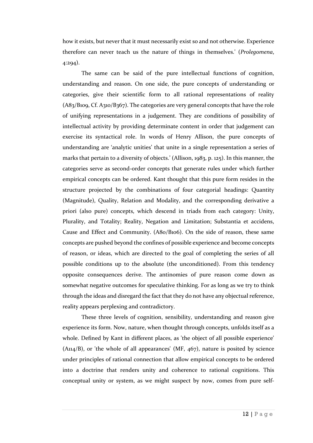how it exists, but never that it must necessarily exist so and not otherwise. Experience therefore can never teach us the nature of things in themselves.' (*Prolegomena*, 4:294).

The same can be said of the pure intellectual functions of cognition, understanding and reason. On one side, the pure concepts of understanding or categories, give their scientific form to all rational representations of reality  $(A83/B109, Cf. A310/B367)$ . The categories are very general concepts that have the role of unifying representations in a judgement. They are conditions of possibility of intellectual activity by providing determinate content in order that judgement can exercise its syntactical role. In words of Henry Allison, the pure concepts of understanding are 'analytic unities' that unite in a single representation a series of marks that pertain to a diversity of objects.' (Allison, 1983, p. 125). In this manner, the categories serve as second-order concepts that generate rules under which further empirical concepts can be ordered. Kant thought that this pure form resides in the structure projected by the combinations of four categorial headings: Quantity (Magnitude), Quality, Relation and Modality, and the corresponding derivative a priori (also pure) concepts, which descend in triads from each category: Unity, Plurality, and Totality; Reality, Negation and Limitation; Substantia et accidens, Cause and Effect and Community. (A80/B106). On the side of reason, these same concepts are pushed beyond the confines of possible experience and become concepts of reason, or ideas, which are directed to the goal of completing the series of all possible conditions up to the absolute (the unconditioned). From this tendency opposite consequences derive. The antinomies of pure reason come down as somewhat negative outcomes for speculative thinking. For as long as we try to think through the ideas and disregard the fact that they do not have any objectual reference, reality appears perplexing and contradictory.

These three levels of cognition, sensibility, understanding and reason give experience its form. Now, nature, when thought through concepts, unfolds itself as a whole. Defined by Kant in different places, as 'the object of all possible experience'  $(A_{114}/B)$ , or 'the whole of all appearances'  $(MF, 467)$ , nature is posited by science under principles of rational connection that allow empirical concepts to be ordered into a doctrine that renders unity and coherence to rational cognitions. This conceptual unity or system, as we might suspect by now, comes from pure self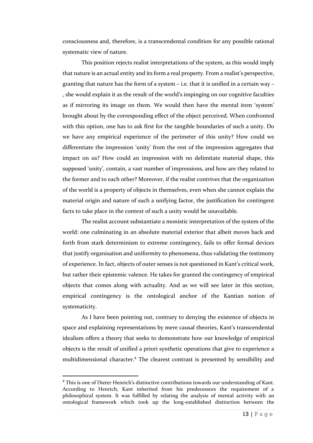consciousness and, therefore, is a transcendental condition for any possible rational systematic view of nature.

This position rejects realist interpretations of the system, as this would imply that nature is an actual entity and its form a real property. From a realist's perspective, granting that nature has the form of a system – i.e. that it is unified in a certain way – , she would explain it as the result of the world's impinging on our cognitive faculties as if mirroring its image on them. We would then have the mental item 'system' brought about by the corresponding effect of the object perceived. When confronted with this option, one has to ask first for the tangible boundaries of such a unity. Do we have any empirical experience of the perimeter of this unity? How could we differentiate the impression 'unity' from the rest of the impression aggregates that impact on us? How could an impression with no delimitate material shape, this supposed 'unity', contain, a vast number of impressions, and how are they related to the former and to each other? Moreover, if the realist contrives that the organization of the world is a property of objects in themselves, even when she cannot explain the material origin and nature of such a unifying factor, the justification for contingent facts to take place in the context of such a unity would be unavailable.

The realist account substantiate a monistic interpretation of the system of the world: one culminating in an absolute material exterior that albeit moves back and forth from stark determinism to extreme contingency, fails to offer formal devices that justify organisation and uniformity to phenomena, thus validating the testimony of experience. In fact, objects of outer senses is not questioned in Kant's critical work, but rather their epistemic valence. He takes for granted the contingency of empirical objects that comes along with actuality. And as we will see later in this section, empirical contingency is the ontological anchor of the Kantian notion of systematicity.

As I have been pointing out, contrary to denying the existence of objects in space and explaining representations by mere causal theories, Kant's transcendental idealism offers a theory that seeks to demonstrate how our knowledge of empirical objects is the result of unified a priori synthetic operations that give to experience a multidimensional character.<sup>4</sup> The clearest contrast is presented by sensibility and

<sup>&</sup>lt;sup>4</sup> This is one of Dieter Henrich's distinctive contributions towards our understanding of Kant. According to Henrich, Kant inherited from his predecessors the requirement of a philosophical system. It was fulfilled by relating the analysis of mental activity with an ontological framework which took up the long-established distinction between the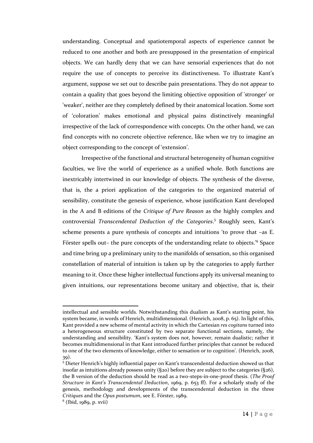understanding. Conceptual and spatiotemporal aspects of experience cannot be reduced to one another and both are presupposed in the presentation of empirical objects. We can hardly deny that we can have sensorial experiences that do not require the use of concepts to perceive its distinctiveness. To illustrate Kant's argument, suppose we set out to describe pain presentations. They do not appear to contain a quality that goes beyond the limiting objective opposition of 'stronger' or 'weaker', neither are they completely defined by their anatomical location. Some sort of 'coloration' makes emotional and physical pains distinctively meaningful irrespective of the lack of correspondence with concepts. On the other hand, we can find concepts with no concrete objective reference, like when we try to imagine an object corresponding to the concept of 'extension'.

Irrespective of the functional and structural heterogeneity of human cognitive faculties, we live the world of experience as a unified whole. Both functions are inextricably intertwined in our knowledge of objects. The synthesis of the diverse, that is, the a priori application of the categories to the organized material of sensibility, constitute the genesis of experience, whose justification Kant developed in the A and B editions of the *Critique of Pure Reason* as the highly complex and controversial *Transcendental Deduction of the Categories*. <sup>5</sup> Roughly seen, Kant's scheme presents a pure synthesis of concepts and intuitions 'to prove that –as E. Förster spells out- the pure concepts of the understanding relate to objects.<sup>16</sup> Space and time bring up a preliminary unity to the manifolds of sensation, so this organised constellation of material of intuition is taken up by the categories to apply further meaning to it. Once these higher intellectual functions apply its universal meaning to given intuitions, our representations become unitary and objective, that is, their

intellectual and sensible worlds. Notwithstanding this dualism as Kant's starting point, his system became, in words of Henrich, multidimensional. (Henrich, 2008, p. 65). In light of this, Kant provided a new scheme of mental activity in which the Cartesian *res cogitans* turned into a heterogeneous structure constituted by two separate functional sections, namely, the understanding and sensibility. 'Kant's system does not, however, remain dualistic; rather it becomes multidimensional in that Kant introduced further principles that cannot be reduced to one of the two elements of knowledge, either to sensation or to cognition'. (Henrich, 2008, 39).

<sup>5</sup> Dieter Henrich's highly influential paper on Kant's transcendental deduction showed us that insofar as intuitions already possess unity  $(§20)$  before they are subject to the categories  $(§26)$ , the B version of the deduction should be read as a two-steps-in-one-proof thesis. (*The Proof Structure in Kant's Transcendental Deduction*, 1969, p. 653 ff). For a scholarly study of the genesis, methodology and developments of the transcendental deduction in the three *Critiques* and the *Opus postumum*, see E. Förster, 1989.

<sup>6</sup> (Ibid, 1989, p. xvii)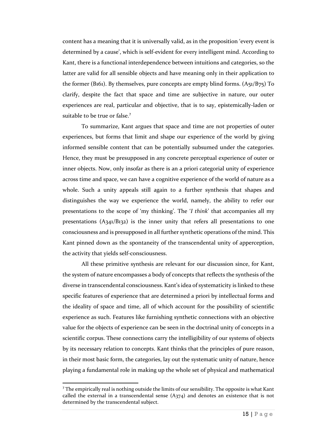content has a meaning that it is universally valid, as in the proposition 'every event is determined by a cause', which is self-evident for every intelligent mind. According to Kant, there is a functional interdependence between intuitions and categories, so the latter are valid for all sensible objects and have meaning only in their application to the former (B161). By themselves, pure concepts are empty blind forms.  $(A_{51}/B_{75})$  To clarify, despite the fact that space and time are subjective in nature, our outer experiences are real, particular and objective, that is to say, epistemically-laden or suitable to be true or false.<sup>7</sup>

To summarize, Kant argues that space and time are not properties of outer experiences, but forms that limit and shape our experience of the world by giving informed sensible content that can be potentially subsumed under the categories. Hence, they must be presupposed in any concrete perceptual experience of outer or inner objects. Now, only insofar as there is an a priori categorial unity of experience across time and space, we can have a cognitive experience of the world of nature as a whole. Such a unity appeals still again to a further synthesis that shapes and distinguishes the way we experience the world, namely, the ability to refer our presentations to the scope of 'my thinking'. The '*I think*' that accompanies all my presentations (A341/B132) is the inner unity that refers all presentations to one consciousness and is presupposed in all further synthetic operations of the mind. This Kant pinned down as the spontaneity of the transcendental unity of apperception, the activity that yields self-consciousness.

All these primitive synthesis are relevant for our discussion since, for Kant, the system of nature encompasses a body of concepts that reflects the synthesis of the diverse in transcendental consciousness. Kant's idea of systematicity is linked to these specific features of experience that are determined a priori by intellectual forms and the ideality of space and time, all of which account for the possibility of scientific experience as such. Features like furnishing synthetic connections with an objective value for the objects of experience can be seen in the doctrinal unity of concepts in a scientific corpus. These connections carry the intelligibility of our systems of objects by its necessary relation to concepts. Kant thinks that the principles of pure reason, in their most basic form, the categories, lay out the systematic unity of nature, hence playing a fundamental role in making up the whole set of physical and mathematical

 $<sup>7</sup>$  The empirically real is nothing outside the limits of our sensibility. The opposite is what Kant</sup> called the external in a transcendental sense  $(A374)$  and denotes an existence that is not determined by the transcendental subject.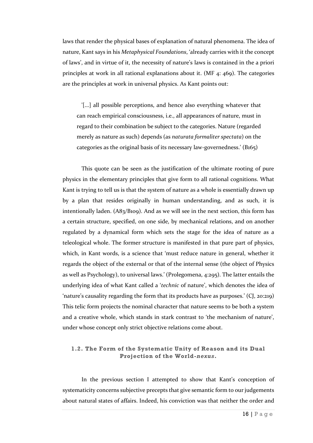laws that render the physical bases of explanation of natural phenomena. The idea of nature, Kant says in his *Metaphysical Foundations*, 'already carries with it the concept of laws', and in virtue of it, the necessity of nature's laws is contained in the a priori principles at work in all rational explanations about it. (MF 4: 469). The categories are the principles at work in universal physics. As Kant points out:

'[...] all possible perceptions, and hence also everything whatever that can reach empirical consciousness, i.e., all appearances of nature, must in regard to their combination be subject to the categories. Nature (regarded merely as nature as such) depends (as *naturata formaliter spectata*) on the categories as the original basis of its necessary law-governedness.' (B165)

This quote can be seen as the justification of the ultimate rooting of pure physics in the elementary principles that give form to all rational cognitions. What Kant is trying to tell us is that the system of nature as a whole is essentially drawn up by a plan that resides originally in human understanding, and as such, it is intentionally laden. (A83/B109). And as we will see in the next section, this form has a certain structure, specified, on one side, by mechanical relations, and on another regulated by a dynamical form which sets the stage for the idea of nature as a teleological whole. The former structure is manifested in that pure part of physics, which, in Kant words, is a science that 'must reduce nature in general, whether it regards the object of the external or that of the internal sense (the object of Physics as well as Psychology), to universal laws.' (Prolegomena, 4:295). The latter entails the underlying idea of what Kant called a '*technic* of nature', which denotes the idea of 'nature's causality regarding the form that its products have as purposes.' (CJ, 20:219) This telic form projects the nominal character that nature seems to be both a system and a creative whole, which stands in stark contrast to 'the mechanism of nature', under whose concept only strict objective relations come about.

#### **1.2. The Form of the Systematic Unity of Reason and its Dual Projection of the World-***nexus***.**

In the previous section I attempted to show that Kant's conception of systematicity concerns subjective precepts that give semantic form to our judgements about natural states of affairs. Indeed, his conviction was that neither the order and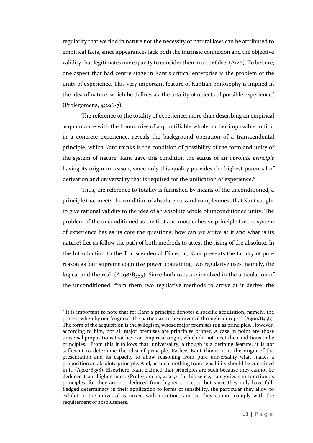regularity that we find in nature nor the necessity of natural laws can be attributed to empirical facts, since appearances lack both the intrinsic connexion and the objective validity that legitimates our capacity to consider them true or false. (A126). To be sure, one aspect that had centre stage in Kant's critical enterprise is the problem of the unity of experience. This very important feature of Kantian philosophy is implied in the idea of nature, which he defines as 'the totality of objects of possible experience.' (Prolegomena, 4:296-7).

The reference to the totality of experience, more than describing an empirical acquaintance with the boundaries of a quantifiable whole, rather impossible to find in a concrete experience, reveals the background operation of a transcendental principle, which Kant thinks is the condition of possibility of the form and unity of the system of nature. Kant gave this condition the status of an *absolute principle* having its origin in reason, since only this quality provides the highest potential of derivation and universality that is required for the unification of experience.<sup>8</sup>

Thus, the reference to totality is furnished by means of the unconditioned, a principle that meets the condition of absoluteness and completeness that Kant sought to give rational validity to the idea of an absolute whole of unconditioned unity. The problem of the unconditioned as the first and most cohesive principle for the system of experience has as its core the questions: how can we arrive at it and what is its nature? Let us follow the path of both methods to attest the rising of the absolute. In the Introduction to the Transcendental Dialectic, Kant presents the faculty of pure reason as 'our supreme cognitive power' containing two regulative uses, namely, the logical and the real. (A298/B355). Since both uses are involved in the articulation of the unconditioned, from them two regulative methods to arrive at it derive: the

<sup>8</sup> It is important to note that for Kant a principle denotes a specific acquisition, namely, the process whereby one 'cognizes the particular in the universal through concepts'. (A300/B356). The form of the acquisition is the syllogism, whose major premises run as principles. However, according to him, not all major premises are principles proper. A case in point are those universal propositions that have an empirical origin, which do not meet the conditions to be principles. From this it follows that, universality, although is a defining feature, it is not sufficient to determine the idea of principle. Rather, Kant thinks, it is the origin of the presentation and its capacity to allow reasoning from pure universality what makes a proposition an absolute principle. And, as such, nothing from sensibility should be contained in it. (A302/B358). Elsewhere, Kant claimed that principles are such because they cannot be deduced from higher rules. (Prolegomena, 4:305). In this sense, categories can function as principles, for they are not deduced from higher concepts, but since they only have fullfledged determinacy in their application to forms of sensibility, the particular they allow to exhibit in the universal is mixed with intuition, and so they cannot comply with the requirement of absoluteness.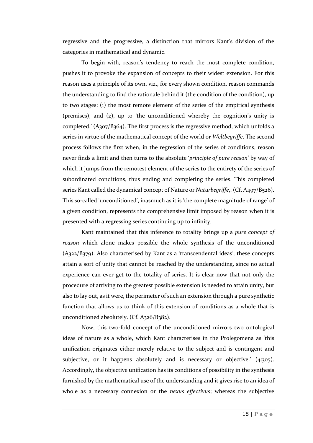regressive and the progressive, a distinction that mirrors Kant's division of the categories in mathematical and dynamic.

To begin with, reason's tendency to reach the most complete condition, pushes it to provoke the expansion of concepts to their widest extension. For this reason uses a principle of its own, viz., for every shown condition, reason commands the understanding to find the rationale behind it (the condition of the condition), up to two stages: (1) the most remote element of the series of the empirical synthesis (premises), and (2), up to 'the unconditioned whereby the cognition's unity is completed.' (A307/B364). The first process is the regressive method, which unfolds a series in virtue of the mathematical concept of the world or *Weltbegriffe*. The second process follows the first when, in the regression of the series of conditions, reason never finds a limit and then turns to the abs0lute '*principle of pure reason*' by way of which it jumps from the remotest element of the series to the entirety of the series of subordinated conditions, thus ending and completing the series. This completed series Kant called the dynamical concept of Nature or *Naturbegriffe*,. (Cf. A497/B526). This so-called 'unconditioned', inasmuch as it is 'the complete magnitude of range' of a given condition, represents the comprehensive limit imposed by reason when it is presented with a regressing series continuing up to infinity.

Kant maintained that this inference to totality brings up a *pure concept of reason* which alone makes possible the whole synthesis of the unconditioned (A322/B379). Also characterised by Kant as a 'transcendental ideas', these concepts attain a sort of unity that cannot be reached by the understanding, since no actual experience can ever get to the totality of series. It is clear now that not only the procedure of arriving to the greatest possible extension is needed to attain unity, but also to lay out, as it were, the perimeter of such an extension through a pure synthetic function that allows us to think of this extension of conditions as a whole that is unconditioned absolutely. (Cf. A326/B382).

Now, this two-fold concept of the unconditioned mirrors two ontological ideas of nature as a whole, which Kant characterises in the Prolegomena as 'this unification originates either merely relative to the subject and is contingent and subjective, or it happens absolutely and is necessary or objective.' (4:305). Accordingly, the objective unification has its conditions of possibility in the synthesis furnished by the mathematical use of the understanding and it gives rise to an idea of whole as a necessary connexion or the *nexus effectivus*; whereas the subjective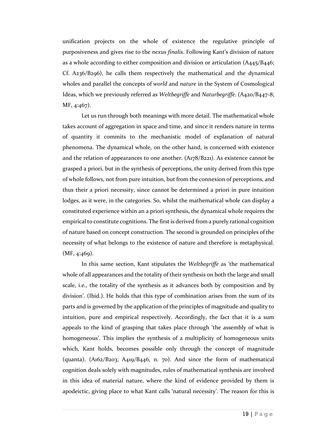unification projects on the whole of existence the regulative principle of purposiveness and gives rise to the *nexus finalis*. Following Kant's division of nature as a whole according to either composition and division or articulation (A445/B446; Cf. A236/B296), he calls them respectively the mathematical and the dynamical wholes and parallel the concepts of *world* and *nature* in the System of Cosmological Ideas, which we previously referred as *Weltbegriffe* and *Naturbegriffe*. (A420/B447-8; MF, 4:467).

Let us run through both meanings with more detail. The mathematical whole takes account of aggregation in space and time, and since it renders nature in terms of quantity it commits to the mechanistic model of explanation of natural phenomena. The dynamical whole, on the other hand, is concerned with existence and the relation of appearances to one another. (A178/B221). As existence cannot be grasped a priori, but in the synthesis of perceptions, the unity derived from this type of whole follows, not from pure intuition, but from the connexion of perceptions, and thus their a priori necessity, since cannot be determined a priori in pure intuition lodges, as it were, in the categories. So, whilst the mathematical whole can display a constituted experience within an a priori synthesis, the dynamical whole requires the empirical to constitute cognitions. The first is derived from a purely rational cognition of nature based on concept construction. The second is grounded on principles of the necessity of what belongs to the existence of nature and therefore is metaphysical. (MF, 4:469).

In this same section, Kant stipulates the *Weltbegriffe* as 'the mathematical whole of all appearances and the totality of their synthesis on both the large and small scale, i.e., the totality of the synthesis as it advances both by composition and by division'. (Ibid.). He holds that this type of combination arises from the sum of its parts and is governed by the application of the principles of magnitude and quality to intuition, pure and empirical respectively. Accordingly, the fact that it is a sum appeals to the kind of grasping that takes place through 'the assembly of what is homogeneous'. This implies the synthesis of a multiplicity of homogeneous units which, Kant holds, becomes possible only through the concept of magnitude (quanta). (A162/B203; A419/B446, n. 70). And since the form of mathematical cognition deals solely with magnitudes, rules of mathematical synthesis are involved in this idea of material nature, where the kind of evidence provided by them is apodeictic, giving place to what Kant calls 'natural necessity'. The reason for this is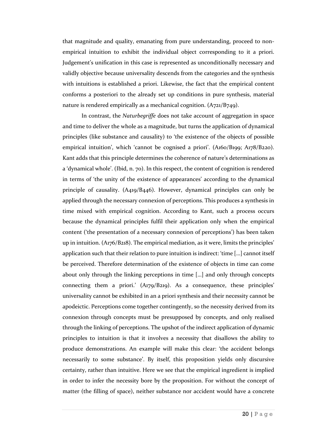that magnitude and quality, emanating from pure understanding, proceed to nonempirical intuition to exhibit the individual object corresponding to it a priori. Judgement's unification in this case is represented as unconditionally necessary and validly objective because universality descends from the categories and the synthesis with intuitions is established a priori. Likewise, the fact that the empirical content conforms a posteriori to the already set up conditions in pure synthesis, material nature is rendered empirically as a mechanical cognition. (A721/B749).

In contrast, the *Naturbegriffe* does not take account of aggregation in space and time to deliver the whole as a magnitude, but turns the application of dynamical principles (like substance and causality) to 'the existence of the objects of possible empirical intuition', which 'cannot be cognised a priori'. (A160/B199; A178/B220). Kant adds that this principle determines the coherence of nature's determinations as a 'dynamical whole'. (Ibid, n. 70). In this respect, the content of cognition is rendered in terms of 'the unity of the existence of appearances' according to the dynamical principle of causality. (A419/B446). However, dynamical principles can only be applied through the necessary connexion of perceptions. This produces a synthesis in time mixed with empirical cognition. According to Kant, such a process occurs because the dynamical principles fulfil their application only when the empirical content ('the presentation of a necessary connexion of perceptions') has been taken up in intuition. (A176/B218). The empirical mediation, as it were, limits the principles' application such that their relation to pure intuition is indirect: 'time […] cannot itself be perceived. Therefore determination of the existence of objects in time can come about only through the linking perceptions in time […] and only through concepts connecting them a priori.' (A179/B219). As a consequence, these principles' universality cannot be exhibited in an a priori synthesis and their necessity cannot be apodeictic. Perceptions come together contingently, so the necessity derived from its connexion through concepts must be presupposed by concepts, and only realised through the linking of perceptions. The upshot of the indirect application of dynamic principles to intuition is that it involves a necessity that disallows the ability to produce demonstrations. An example will make this clear: 'the accident belongs necessarily to some substance'. By itself, this proposition yields only discursive certainty, rather than intuitive. Here we see that the empirical ingredient is implied in order to infer the necessity bore by the proposition. For without the concept of matter (the filling of space), neither substance nor accident would have a concrete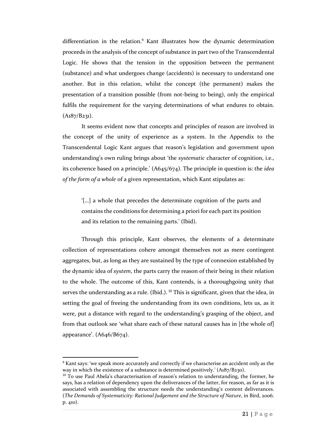differentiation in the relation.<sup>9</sup> Kant illustrates how the dynamic determination proceeds in the analysis of the concept of substance in part two of the Transcendental Logic. He shows that the tension in the opposition between the permanent (substance) and what undergoes change (accidents) is necessary to understand one another. But in this relation, whilst the concept (the permanent) makes the presentation of a transition possible (from not-being to being), only the empirical fulfils the requirement for the varying determinations of what endures to obtain.  $(A<sub>1</sub>8<sub>7</sub>/B<sub>231</sub>)$ .

It seems evident now that concepts and principles of reason are involved in the concept of the unity of experience as a system. In the Appendix to the Transcendental Logic Kant argues that reason's legislation and government upon understanding's own ruling brings about 'the *systematic* character of cognition, i.e., its coherence based on a principle.' (A645/674). The principle in question is: the *idea of the form of a whole* of a given representation, which Kant stipulates as:

'[…] a whole that precedes the determinate cognition of the parts and contains the conditions for determining a priori for each part its position and its relation to the remaining parts.' (Ibid).

Through this principle, Kant observes, the elements of a determinate collection of representations cohere amongst themselves not as mere contingent aggregates, but, as long as they are sustained by the type of connexion established by the dynamic idea of *system*, the parts carry the reason of their being in their relation to the whole. The outcome of this, Kant contends, is a thoroughgoing unity that serves the understanding as a rule. (Ibid.). <sup>10</sup> This is significant, given that the idea, in setting the goal of freeing the understanding from its own conditions, lets us, as it were, put a distance with regard to the understanding's grasping of the object, and from that outlook see 'what share each of these natural causes has in [the whole of] appearance'. (A646/B674).

<sup>&</sup>lt;sup>9</sup> Kant says: 'we speak more accurately and correctly if we characterise an accident only as the way in which the existence of a substance is determined positively.' (A187/B230).

 $10$  To use Paul Abela's characterisation of reason's relation to understanding, the former, he says, has a relation of dependency upon the deliverances of the latter, for reason, as far as it is associated with assembling the structure needs the understanding's content deliverances. (*The Demands of Systematicity: Rational Judgement and the Structure of Nature*, in Bird, 2006. p. 410).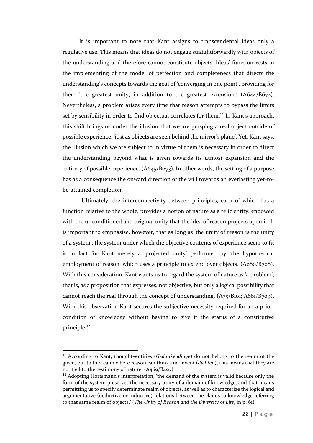It is important to note that Kant assigns to transcendental ideas only a regulative use. This means that ideas do not engage straightforwardly with objects of the understanding and therefore cannot constitute objects. Ideas' function rests in the implementing of the model of perfection and completeness that directs the understanding's concepts towards the goal of 'converging in one point', providing for them 'the greatest unity, in addition to the greatest extension.' (A644/B672). Nevertheless, a problem arises every time that reason attempts to bypass the limits set by sensibility in order to find objectual correlates for them.<sup>11</sup> In Kant's approach, this shift brings us under the illusion that we are grasping a real object outside of possible experience, 'just as objects are seen behind the mirror's plane'. Yet, Kant says, the illusion which we are subject to in virtue of them is necessary in order to direct the understanding beyond what is given towards its utmost expansion and the entirety of possible experience. (A645/B673). In other words, the setting of a purpose has as a consequence the onward direction of the will towards an everlasting yet-tobe-attained completion.

Ultimately, the interconnectivity between principles, each of which has a function relative to the whole, provides a notion of nature as a telic entity, endowed with the unconditioned and original unity that the idea of reason projects upon it. It is important to emphasise, however, that as long as 'the unity of reason is the unity of a system', the system under which the objective contents of experience seem to fit is in fact for Kant merely a 'projected unity' performed by 'the hypothetical employment of reason' which uses a principle to extend over objects. (A68o/B7o8). With this consideration, Kant wants us to regard the system of nature as 'a problem', that is, as a proposition that expresses, not objective, but only a logical possibility that cannot reach the real through the concept of understanding. (A75/B101; A681/B709). With this observation Kant secures the subjective necessity required for an a priori condition of knowledge without having to give it the status of a constitutive principle.<sup>12</sup>

<sup>11</sup> According to Kant, thought–entities (*Gedankendinge*) do not belong to the realm of the given, but to the realm where reason can think and invent (*dichten*), this means that they are not tied to the testimony of nature. (A469/B497).

 $12$  Adopting Hortsmann's interpretation, 'the demand of the system is valid because only the form of the system preserves the necessary unity of a domain of knowledge, and that means permitting us to specify determinate realm of objects, as well as to characterize the logical and argumentative (deductive or inductive) relations between the claims to knowledge referring to that same realm of objects.' (*The Unity of Reason and the Diversity of Life*, in p. 61).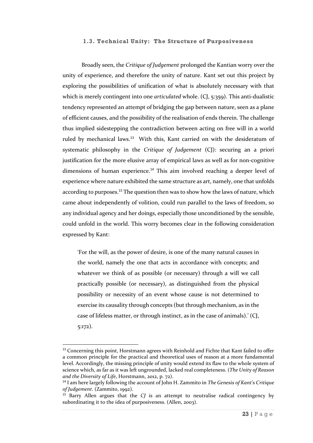#### **1.3. Technical Unity: The Structure of Purposiveness**

Broadly seen, the *Critique of Judgement* prolonged the Kantian worry over the unity of experience, and therefore the unity of nature. Kant set out this project by exploring the possibilities of unification of what is absolutely necessary with that which is merely contingent into one *articulated* whole. (CJ, 5:359). This anti-dualistic tendency represented an attempt of bridging the gap between nature, seen as a plane of efficient causes, and the possibility of the realisation of ends therein. The challenge thus implied sidestepping the contradiction between acting on free will in a world ruled by mechanical laws.<sup>13</sup> With this, Kant carried on with the desideratum of systematic philosophy in the *Critique of Judgement* (CJ): securing an a priori justification for the more elusive array of empirical laws as well as for non-cognitive dimensions of human experience.<sup>14</sup> This aim involved reaching a deeper level of experience where nature exhibited the same structure as art, namely, one that unfolds according to purposes.<sup>15</sup> The question then was to show how the laws of nature, which came about independently of volition, could run parallel to the laws of freedom, so any individual agency and her doings, especially those unconditioned by the sensible, could unfold in the world. This worry becomes clear in the following consideration expressed by Kant:

'For the will, as the power of desire, is one of the many natural causes in the world, namely the one that acts in accordance with concepts; and whatever we think of as possible (or necessary) through a will we call practically possible (or necessary), as distinguished from the physical possibility or necessity of an event whose cause is not determined to exercise its causality through concepts (but through mechanism, as in the case of lifeless matter, or through instinct, as in the case of animals).' (CJ, 5:172).

<sup>&</sup>lt;sup>13</sup> Concerning this point, Horstmann agrees with Reinhold and Fichte that Kant failed to offer a common principle for the practical and theoretical uses of reason at a more fundamental level. Accordingly, the missing principle of unity would extend its flaw to the whole system of science which, as far as it was left ungrounded, lacked real completeness. (*The Unity of Reason and the Diversity of Life*, Horstmann, 2012, p. 72).

<sup>14</sup> I am here largely following the account of John H. Zammito in *The Genesis of Kant's Critique of Judgement*. (Zammito, 1992).

<sup>15</sup> Barry Allen argues that the *CJ* is an attempt to neutralise radical contingency by subordinating it to the idea of purposiveness. (Allen, 2003).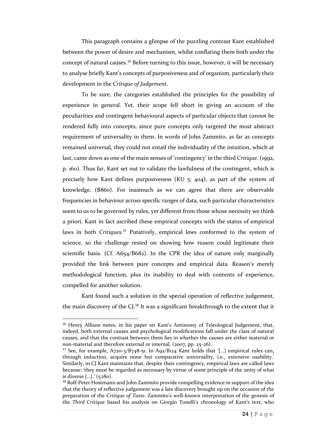This paragraph contains a glimpse of the puzzling contrast Kant established between the power of desire and mechanism, whilst conflating them both under the concept of natural causes.<sup>16</sup> Before turning to this issue, however, it will be necessary to analyse briefly Kant's concepts of purposiveness and of organism, particularly their development in the *Critique of Judgement*.

To be sure, the categories established the principles for the possibility of experience in general. Yet, their scope fell short in giving an account of the peculiarities and contingent behavioural aspects of particular objects that cannot be rendered fully into concepts, since pure concepts only targeted the most abstract requirement of universality in them. In words of John Zammito, as far as concepts remained universal, they could not entail the individuality of the intuition, which at last, came down as one of the main senses of 'contingency' in the third *Critique*. (1992, p. 160). Thus far, Kant set out to validate the lawfulness of the contingent, which is precisely how Kant defines purposiveness (KU 5: 404), as part of the system of knowledge. (B860). For inasmuch as we can agree that there are observable frequencies in behaviour across specific ranges of data, such particular characteristics seem to us to be governed by rules, yet different from those whose necessity we think a priori. Kant in fact ascribed these empirical concepts with the status of empirical laws in both *Critiques*. <sup>17</sup> Putatively, empirical *laws* conformed to the system of science, so the challenge rested on showing how reason could legitimate their scientific basis. (Cf. A654/B682). In the CPR the idea of nature only marginally provided the link between pure concepts and empirical data. Reason's merely methodological function, plus its inability to deal with contents of experience, compelled for another solution.

Kant found such a solution in the special operation of reflective judgement, the main discovery of the CJ.<sup>18</sup> It was a significant breakthrough to the extent that it

<sup>&</sup>lt;sup>16</sup> Henry Allison notes, in his paper on Kant's Antinomy of Teleological Judgement, that, indeed, both external causes and psychological modifications fall under the class of natural causes, and that the contrast between them lies in whether the causes are either material or non-material and therefore external or internal. (2007, pp. 25-26).

<sup>&</sup>lt;sup>17</sup> See, for example,  $A\gamma 20^{-3}/B\gamma 48^{-51}$ . In  $A\gamma 2/B124$  Kant holds that '[...] empirical rules can, through induction, acquire none but comparative universality, i.e., extensive usability.' Similarly, in CJ Kant maintains that, despite their contingency, empirical laws are called laws because: 'they must be regarded as necessary by virtue of some principle of the unity of what is diverse […].' (5:180).

<sup>&</sup>lt;sup>18</sup> Rolf-Peter Hostmann and John Zammito provide compelling evidence in support of the idea that the theory of reflective judgement was a late discovery brought up on the occasion of the preparation of the *Critique of Taste*. Zammito's well-known interpretation of the genesis of the *Third Critique* based his analysis on Giorgio Tonelli's chronology of Kant's text, who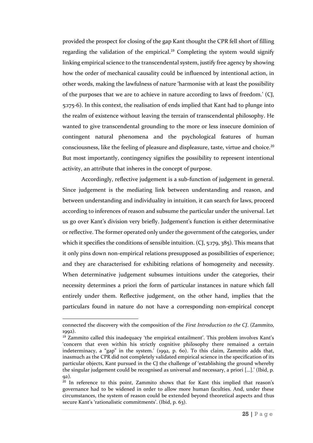provided the prospect for closing of the gap Kant thought the CPR fell short of filling regarding the validation of the empirical.<sup>19</sup> Completing the system would signify linking empirical science to the transcendental system, justify free agency by showing how the order of mechanical causality could be influenced by intentional action, in other words, making the lawfulness of nature 'harmonise with at least the possibility of the purposes that we are to achieve in nature according to laws of freedom.' (CJ, 5:175-6). In this context, the realisation of ends implied that Kant had to plunge into the realm of existence without leaving the terrain of transcendental philosophy. He wanted to give transcendental grounding to the more or less insecure dominion of contingent natural phenomena and the psychological features of human consciousness, like the feeling of pleasure and displeasure, taste, virtue and choice.<sup>20</sup> But most importantly, contingency signifies the possibility to represent intentional activity, an attribute that inheres in the concept of purpose.

Accordingly, reflective judgement is a sub-function of judgement in general. Since judgement is the mediating link between understanding and reason, and between understanding and individuality in intuition, it can search for laws, proceed according to inferences of reason and subsume the particular under the universal. Let us go over Kant's division very briefly. Judgement's function is either determinative or reflective. The former operated only under the government of the categories, under which it specifies the conditions of sensible intuition. (CJ, 5:179, 385). This means that it only pins down non-empirical relations presupposed as possibilities of experience; and they are characterised for exhibiting relations of homogeneity and necessity. When determinative judgement subsumes intuitions under the categories, their necessity determines a priori the form of particular instances in nature which fall entirely under them. Reflective judgement, on the other hand, implies that the particulars found in nature do not have a corresponding non-empirical concept

connected the discovery with the composition of the *First Introduction to the CJ*. (Zammito, 1992).

 $19$  Zammito called this inadequacy 'the empirical entailment'. This problem involves Kant's 'concern that even within his strictly cognitive philosophy there remained a certain indeterminacy, a "gap" in the system.' (1992, p. 60). To this claim, Zammito adds that, inasmuch as the CPR did not completely validated empirical science in the specification of its particular objects, Kant pursued in the CJ the challenge of 'establishing the ground whereby the singular judgement could be recognised as universal and necessary, a priori […].' (Ibid, p. 92).

<sup>&</sup>lt;sup>20</sup> In reference to this point, Zammito shows that for Kant this implied that reason's governance had to be widened in order to allow more human faculties. And, under these circumstances, the system of reason could be extended beyond theoretical aspects and thus secure Kant's 'rationalistic commitments'. (Ibid, p. 63).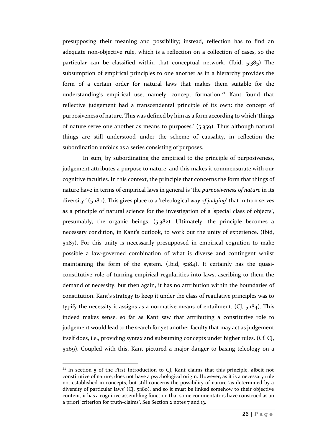presupposing their meaning and possibility; instead, reflection has to find an adequate non-objective rule, which is a reflection on a collection of cases, so the particular can be classified within that conceptual network. (Ibid, 5:385) The subsumption of empirical principles to one another as in a hierarchy provides the form of a certain order for natural laws that makes them suitable for the understanding's empirical use, namely, concept formation.<sup>21</sup> Kant found that reflective judgement had a transcendental principle of its own: the concept of purposiveness of nature. This was defined by him as a form according to which 'things of nature serve one another as means to purposes.' (5:359). Thus although natural things are still understood under the scheme of causality, in reflection the subordination unfolds as a series consisting of purposes.

In sum, by subordinating the empirical to the principle of purposiveness, judgement attributes a purpose to nature, and this makes it commensurate with our cognitive faculties. In this context, the principle that concerns the form that things of nature have in terms of empirical laws in general is 'the *purposiveness of nature* in its diversity.' (5:180). This gives place to a 'teleological *way of judging*' that in turn serves as a principle of natural science for the investigation of a 'special class of objects', presumably, the organic beings. (5:382). Ultimately, the principle becomes a necessary condition, in Kant's outlook, to work out the unity of experience. (Ibid, 5:187). For this unity is necessarily presupposed in empirical cognition to make possible a law-governed combination of what is diverse and contingent whilst maintaining the form of the system. (Ibid, 5:184). It certainly has the quasiconstitutive role of turning empirical regularities into laws, ascribing to them the demand of necessity, but then again, it has no attribution within the boundaries of constitution. Kant's strategy to keep it under the class of regulative principles was to typify the necessity it assigns as a normative means of entailment. (CJ, 5:184). This indeed makes sense, so far as Kant saw that attributing a constitutive role to judgement would lead to the search for yet another faculty that may act as judgement itself does, i.e., providing syntax and subsuming concepts under higher rules. (Cf. CJ, 5:169). Coupled with this, Kant pictured a major danger to basing teleology on a

l

<sup>&</sup>lt;sup>21</sup> In section  $\frac{1}{5}$  of the First Introduction to CJ, Kant claims that this principle, albeit not constitutive of nature, does not have a psychological origin. However, as it is a necessary rule not established in concepts, but still concerns the possibility of nature 'as determined by a diversity of particular laws' (CJ, 5:180), and so it must be linked somehow to their objective content, it has a cognitive assembling function that some commentators have construed as an a priori 'criterion for truth-claims'. See Section 2 notes 7 and 13.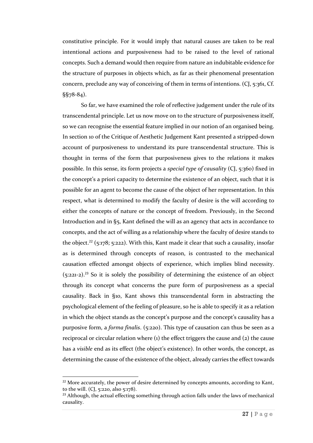constitutive principle. For it would imply that natural causes are taken to be real intentional actions and purposiveness had to be raised to the level of rational concepts. Such a demand would then require from nature an indubitable evidence for the structure of purposes in objects which, as far as their phenomenal presentation concern, preclude any way of conceiving of them in terms of intentions. (CJ, 5:361, Cf. §§78-84).

So far, we have examined the role of reflective judgement under the rule of its transcendental principle. Let us now move on to the structure of purposiveness itself, so we can recognise the essential feature implied in our notion of an organised being. In section 10 of the Critique of Aesthetic Judgement Kant presented a stripped-down account of purposiveness to understand its pure transcendental structure. This is thought in terms of the form that purposiveness gives to the relations it makes possible. In this sense, its form projects a *special type of causality* (CJ, 5:360) fixed in the concept's a priori capacity to determine the existence of an object, such that it is possible for an agent to become the cause of the object of her representation. In this respect, what is determined to modify the faculty of desire is the will according to either the concepts of nature or the concept of freedom. Previously, in the Second Introduction and in §5, Kant defined the will as an agency that acts in accordance to concepts, and the act of willing as a relationship where the faculty of desire stands to the object.<sup>22</sup> (5:178; 5:222). With this, Kant made it clear that such a causality, insofar as is determined through concepts of reason, is contrasted to the mechanical causation effected amongst objects of experience, which implies blind necessity.  $(5:221-2).^{23}$  So it is solely the possibility of determining the existence of an object through its concept what concerns the pure form of purposiveness as a special causality. Back in §10, Kant shows this transcendental form in abstracting the psychological element of the feeling of pleasure, so he is able to specify it as a relation in which the object stands as the concept's purpose and the concept's causality has a purposive form, a *forma finalis*. (5:220). This type of causation can thus be seen as a reciprocal or circular relation where  $(i)$  the effect triggers the cause and  $(i)$  the cause has a *visible* end as its effect (the object's existence). In other words, the concept, as determining the cause of the existence of the object, already carries the effect towards

<sup>&</sup>lt;sup>22</sup> More accurately, the power of desire determined by concepts amounts, according to Kant, to the will. (CI,  $5:220$ , also  $5:178$ ).

 $^{23}$  Although, the actual effecting something through action falls under the laws of mechanical causality.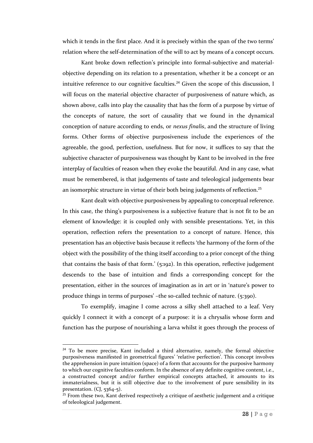which it tends in the first place. And it is precisely within the span of the two terms' relation where the self-determination of the will to act by means of a concept occurs.

Kant broke down reflection's principle into formal-subjective and materialobjective depending on its relation to a presentation, whether it be a concept or an intuitive reference to our cognitive faculties.<sup>24</sup> Given the scope of this discussion, I will focus on the material objective character of purposiveness of nature which, as shown above, calls into play the causality that has the form of a purpose by virtue of the concepts of nature, the sort of causality that we found in the dynamical conception of nature according to ends, or *nexus finalis*, and the structure of living forms. Other forms of objective purposiveness include the experiences of the agreeable, the good, perfection, usefulness. But for now, it suffices to say that the subjective character of purposiveness was thought by Kant to be involved in the free interplay of faculties of reason when they evoke the beautiful. And in any case, what must be remembered, is that judgements of taste and teleological judgements bear an isomorphic structure in virtue of their both being judgements of reflection.<sup>25</sup>

Kant dealt with objective purposiveness by appealing to conceptual reference. In this case, the thing's purposiveness is a subjective feature that is not fit to be an element of knowledge: it is coupled only with sensible presentations. Yet, in this operation, reflection refers the presentation to a concept of nature. Hence, this presentation has an objective basis because it reflects 'the harmony of the form of the object with the possibility of the thing itself according to a prior concept of the thing that contains the basis of that form.' (5:192). In this operation, reflective judgement descends to the base of intuition and finds a corresponding concept for the presentation, either in the sources of imagination as in art or in 'nature's power to produce things in terms of purposes' –the so-called technic of nature. (5:390).

To exemplify, imagine I come across a silky shell attached to a leaf. Very quickly I connect it with a concept of a purpose: it is a chrysalis whose form and function has the purpose of nourishing a larva whilst it goes through the process of

<sup>&</sup>lt;sup>24</sup> To be more precise, Kant included a third alternative, namely, the formal objective purposiveness manifested in geometrical figures' 'relative perfection'. This concept involves the apprehension in pure intuition (space) of a form that accounts for the purposive harmony to which our cognitive faculties conform. In the absence of any definite cognitive content, i.e., a constructed concept and/or further empirical concepts attached, it amounts to its immaterialness, but it is still objective due to the involvement of pure sensibility in its presentation.  $(CI, 5364-5)$ .

 $25$  From these two, Kant derived respectively a critique of aesthetic judgement and a critique of teleological judgement.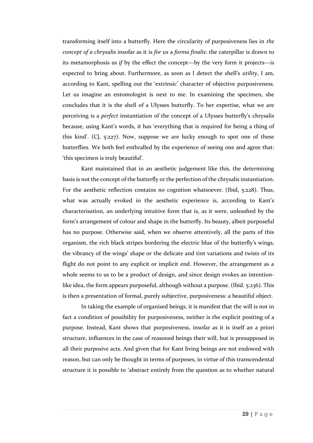transforming itself into a butterfly. Here the circularity of purposiveness lies in *the concept of a chrysalis* insofar as it is *for us* a *forma finalis*: the caterpillar is drawn to its metamorphosis *as if* by the effect the concept—by the very form it projects—is expected to bring about. Furthermore, as soon as I detect the shell's *utility*, I am, according to Kant, spelling out the 'extrinsic' character of objective purposiveness. Let us imagine an entomologist is next to me. In examining the specimen, she concludes that it is the shell of a Ulysses butterfly. To her expertise, what we are perceiving is a *perfect* instantiation of the concept of a Ulysses butterfly's chrysalis because, using Kant's words, it has 'everything that is required for being a thing of this kind'. (CJ, 5:227). Now, suppose we are lucky enough to spot one of these butterflies. We both feel enthralled by the experience of seeing one and agree that: 'this specimen is truly beautiful'.

Kant maintained that in an aesthetic judgement like this, the determining basis is not the concept of the butterfly or the perfection of the chrysalis instantiation. For the aesthetic reflection contains no cognition whatsoever. (Ibid, 5:228). Thus, what was actually evoked in the aesthetic experience is, according to Kant's characterisation, an underlying intuitive form that is, as it were, unleashed by the form's arrangement of colour and shape in the butterfly. Its beauty, albeit purposeful has no purpose. Otherwise said, when we observe attentively, all the parts of this organism, the rich black stripes bordering the electric blue of the butterfly's wings, the vibrancy of the wings' shape or the delicate and tint variations and twists of its flight do not point to any explicit or implicit end. However, the arrangement as a whole seems to us to be a product of design, and since design evokes an intentionlike idea, the form appears purposeful, although without a purpose. (Ibid. 5:236). This is then a presentation of formal, purely subjective, purposiveness: a beautiful object.

In taking the example of organised beings, it is manifest that the will is not in fact a condition of possibility for purposiveness, neither is the explicit positing of a purpose. Instead, Kant shows that purposiveness, insofar as it is itself an a priori structure, influences in the case of reasoned beings their will, but is presupposed in all their purposive acts. And given that for Kant living beings are not endowed with reason, but can only be thought in terms of purposes, in virtue of this transcendental structure it is possible to 'abstract entirely from the question as to whether natural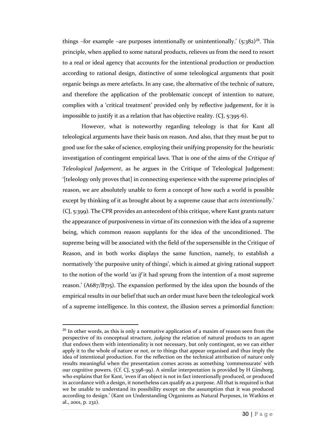things -for example -are purposes intentionally or unintentionally.'  $(5:382)^{26}$ . This principle, when applied to some natural products, relieves us from the need to resort to a real or ideal agency that accounts for the intentional production or production according to rational design, distinctive of some teleological arguments that posit organic beings as mere artefacts. In any case, the alternative of the technic of nature, and therefore the application of the problematic concept of intention to nature, complies with a 'critical treatment' provided only by reflective judgement, for it is impossible to justify it as a relation that has objective reality. (CJ, 5:395-6).

However, what is noteworthy regarding teleology is that for Kant all teleological arguments have their basis on reason. And also, that they must be put to good use for the sake of science, employing their unifying propensity for the heuristic investigation of contingent empirical laws. That is one of the aims of the *Critique of Teleological Judgement*, as he argues in the Critique of Teleological Judgement: '[teleology only proves that] in connecting experience with the supreme principles of reason, we are absolutely unable to form a concept of how such a world is possible except by thinking of it as brought about by a supreme cause that *acts intentionally*.' (CJ, 5:399). The CPR provides an antecedent of this critique, where Kant grants nature the appearance of purposiveness in virtue of its connexion with the idea of a supreme being, which common reason supplants for the idea of the unconditioned. The supreme being will be associated with the field of the supersensible in the Critique of Reason, and in both works displays the same function, namely, to establish a normatively 'the purposive unity of things', which is aimed at giving rational support to the notion of the world '*as if* it had sprung from the intention of a most supreme reason.' (A687/B715). The expansion performed by the idea upon the bounds of the empirical results in our belief that such an order must have been the teleological work of a supreme intelligence. In this context, the illusion serves a primordial function:

 $26$  In other words, as this is only a normative application of a maxim of reason seen from the perspective of its conceptual structure, *judging* the relation of natural products to an agent that endows them with intentionality is not necessary, but only contingent, so we can either apply it to the whole of nature or not, or to things that appear organised and thus imply the idea of intentional production. For the reflection on the technical attribution of nature only results meaningful when the presentation comes across as something 'commensurate' with our cognitive powers. (Cf. CJ, 5:398-99). A similar interpretation is provided by H Ginsborg, who explains that for Kant, 'even if an object is not in fact intentionally produced, or produced in accordance with a design, it nonetheless can qualify as a purpose. All that is required is that we be unable to understand its possibility except on the assumption that it was produced according to design.' (Kant on Understanding Organisms as Natural Purposes, in Watkins et al., 2001, p. 232).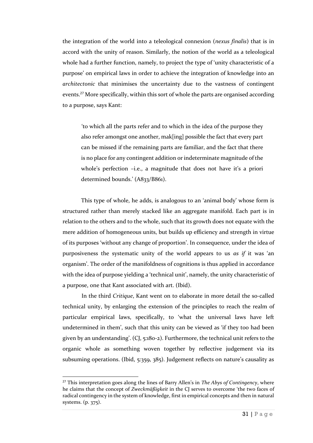the integration of the world into a teleological connexion (*nexus finalis*) that is in accord with the unity of reason. Similarly, the notion of the world as a teleological whole had a further function, namely, to project the type of 'unity characteristic of a purpose' on empirical laws in order to achieve the integration of knowledge into an *architectonic* that minimises the uncertainty due to the vastness of contingent events.<sup>27</sup> More specifically, within this sort of whole the parts are organised according to a purpose, says Kant:

'to which all the parts refer and to which in the idea of the purpose they also refer amongst one another, mak[ing] possible the fact that every part can be missed if the remaining parts are familiar, and the fact that there is no place for any contingent addition or indeterminate magnitude of the whole's perfection –i.e., a magnitude that does not have it's a priori determined bounds.' (A833/B861).

This type of whole, he adds, is analogous to an 'animal body' whose form is structured rather than merely stacked like an aggregate manifold. Each part is in relation to the others and to the whole, such that its growth does not equate with the mere addition of homogeneous units, but builds up efficiency and strength in virtue of its purposes 'without any change of proportion'. In consequence, under the idea of purposiveness the systematic unity of the world appears to us *as if* it was 'an organism'. The order of the manifoldness of cognitions is thus applied in accordance with the idea of purpose yielding a 'technical unit', namely, the unity characteristic of a purpose, one that Kant associated with art. (Ibid).

In the third *Critique*, Kant went on to elaborate in more detail the so-called technical unity, by enlarging the extension of the principles to reach the realm of particular empirical laws, specifically, to 'what the universal laws have left undetermined in them', such that this unity can be viewed as 'if they too had been given by an understanding'. (CJ, 5:180-2). Furthermore, the technical unit refers to the organic whole as something woven together by reflective judgement via its subsuming operations. (Ibid, 5:359, 385). Judgement reflects on nature's causality as

<sup>27</sup> This interpretation goes along the lines of Barry Allen's in *The Abys of Contingency*, where he claims that the concept of *Zweckmäßigkeit* in the CJ serves to overcome 'the two faces of radical contingency in the system of knowledge, first in empirical concepts and then in natural systems. (p. 375).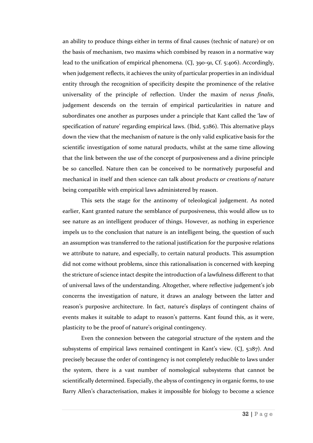an ability to produce things either in terms of final causes (technic of nature) or on the basis of mechanism, two maxims which combined by reason in a normative way lead to the unification of empirical phenomena. (CJ, 390-91, Cf. 5:406). Accordingly, when judgement reflects, it achieves the unity of particular properties in an individual entity through the recognition of specificity despite the prominence of the relative universality of the principle of reflection. Under the maxim of *nexus finalis*, judgement descends on the terrain of empirical particularities in nature and subordinates one another as purposes under a principle that Kant called the 'law of specification of nature' regarding empirical laws. (Ibid, 5:186). This alternative plays down the view that the mechanism of nature is the only valid explicative basis for the scientific investigation of some natural products, whilst at the same time allowing that the link between the use of the concept of purposiveness and a divine principle be so cancelled. Nature then can be conceived to be normatively purposeful and mechanical in itself and then science can talk about *products or creations of nature* being compatible with empirical laws administered by reason.

This sets the stage for the antinomy of teleological judgement. As noted earlier, Kant granted nature the semblance of purposiveness, this would allow us to see nature as an intelligent producer of things. However, as nothing in experience impels us to the conclusion that nature is an intelligent being, the question of such an assumption was transferred to the rational justification for the purposive relations we attribute to nature, and especially, to certain natural products. This assumption did not come without problems, since this rationalisation is concerned with keeping the stricture of science intact despite the introduction of a lawfulness different to that of universal laws of the understanding. Altogether, where reflective judgement's job concerns the investigation of nature, it draws an analogy between the latter and reason's purposive architecture. In fact, nature's displays of contingent chains of events makes it suitable to adapt to reason's patterns. Kant found this, as it were, plasticity to be the proof of nature's original contingency.

Even the connexion between the categorial structure of the system and the subsystems of empirical laws remained contingent in Kant's view. (CJ, 5:187). And precisely because the order of contingency is not completely reducible to laws under the system, there is a vast number of nomological subsystems that cannot be scientifically determined. Especially, the abyss of contingency in organic forms, to use Barry Allen's characterisation, makes it impossible for biology to become a science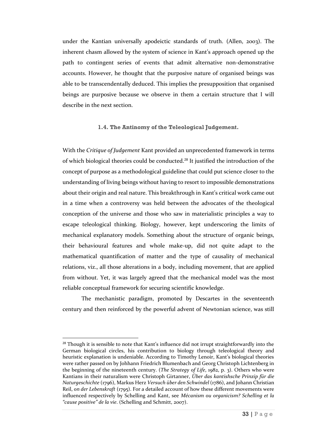under the Kantian universally apodeictic standards of truth. (Allen, 2003). The inherent chasm allowed by the system of science in Kant's approach opened up the path to contingent series of events that admit alternative non-demonstrative accounts. However, he thought that the purposive nature of organised beings was able to be transcendentally deduced. This implies the presupposition that organised beings are purposive because we observe in them a certain structure that I will describe in the next section.

#### **1.4. The Antinomy of the Teleological Judgement.**

With the *Critique of Judgement* Kant provided an unprecedented framework in terms of which biological theories could be conducted.<sup>28</sup> It justified the introduction of the concept of purpose as a methodological guideline that could put science closer to the understanding of living beings without having to resort to impossible demonstrations about their origin and real nature. This breakthrough in Kant's critical work came out in a time when a controversy was held between the advocates of the theological conception of the universe and those who saw in materialistic principles a way to escape teleological thinking. Biology, however, kept underscoring the limits of mechanical explanatory models. Something about the structure of organic beings, their behavioural features and whole make-up, did not quite adapt to the mathematical quantification of matter and the type of causality of mechanical relations, viz., all those alterations in a body, including movement, that are applied from without. Yet, it was largely agreed that the mechanical model was the most reliable conceptual framework for securing scientific knowledge.

The mechanistic paradigm, promoted by Descartes in the seventeenth century and then reinforced by the powerful advent of Newtonian science, was still

 $28$  Though it is sensible to note that Kant's influence did not irrupt straightforwardly into the German biological circles, his contribution to biology through teleological theory and heuristic explanation is undeniable. According to Timothy Lenoir, Kant's biological theories were rather passed on by Johhann Friedrich Blumenbach and Georg Christoph Lichtenberg in the beginning of the nineteenth century. (*The Strategy of Life*, 1982, p. 3). Others who were Kantians in their naturalism were Christoph Girtanner, *Über das kantishsche Prinzip für die Naturgeschichte* (1796), Markus Herz *Versuch über den Schwindel* (1786), and Johann Christian Reil, *on der Lebenskraft* (1795). For a detailed account of how these different movements were influenced respectively by Schelling and Kant, see *Mécanism ou organicism? Schelling et la "cause positive" de la vie*. (Schelling and Schmitt, 2007).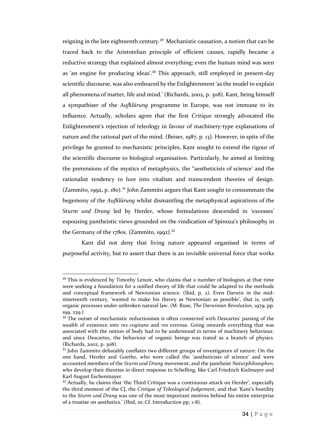reigning in the late eighteenth century.<sup>29</sup> Mechanistic causation, a notion that can be traced back to the Aristotelian principle of efficient causes, rapidly became a reductive strategy that explained almost everything; even the human mind was seen as 'an engine for producing ideas'.<sup>30</sup> This approach, still employed in present-day scientific discourse, was also embraced by the Enlightenment 'as the model to explain all phenomena of matter, life and mind.' (Richards, 2002, p. 308). Kant, being himself a sympathiser of the *Aufklärung* programme in Europe, was not immune to its influence. Actually, scholars agree that the first *Critique* strongly advocated the Enlightenment's rejection of teleology in favour of machinery-type explanations of nature and the rational part of the mind. (Beiser, 1987, p. 13). However, in spite of the privilege he granted to mechanistic principles, Kant sought to extend the rigour of the scientific discourse to biological organisation. Particularly, he aimed at limiting the pretensions of the mystics of metaphysics, the "aestheticists of science' and the rationalist tendency to lure into vitalism and transcendent theories of design. (Zammito, 1992, p. 180).<sup>31</sup> John Zammito argues that Kant sought to consummate the hegemony of the *Aufklärung* whilst dismantling the metaphysical aspirations of the *Sturm und Drang* led by Herder, whose formulations descended in 'excesses' espousing pantheistic views grounded on the vindication of Spinoza's philosophy in the Germany of the 1780s. (Zammito, 1992).<sup>32</sup>

Kant did not deny that living nature appeared organised in terms of purposeful activity, but to assert that there is an invisible universal force that works

l

 $29$  This is evidenced by Timothy Lenoir, who claims that a number of biologists at that time were seeking a foundation for a unified theory of life that could be adapted to the methods and conceptual framework of Newtonian science. (Ibid, p. 2). Even Darwin in the midnineteenth century, 'wanted to make his theory as Newtonian as possible', that is, unify organic processes under unbroken natural law. (M. Ruse, *The Darwinian Revolution*, 1979, pp. 199, 239.)

<sup>&</sup>lt;sup>30</sup> The outset of mechanistic reductionism is often connected with Descartes' parsing of the wealth of existence into *res cogitans* and *res extensa*. Going onwards everything that was associated with the notion of body had to be understood in terms of machinery behaviour, and since Descartes, the behaviour of organic beings was trated as a branch of physics. (Richards, 2002, p. 308).

<sup>&</sup>lt;sup>31</sup> John Zammito debatably conflates two different groups of investigators of nature: On the one hand, Herder and Goethe, who were called the 'aestheticists of science' and were accounted members of the *Sturm und Drang* movement, and the pantheist *Naturphilosophen*, who develop their theories in direct response to Schelling, like Carl Friedrich Kielmayer and Karl August Eschenmayer.

<sup>&</sup>lt;sup>32</sup> Actually, he claims that 'the Third Critique was a continuous attack on Herder', especially the third moment of the CJ, the *Critique of Teleological Judgement*, and that 'Kant's hostility to the *Sturm und Drang* was one of the most important motives behind his entire enterprise of a treatise on aesthetics.' (Ibid, 10; Cf. Introduction pp. 1-8).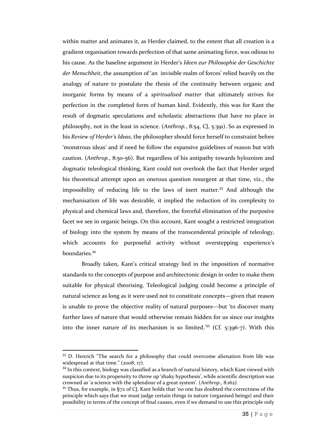within matter and animates it, as Herder claimed, to the extent that all creation is a gradient organisation towards perfection of that same animating force, was odious to his cause. As the baseline argument in Herder's *Ideen zur Philosophie der Geschichte der Menschheit*, the assumption of 'an invisible realm of forces' relied heavily on the analogy of nature to postulate the thesis of the continuity between organic and inorganic forms by means of a *spiritualised matter* that ultimately strives for perfection in the completed form of human kind. Evidently, this was for Kant the result of dogmatic speculations and scholastic abstractions that have no place in philosophy, not in the least in science. (*Anthrop.*, 8:54, CJ, 5:391). So as expressed in his *Review of Herder's Ideas*, the philosopher should force herself to constraint before 'monstrous ideas' and if need be follow the expansive guidelines of reason but with caution. (*Anthrop.*, 8:50-56). But regardless of his antipathy towards hylozoism and dogmatic teleological thinking, Kant could not overlook the fact that Herder urged his theoretical attempt upon an onerous question resurgent at that time, viz., the impossibility of reducing life to the laws of inert matter.<sup>33</sup> And although the mechanisation of life was desirable, it implied the reduction of its complexity to physical and chemical laws and, therefore, the forceful elimination of the purposive facet we see in organic beings. On this account, Kant sought a restricted integration of biology into the system by means of the transcendental principle of teleology, which accounts for purposeful activity without overstepping experience's boundaries. 34

Broadly taken, Kant's critical strategy lied in the imposition of normative standards to the concepts of purpose and architectonic design in order to make them suitable for physical theorising. Teleological judging could become a principle of natural science as long as it were used not to constitute concepts—given that reason is unable to prove the objective reality of natural purposes—but 'to discover many further laws of nature that would otherwise remain hidden for us since our insights into the inner nature of its mechanism is so limited.'<sup>35</sup> (Cf. 5:396-7). With this

<sup>&</sup>lt;sup>33</sup> D. Henrich "The search for a philosophy that could overcome alienation from life was widespread at that time."  $(2008, 17)$ .

<sup>&</sup>lt;sup>34</sup> In this context, biology was classified as a branch of natural history, which Kant viewed with suspicion due to its propensity to throw up 'shaky hypothesis', while scientific description was crowned as 'a science with the splendour of a great system'. (*Anthrop*., 8:162).

<sup>&</sup>lt;sup>35</sup> Thus, for example, in §72 of CJ, Kant holds that 'no one has doubted the correctness of the principle which says that we must judge certain things in nature (organised beings) and their possibility in terms of the concept of final causes, even if we demand to use this principle only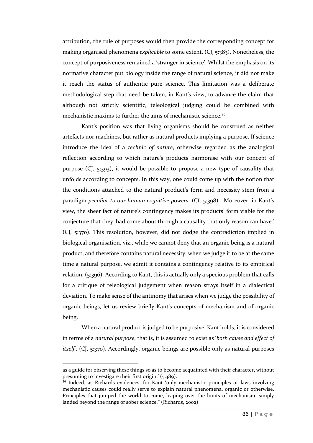attribution, the rule of purposes would then provide the corresponding concept for making organised phenomena *explicable* to some extent. (CJ, 5:383). Nonetheless, the concept of purposiveness remained a 'stranger in science'. Whilst the emphasis on its normative character put biology inside the range of natural science, it did not make it reach the status of authentic pure science. This limitation was a deliberate methodological step that need be taken, in Kant's view, to advance the claim that although not strictly scientific, teleological judging could be combined with mechanistic maxims to further the aims of mechanistic science.<sup>36</sup>

Kant's position was that living organisms should be construed as neither artefacts nor machines, but rather as natural products implying a purpose. If science introduce the idea of a *technic of nature*, otherwise regarded as the analogical reflection according to which nature's products harmonise with our concept of purpose (CJ, 5:393), it would be possible to propose a new type of causality that unfolds according to concepts. In this way, one could come up with the notion that the conditions attached to the natural product's form and necessity stem from a paradigm *peculiar to our human cognitive powers*. (Cf. 5:398). Moreover, in Kant's view, the sheer fact of nature's contingency makes its products' form viable for the conjecture that they 'had come about through a causality that only reason can have.' (CJ, 5:370). This resolution, however, did not dodge the contradiction implied in biological organisation, viz., while we cannot deny that an organic being is a natural product, and therefore contains natural necessity, when we judge it to be at the same time a natural purpose, we admit it contains a contingency relative to its empirical relation. (5:396). According to Kant, this is actually only a specious problem that calls for a critique of teleological judgement when reason strays itself in a dialectical deviation. To make sense of the antinomy that arises when we judge the possibility of organic beings, let us review briefly Kant's concepts of mechanism and of organic being.

When a natural product is judged to be purposive, Kant holds, it is considered in terms of a *natural purpose*, that is, it is assumed to exist as '*both cause and effect of itself*'. (CJ, 5:370). Accordingly, organic beings are possible only as natural purposes

l

as a guide for observing these things so as to become acquainted with their character, without presuming to investigate their first origin.' (5:389).

<sup>&</sup>lt;sup>36</sup> Indeed, as Richards evidences, for Kant 'only mechanistic principles or laws involving mechanistic causes could really serve to explain natural phenomena, organic or otherwise. Principles that jumped the world to come, leaping over the limits of mechanism, simply landed beyond the range of sober science." (Richards, 2002)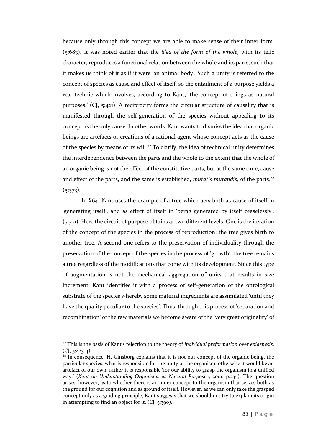because only through this concept we are able to make sense of their inner form. (5:683). It was noted earlier that the *idea of the form of the whole*, with its telic character, reproduces a functional relation between the whole and its parts, such that it makes us think of it as if it were 'an animal body'. Such a unity is referred to the concept of species as cause and effect of itself, so the entailment of a purpose yields a real technic which involves, according to Kant, 'the concept of things as natural purposes.' (CJ, 5:421). A reciprocity forms the circular structure of causality that is manifested through the self-generation of the species without appealing to its concept as the only cause. In other words, Kant wants to dismiss the idea that organic beings are artefacts or creations of a rational agent whose concept acts as the cause of the species by means of its will.<sup>37</sup> To clarify, the idea of technical unity determines the interdependence between the parts and the whole to the extent that the whole of an organic being is not the effect of the constitutive parts, but at the same time, cause and effect of the parts, and the same is established, *mutatis mutandis*, of the parts.<sup>38</sup>  $(5:373).$ 

In §64, Kant uses the example of a tree which acts both as cause of itself in 'generating itself', and as effect of itself in 'being generated by itself ceaselessly'. (5:371). Here the circuit of purpose obtains at two different levels. One is the iteration of the concept of the species in the process of reproduction: the tree gives birth to another tree. A second one refers to the preservation of individuality through the preservation of the concept of the species in the process of 'growth': the tree remains a tree regardless of the modifications that come with its development. Since this type of augmentation is not the mechanical aggregation of units that results in size increment, Kant identifies it with a process of self-generation of the ontological substrate of the species whereby some material ingredients are assimilated 'until they have the quality peculiar to the species'. Thus, through this process of 'separation and recombination' of the raw materials we become aware of the 'very great originality' of

<sup>37</sup> This is the basis of Kant's rejection to the theory of *individual preformation* over *epigenesis*.  $(CJ, 5:423-4)$ .

<sup>&</sup>lt;sup>38</sup> In consequence, H. Ginsborg explains that it is not our concept of the organic being, the particular species, what is responsible for the unity of the organism, otherwise it would be an artefact of our own, rather it is responsible 'for our ability to grasp the organism in a unified way.' (*Kant on Understanding Organisms as Natural Purposes*, 2001, p.235). The question arises, however, as to whether there is an inner concept to the organism that serves both as the ground for our cognition and as ground of itself. However, as we can only take the grasped concept only as a guiding principle, Kant suggests that we should not try to explain its origin in attempting to find an object for it. (CJ, 5:390).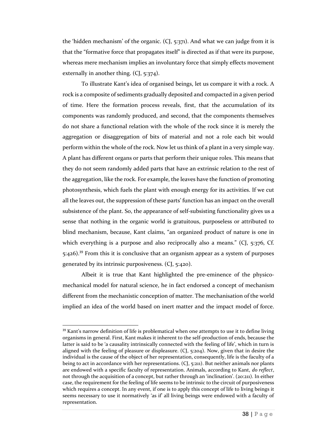the 'hidden mechanism' of the organic. (CJ, 5:371). And what we can judge from it is that the "formative force that propagates itself" is directed as if that were its purpose, whereas mere mechanism implies an involuntary force that simply effects movement externally in another thing. (CJ, 5:374).

To illustrate Kant's idea of organised beings, let us compare it with a rock. A rock is a composite of sediments gradually deposited and compacted in a given period of time. Here the formation process reveals, first, that the accumulation of its components was randomly produced, and second, that the components themselves do not share a functional relation with the whole of the rock since it is merely the aggregation or disaggregation of bits of material and not a role each bit would perform within the whole of the rock. Now let us think of a plant in a very simple way. A plant has different organs or parts that perform their unique roles. This means that they do not seem randomly added parts that have an extrinsic relation to the rest of the aggregation, like the rock. For example, the leaves have the function of promoting photosynthesis, which fuels the plant with enough energy for its activities. If we cut all the leaves out, the suppression of these parts' function has an impact on the overall subsistence of the plant. So, the appearance of self-subsisting functionality gives us a sense that nothing in the organic world is gratuitous, purposeless or attributed to blind mechanism, because, Kant claims, "an organized product of nature is one in which everything is a purpose and also reciprocally also a means." (CJ, 5:376, Cf. 5:426).<sup>39</sup> From this it is conclusive that an organism appear as a system of purposes generated by its intrinsic purposiveness. (CJ, 5:420).

Albeit it is true that Kant highlighted the pre-eminence of the physicomechanical model for natural science, he in fact endorsed a concept of mechanism different from the mechanistic conception of matter. The mechanisation of the world implied an idea of the world based on inert matter and the impact model of force.

<sup>&</sup>lt;sup>39</sup> Kant's narrow definition of life is problematical when one attempts to use it to define living organisms in general. First, Kant makes it inherent to the self-production of ends, because the latter is said to be 'a causality intrinsically connected with the feeling of life', which in turn is aligned with the feeling of pleasure or displeasure. (CJ, 5:204). Now, given that in desire the individual is the cause of the object of her representation, consequently, life is the faculty of a being to act in accordance with her representations.  $(C<sub>1</sub>, 5:211)$ . But neither animals nor plants are endowed with a specific faculty of representation. Animals, according to Kant, *do reflect*, not through the acquisition of a concept, but rather through an 'inclination'. (20:211). In either case, the requirement for the feeling of life seems to be intrinsic to the circuit of purposiveness which requires a concept. In any event, if one is to apply this concept of life to living beings it seems necessary to use it normatively 'as if' all living beings were endowed with a faculty of representation.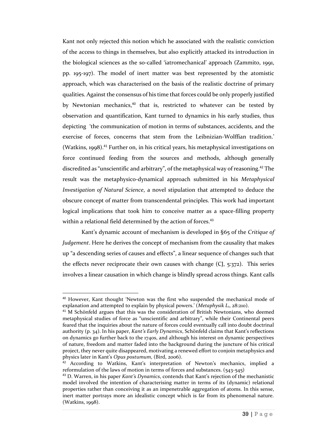Kant not only rejected this notion which he associated with the realistic conviction of the access to things in themselves, but also explicitly attacked its introduction in the biological sciences as the so-called 'iatromechanical' approach (Zammito, 1991, pp. 195-197). The model of inert matter was best represented by the atomistic approach, which was characterised on the basis of the realistic doctrine of primary qualities. Against the consensus of his time that forces could be only properly justified by Newtonian mechanics,<sup>40</sup> that is, restricted to whatever can be tested by observation and quantification, Kant turned to dynamics in his early studies, thus depicting 'the communication of motion in terms of substances, accidents, and the exercise of forces, concerns that stem from the Leibnizian-Wolffian tradition.' (Watkins, 1998). <sup>41</sup> Further on, in his critical years, his metaphysical investigations on force continued feeding from the sources and methods, although generally discredited as "unscientific and arbitrary", of the metaphysical way of reasoning.<sup>42</sup> The result was the metaphysico-dynamical approach submitted in his *Metaphysical Investigation of Natural Science*, a novel stipulation that attempted to deduce the obscure concept of matter from transcendental principles. This work had important logical implications that took him to conceive matter as a space-filling property within a relational field determined by the action of forces.<sup>43</sup>

Kant's dynamic account of mechanism is developed in §65 of the *Critique of Judgement*. Here he derives the concept of mechanism from the causality that makes up "a descending series of causes and effects", a linear sequence of changes such that the effects never reciprocate their own causes with change  $(C<sub>1</sub>, 5:372)$ . This series involves a linear causation in which change is blindly spread across things. Kant calls

<sup>40</sup> However, Kant thought 'Newton was the first who suspended the mechanical mode of explanation and attempted to explain by physical powers.' (*Metaphysik L1*, 28:210).

<sup>&</sup>lt;sup>41</sup> M Schönfeld argues that this was the consideration of British Newtonians, who deemed metaphysical studies of force as "unscientific and arbitrary", while their Continental peers feared that the inquiries about the nature of forces could eventually call into doubt doctrinal authority (p. 34). In his paper, *Kant's Early Dynamics*, Schönfeld claims that Kant's reflections on dynamics go further back to the 1740s, and although his interest on dynamic perspectives of nature, freedom and matter faded into the background during the juncture of his critical project, they never quite disappeared, motivating a renewed effort to conjoin metaphysics and physics later in Kant's *Opus postumum*, (Bird, 2006).

<sup>&</sup>lt;sup>42</sup> According to Watkins, Kant's interpretation of Newton's mechanics, implied a reformulation of the laws of motion in terms of forces and substances. (543-545)

<sup>43</sup> D. Warren, in his paper *Kant's Dynamics*, contends that Kant's rejection of the mechanistic model involved the intention of characterising matter in terms of its (dynamic) relational properties rather than conceiving it as an impenetrable aggregation of atoms. In this sense, inert matter portrays more an idealistic concept which is far from its phenomenal nature. (Watkins, 1998).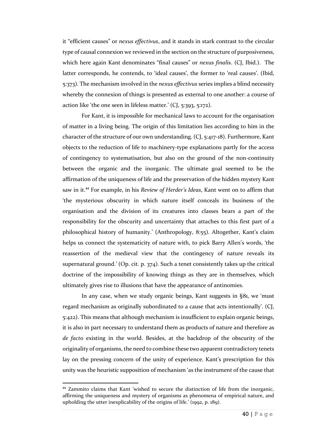it "efficient causes" or *nexus effectivus*, and it stands in stark contrast to the circular type of causal connexion we reviewed in the section on the structure of purposiveness, which here again Kant denominates "final causes" or *nexus finalis*. (CJ, Ibid.). The latter corresponds, he contends, to 'ideal causes', the former to 'real causes'. (Ibid, 5:373). The mechanism involved in the *nexus effectivus* series implies a blind necessity whereby the connexion of things is presented as external to one another: a course of action like 'the one seen in lifeless matter.' (CJ, 5:393, 5:172).

For Kant, it is impossible for mechanical laws to account for the organisation of matter in a living being. The origin of this limitation lies according to him in the character of the structure of our own understanding. (CJ, 5:417-18). Furthermore, Kant objects to the reduction of life to machinery-type explanations partly for the access of contingency to systematisation, but also on the ground of the non-continuity between the organic and the inorganic. The ultimate goal seemed to be the affirmation of the uniqueness of life and the preservation of the hidden mystery Kant saw in it.<sup>44</sup> For example, in his *Review of Herder's Ideas*, Kant went on to affirm that 'the mysterious obscurity in which nature itself conceals its business of the organisation and the division of its creatures into classes bears a part of the responsibility for the obscurity and uncertainty that attaches to this first part of a philosophical history of humanity.' (Anthropology, 8:55). Altogether, Kant's claim helps us connect the systematicity of nature with, to pick Barry Allen's words, 'the reassertion of the medieval view that the contingency of nature reveals its supernatural ground.' (Op. cit. p. 374). Such a tenet consistently takes up the critical doctrine of the impossibility of knowing things as they are in themselves, which ultimately gives rise to illusions that have the appearance of antinomies.

In any case, when we study organic beings, Kant suggests in §81, we 'must regard mechanism as originally subordinated to a cause that acts intentionally'. (CJ, 5:422). This means that although mechanism is insufficient to explain organic beings, it is also in part necessary to understand them as products of nature and therefore as *de facto* existing in the world. Besides, at the backdrop of the obscurity of the originality of organisms, the need to combine these two apparent contradictory tenets lay on the pressing concern of the unity of experience. Kant's prescription for this unity was the heuristic supposition of mechanism 'as the instrument of the cause that

<sup>&</sup>lt;sup>44</sup> Zammito claims that Kant 'wished to secure the distinction of life from the inorganic, affirming the uniqueness and mystery of organisms as phenomena of empirical nature, and upholding the utter inexplicability of the origins of life.' (1992, p. 189).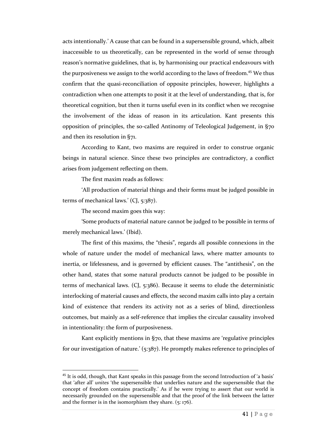acts intentionally.' A cause that can be found in a supersensible ground, which, albeit inaccessible to us theoretically, can be represented in the world of sense through reason's normative guidelines, that is, by harmonising our practical endeavours with the purposiveness we assign to the world according to the laws of freedom.<sup>45</sup> We thus confirm that the quasi-reconciliation of opposite principles, however, highlights a contradiction when one attempts to posit it at the level of understanding, that is, for theoretical cognition, but then it turns useful even in its conflict when we recognise the involvement of the ideas of reason in its articulation. Kant presents this opposition of principles, the so-called Antinomy of Teleological Judgement, in §70 and then its resolution in §71.

According to Kant, two maxims are required in order to construe organic beings in natural science. Since these two principles are contradictory, a conflict arises from judgement reflecting on them.

The first maxim reads as follows:

'All production of material things and their forms must be judged possible in terms of mechanical laws.' (CJ, 5:387).

The second maxim goes this way:

 $\overline{\phantom{a}}$ 

'Some products of material nature cannot be judged to be possible in terms of merely mechanical laws.' (Ibid).

The first of this maxims, the "thesis", regards all possible connexions in the whole of nature under the model of mechanical laws, where matter amounts to inertia, or lifelessness, and is governed by efficient causes. The "antithesis", on the other hand, states that some natural products cannot be judged to be possible in terms of mechanical laws. (CJ, 5:386). Because it seems to elude the deterministic interlocking of material causes and effects, the second maxim calls into play a certain kind of existence that renders its activity not as a series of blind, directionless outcomes, but mainly as a self-reference that implies the circular causality involved in intentionality: the form of purposiveness.

Kant explicitly mentions in §70, that these maxims are 'regulative principles for our investigation of nature.' (5:387). He promptly makes reference to principles of

 $45$  It is odd, though, that Kant speaks in this passage from the second Introduction of 'a basis' that 'after all' *unites* 'the supersensible that underlies nature and the supersensible that the concept of freedom contains practically.' As if he were trying to assert that our world is necessarily grounded on the supersensible and that the proof of the link between the latter and the former is in the isomorphism they share. (5: 176).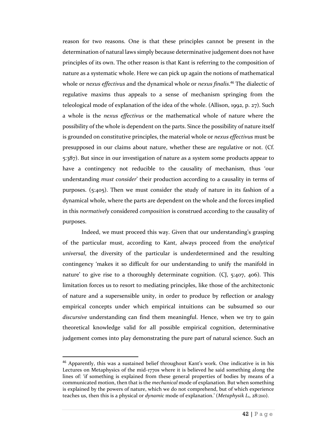reason for two reasons. One is that these principles cannot be present in the determination of natural laws simply because determinative judgement does not have principles of its own. The other reason is that Kant is referring to the composition of nature as a systematic whole. Here we can pick up again the notions of mathematical whole or *nexus effectivus* and the dynamical whole or *nexus finalis*. <sup>46</sup> The dialectic of regulative maxims thus appeals to a sense of mechanism springing from the teleological mode of explanation of the idea of the whole. (Allison, 1992, p. 27). Such a whole is the *nexus effectivus* or the mathematical whole of nature where the possibility of the whole is dependent on the parts. Since the possibility of nature itself is grounded on constitutive principles, the material whole or *nexus effectivus* must be presupposed in our claims about nature, whether these are regulative or not. (Cf. 5:387). But since in our investigation of nature as a system some products appear to have a contingency not reducible to the causality of mechanism, thus 'our understanding *must consider*' their production according to a causality in terms of purposes. (5:405). Then we must consider the study of nature in its fashion of a dynamical whole, where the parts are dependent on the whole and the forces implied in this *normatively* considered *composition* is construed according to the causality of purposes.

Indeed, we must proceed this way. Given that our understanding's grasping of the particular must, according to Kant, always proceed from the *analytical universal*, the diversity of the particular is underdetermined and the resulting contingency 'makes it so difficult for our understanding to unify the manifold in nature' to give rise to a thoroughly determinate cognition. (CJ, 5:407, 406). This limitation forces us to resort to mediating principles, like those of the architectonic of nature and a supersensible unity, in order to produce by reflection or analogy empirical concepts under which empirical intuitions can be subsumed so our *discursive* understanding can find them meaningful. Hence, when we try to gain theoretical knowledge valid for all possible empirical cognition, determinative judgement comes into play demonstrating the pure part of natural science. Such an

<sup>46</sup> Apparently, this was a sustained belief throughout Kant's work. One indicative is in his Lectures on Metaphysics of the mid-1770s where it is believed he said something along the lines of: 'if something is explained from these general properties of bodies by means of a communicated motion, then that is the *mechanical* mode of explanation. But when something is explained by the powers of nature, which we do not comprehend, but of which experience teaches us, then this is a physical or *dynamic* mode of explanation.' (*Metaphysik L1*, 28:210).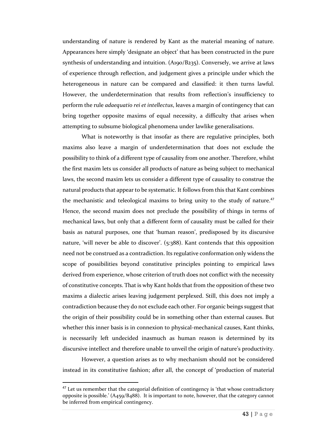understanding of nature is rendered by Kant as the material meaning of nature. Appearances here simply 'designate an object' that has been constructed in the pure synthesis of understanding and intuition. (A190/B235). Conversely, we arrive at laws of experience through reflection, and judgement gives a principle under which the heterogeneous in nature can be compared and classified: it then turns lawful. However, the underdetermination that results from reflection's insufficiency to perform the rule *adaequatio rei et intellectus*, leaves a margin of contingency that can bring together opposite maxims of equal necessity, a difficulty that arises when attempting to subsume biological phenomena under lawlike generalisations.

What is noteworthy is that insofar as there are regulative principles, both maxims also leave a margin of underdetermination that does not exclude the possibility to think of a different type of causality from one another. Therefore, whilst the first maxim lets us consider all products of nature as being subject to mechanical laws, the second maxim lets us consider a different type of causality to construe the natural products that appear to be systematic. It follows from this that Kant combines the mechanistic and teleological maxims to bring unity to the study of nature.<sup>47</sup> Hence, the second maxim does not preclude the possibility of things in terms of mechanical laws, but only that a different form of causality must be called for their basis as natural purposes, one that 'human reason', predisposed by its discursive nature, 'will never be able to discover'. (5:388). Kant contends that this opposition need not be construed as a contradiction. Its regulative conformation only widens the scope of possibilities beyond constitutive principles pointing to empirical laws derived from experience, whose criterion of truth does not conflict with the necessity of constitutive concepts. That is why Kant holds that from the opposition of these two maxims a dialectic arises leaving judgement perplexed. Still, this does not imply a contradiction because they do not exclude each other. For organic beings suggest that the origin of their possibility could be in something other than external causes. But whether this inner basis is in connexion to physical-mechanical causes, Kant thinks, is necessarily left undecided inasmuch as human reason is determined by its discursive intellect and therefore unable to unveil the origin of nature's productivity.

However, a question arises as to why mechanism should not be considered instead in its constitutive fashion; after all, the concept of 'production of material

 $47$  Let us remember that the categorial definition of contingency is 'that whose contradictory opposite is possible.' (A459/B488). It is important to note, however, that the category cannot be inferred from empirical contingency.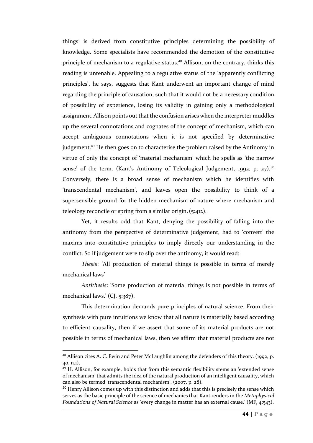things' is derived from constitutive principles determining the possibility of knowledge. Some specialists have recommended the demotion of the constitutive principle of mechanism to a regulative status.<sup>48</sup> Allison, on the contrary, thinks this reading is untenable. Appealing to a regulative status of the 'apparently conflicting principles', he says, suggests that Kant underwent an important change of mind regarding the principle of causation, such that it would not be a necessary condition of possibility of experience, losing its validity in gaining only a methodological assignment.Allison points out that the confusion arises when the interpreter muddles up the several connotations and cognates of the concept of mechanism, which can accept ambiguous connotations when it is not specified by determinative judgement.<sup>49</sup> He then goes on to characterise the problem raised by the Antinomy in virtue of only the concept of 'material mechanism' which he spells as 'the narrow sense' of the term. (Kant's Antinomy of Teleological Judgement, 1992, p.  $27$ ).<sup>50</sup> Conversely, there is a broad sense of mechanism which he identifies with 'transcendental mechanism', and leaves open the possibility to think of a supersensible ground for the hidden mechanism of nature where mechanism and teleology reconcile or spring from a similar origin.(5:412).

Yet, it results odd that Kant, denying the possibility of falling into the antinomy from the perspective of determinative judgement, had to 'convert' the maxims into constitutive principles to imply directly our understanding in the conflict. So if judgement were to slip over the antinomy, it would read:

*Thesis*: 'All production of material things is possible in terms of merely mechanical laws'

*Antithesis*: 'Some production of material things is not possible in terms of mechanical laws.' (CJ, 5:387).

This determination demands pure principles of natural science. From their synthesis with pure intuitions we know that all nature is materially based according to efficient causality, then if we assert that some of its material products are not possible in terms of mechanical laws, then we affirm that material products are not

<sup>&</sup>lt;sup>48</sup> Allison cites A. C. Ewin and Peter McLaughlin among the defenders of this theory. (1992, p. 40, n.1).

<sup>&</sup>lt;sup>49</sup> H. Allison, for example, holds that from this semantic flexibility stems an 'extended sense of mechanism' that admits the idea of the natural production of an intelligent causality, which can also be termed 'transcendental mechanism'. (2007, p. 28).

<sup>&</sup>lt;sup>50</sup> Henry Allison comes up with this distinction and adds that this is precisely the sense which serves as the basic principle of the science of mechanics that Kant renders in the *Metaphysical Foundations of Natural Science* as 'every change in matter has an external cause.' (MF, 4:543).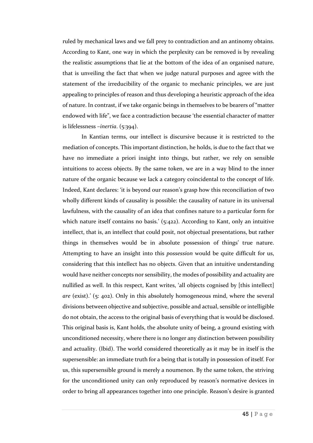ruled by mechanical laws and we fall prey to contradiction and an antinomy obtains. According to Kant, one way in which the perplexity can be removed is by revealing the realistic assumptions that lie at the bottom of the idea of an organised nature, that is unveiling the fact that when we judge natural purposes and agree with the statement of the irreducibility of the organic to mechanic principles, we are just appealing to principles of reason and thus developing a heuristic approach of the idea of nature. In contrast, if we take organic beings in themselves to be bearers of "matter endowed with life", we face a contradiction because 'the essential character of matter is lifelessness –*inertia*. (5:394).

In Kantian terms, our intellect is discursive because it is restricted to the mediation of concepts. This important distinction, he holds, is due to the fact that we have no immediate a priori insight into things, but rather, we rely on sensible intuitions to access objects. By the same token, we are in a way blind to the inner nature of the organic because we lack a category coincidental to the concept of life. Indeed, Kant declares: 'it is beyond our reason's grasp how this reconciliation of two wholly different kinds of causality is possible: the causality of nature in its universal lawfulness, with the causality of an idea that confines nature to a particular form for which nature itself contains no basis.' (5:422). According to Kant, only an intuitive intellect, that is, an intellect that could posit, not objectual presentations, but rather things in themselves would be in absolute possession of things' true nature. Attempting to have an insight into this *possession* would be quite difficult for us, considering that this intellect has no objects. Given that an intuitive understanding would have neither concepts nor sensibility, the modes of possibility and actuality are nullified as well. In this respect, Kant writes, 'all objects cognised by [this intellect] *are* (exist).' (5: 402). Only in this absolutely homogeneous mind, where the several divisions between objective and subjective, possible and actual, sensible or intelligible do not obtain, the access to the original basis of everything that is would be disclosed. This original basis is, Kant holds, the absolute unity of being, a ground existing with unconditioned necessity, where there is no longer any distinction between possibility and actuality. (Ibid). The world considered theoretically as it may be in itself is the supersensible: an immediate truth for a being that is totally in possession of itself. For us, this supersensible ground is merely a noumenon. By the same token, the striving for the unconditioned unity can only reproduced by reason's normative devices in order to bring all appearances together into one principle. Reason's desire is granted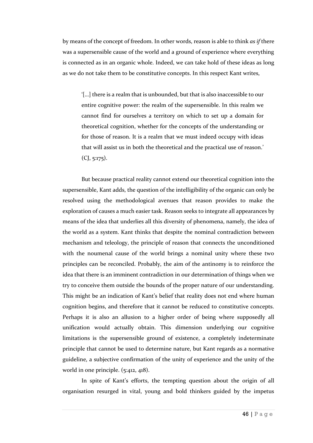by means of the concept of freedom. In other words, reason is able to think *as if* there was a supersensible cause of the world and a ground of experience where everything is connected as in an organic whole. Indeed, we can take hold of these ideas as long as we do not take them to be constitutive concepts. In this respect Kant writes,

'[…] there is a realm that is unbounded, but that is also inaccessible to our entire cognitive power: the realm of the supersensible. In this realm we cannot find for ourselves a territory on which to set up a domain for theoretical cognition, whether for the concepts of the understanding or for those of reason. It is a realm that we must indeed occupy with ideas that will assist us in both the theoretical and the practical use of reason.'  $(CJ, 5:175)$ .

But because practical reality cannot extend our theoretical cognition into the supersensible, Kant adds, the question of the intelligibility of the organic can only be resolved using the methodological avenues that reason provides to make the exploration of causes a much easier task. Reason seeks to integrate all appearances by means of the idea that underlies all this diversity of phenomena, namely, the idea of the world as a system. Kant thinks that despite the nominal contradiction between mechanism and teleology, the principle of reason that connects the unconditioned with the noumenal cause of the world brings a nominal unity where these two principles can be reconciled. Probably, the aim of the antinomy is to reinforce the idea that there is an imminent contradiction in our determination of things when we try to conceive them outside the bounds of the proper nature of our understanding. This might be an indication of Kant's belief that reality does not end where human cognition begins, and therefore that it cannot be reduced to constitutive concepts. Perhaps it is also an allusion to a higher order of being where supposedly all unification would actually obtain. This dimension underlying our cognitive limitations is the supersensible ground of existence, a completely indeterminate principle that cannot be used to determine nature, but Kant regards as a normative guideline, a subjective confirmation of the unity of experience and the unity of the world in one principle. (5:412, 418).

In spite of Kant's efforts, the tempting question about the origin of all organisation resurged in vital, young and bold thinkers guided by the impetus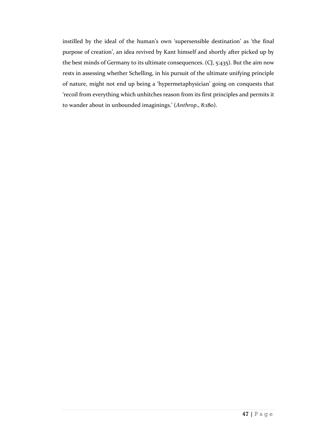instilled by the ideal of the human's own 'supersensible destination' as 'the final purpose of creation', an idea revived by Kant himself and shortly after picked up by the best minds of Germany to its ultimate consequences. (CJ, 5:435). But the aim now rests in assessing whether Schelling, in his pursuit of the ultimate unifying principle of nature, might not end up being a 'hypermetaphysician' going on conquests that 'recoil from everything which unhitches reason from its first principles and permits it to wander about in unbounded imaginings.' (*Anthrop*., 8:180).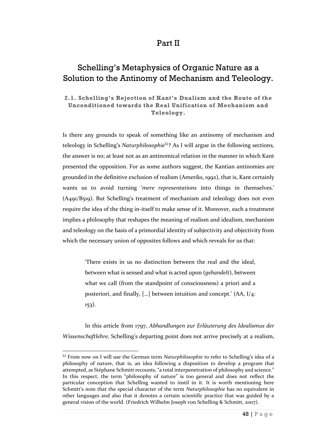## Part II

## Schelling's Metaphysics of Organic Nature as a Solution to the Antinomy of Mechanism and Teleology.

## **2.1. Schelling's Rejection of Kant's Dualism and the Route of the Unconditioned towards the Real Unification of Mechanism and Teleology.**

Is there any grounds to speak of something like an antinomy of mechanism and teleology in Schelling's *Naturphilosophie*<sup>51</sup>? As I will argue in the following sections, the answer is no; at least not as an antinomical relation in the manner in which Kant presented the opposition. For as some authors suggest, the Kantian antinomies are grounded in the definitive exclusion of realism (Ameriks, 1992), that is, Kant certainly wants us to avoid turning '*mere representations* into things in themselves.' (A491/B519). But Schelling's treatment of mechanism and teleology does not even require the idea of the thing in-itself to make sense of it. Moreover, such a treatment implies a philosophy that reshapes the meaning of realism and idealism, mechanism and teleology on the basis of a primordial identity of subjectivity and objectivity from which the necessary union of opposites follows and which reveals for us that:

> 'There exists in us no distinction between the real and the ideal, between what is sensed and what is acted upon (*gehandelt*), between what we call (from the standpoint of consciousness) a priori and a posteriori, and finally, […] between intuition and concept.' (AA, I/4: 153).

In this article from 1797, *Abhandlungen zur Erläuterung des Idealismus der Wissenschaftlehre*, Schelling's departing point does not arrive precisely at a realism,

<sup>51</sup> From now on I will use the German term *Naturphilosophie* to refer to Schelling's idea of a philosophy of nature, that is, an idea following a disposition to develop a program that attempted, as Stéphane Schmitt recounts, "a total interpenetration of philosophy and science." In this respect, the term "philosophy of nature" is too general and does not reflect the particular conception that Schelling wanted to instil in it. It is worth mentioning here Schmitt's note that the special character of the term *Naturphilosophie* has no equivalent in other languages and also that it denotes a certain scientific practice that was guided by a general vision of the world. (Friedrich Wilhelm Joseph von Schelling & Schmitt, 2007).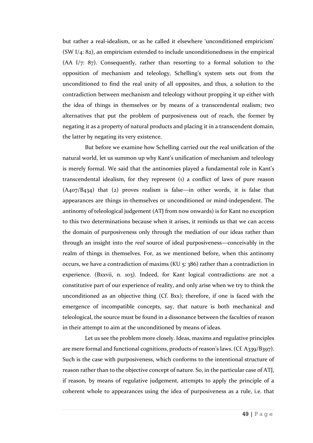but rather a real-idealism, or as he called it elsewhere 'unconditioned empiricism' (SW I/4: 82), an empiricism extended to include unconditionedness in the empirical (AA I/7: 87). Consequently, rather than resorting to a formal solution to the opposition of mechanism and teleology, Schelling's system sets out from the unconditioned to find the real unity of all opposites, and thus, a solution to the contradiction between mechanism and teleology without propping it up either with the idea of things in themselves or by means of a transcendental realism; two alternatives that put the problem of purposiveness out of reach, the former by negating it as a property of natural products and placing it in a transcendent domain, the latter by negating its very existence.

But before we examine how Schelling carried out the real unification of the natural world, let us summon up why Kant's unification of mechanism and teleology is merely formal. We said that the antinomies played a fundamental role in Kant's transcendental idealism, for they represent (1) a conflict of laws of pure reason  $(A407/B434)$  that (2) proves realism is false—in other words, it is false that appearances are things in-themselves or unconditioned or mind-independent. The antinomy of teleological judgement (ATJ from now onwards) is for Kant no exception to this two determinations because when it arises, it reminds us that we can access the domain of purposiveness only through the mediation of our ideas rather than through an insight into the *real* source of ideal purposiveness—conceivably in the realm of things in themselves. For, as we mentioned before, when this antinomy occurs, we have a contradiction of maxims (KU 5: 386) rather than a contradiction in experience. (Bxxvii, n. 103). Indeed, for Kant logical contradictions are not a constitutive part of our experience of reality, and only arise when we try to think the unconditioned as an objective thing (Cf. Bxx); therefore, if one is faced with the emergence of incompatible concepts, say, that nature is both mechanical and teleological, the source must be found in a dissonance between the faculties of reason in their attempt to aim at the unconditioned by means of ideas.

Let us see the problem more closely. Ideas, maxims and regulative principles are mere formal and functional cognitions, products of reason's laws. (Cf. A339/B397). Such is the case with purposiveness, which conforms to the intentional structure of reason rather than to the objective concept of nature. So, in the particular case of ATJ, if reason, by means of regulative judgement, attempts to apply the principle of a coherent whole to appearances using the idea of purposiveness as a rule, i.e. that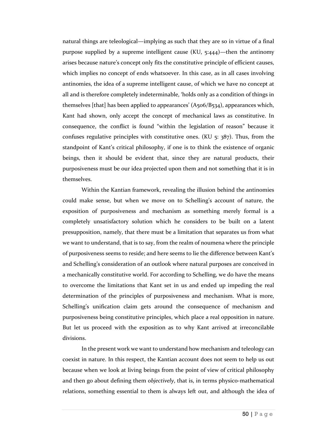natural things are teleological—implying as such that they are so in virtue of a final purpose supplied by a supreme intelligent cause (KU, 5:444)—then the antinomy arises because nature's concept only fits the constitutive principle of efficient causes, which implies no concept of ends whatsoever. In this case, as in all cases involving antinomies, the idea of a supreme intelligent cause, of which we have no concept at all and is therefore completely indeterminable, 'holds only as a condition of things in themselves [that] has been applied to appearances' (A506/B534), appearances which, Kant had shown, only accept the concept of mechanical laws as constitutive. In consequence, the conflict is found "within the legislation of reason" because it confuses regulative principles with constitutive ones. (KU  $\overline{5}$ :  $\overline{387}$ ). Thus, from the standpoint of Kant's critical philosophy, if one is to think the existence of organic beings, then it should be evident that, since they are natural products, their purposiveness must be our idea projected upon them and not something that it is in themselves.

Within the Kantian framework, revealing the illusion behind the antinomies could make sense, but when we move on to Schelling's account of nature, the exposition of purposiveness and mechanism as something merely formal is a completely unsatisfactory solution which he considers to be built on a latent presupposition, namely, that there must be a limitation that separates us from what we want to understand, that is to say, from the realm of noumena where the principle of purposiveness seems to reside; and here seems to lie the difference between Kant's and Schelling's consideration of an outlook where natural purposes are conceived in a mechanically constitutive world. For according to Schelling, we do have the means to overcome the limitations that Kant set in us and ended up impeding the real determination of the principles of purposiveness and mechanism. What is more, Schelling's unification claim gets around the consequence of mechanism and purposiveness being constitutive principles, which place a real opposition in nature. But let us proceed with the exposition as to why Kant arrived at irreconcilable divisions.

In the present work we want to understand how mechanism and teleology can coexist in nature. In this respect, the Kantian account does not seem to help us out because when we look at living beings from the point of view of critical philosophy and then go about defining them *objectively*, that is, in terms physico-mathematical relations, something essential to them is always left out, and although the idea of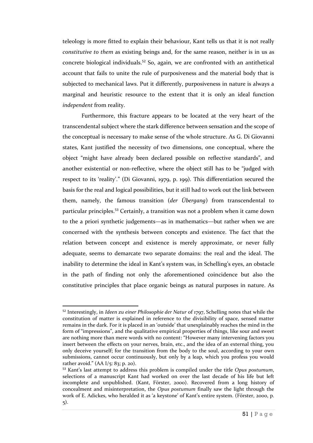teleology is more fitted to explain their behaviour, Kant tells us that it is not really *constitutive to them* as existing beings and, for the same reason, neither is in us as concrete biological individuals.<sup>52</sup> So, again, we are confronted with an antithetical account that fails to unite the rule of purposiveness and the material body that is subjected to mechanical laws. Put it differently, purposiveness in nature is always a marginal and heuristic resource to the extent that it is only an ideal function *independent* from reality.

Furthermore, this fracture appears to be located at the very heart of the transcendental subject where the stark difference between sensation and the scope of the conceptual is necessary to make sense of the whole structure. As G. Di Giovanni states, Kant justified the necessity of two dimensions, one conceptual, where the object "might have already been declared possible on reflective standards", and another existential or non-reflective, where the object still has to be "judged with respect to its 'reality'." (Di Giovanni, 1979, p. 199). This differentiation secured the basis for the real and logical possibilities, but it still had to work out the link between them, namely, the famous transition (*der Übergang*) from transcendental to particular principles.<sup>53</sup> Certainly, a transition was not a problem when it came down to the a priori synthetic judgements—as in mathematics—but rather when we are concerned with the synthesis between concepts and existence. The fact that the relation between concept and existence is merely approximate, or never fully adequate, seems to demarcate two separate domains: the real and the ideal. The inability to determine the ideal in Kant's system was, in Schelling's eyes, an obstacle in the path of finding not only the aforementioned coincidence but also the constitutive principles that place organic beings as natural purposes in nature. As

<sup>52</sup> Interestingly, in *Ideen zu einer Philosophie der Natur* of 1797, Schelling notes that while the constitution of matter is explained in reference to the divisibility of space, sensed matter remains in the dark. For it is placed in an 'outside' that unexplainably reaches the mind in the form of "impressions", and the qualitative empirical properties of things, like sour and sweet are nothing more than mere words with no content: "However many intervening factors you insert between the effects on your nerves, brain, etc., and the idea of an external thing, you only deceive yourself; for the transition from the body to the soul, according to your own submissions, cannot occur continuously, but only by a leap, which you profess you would rather avoid."  $(AA I/5: 83; p. 20)$ .

<sup>53</sup> Kant's last attempt to address this problem is compiled under the title *Opus postumum*, selections of a manuscript Kant had worked on over the last decade of his life but left incomplete and unpublished. (Kant, Förster, 2000). Recovered from a long history of concealment and misinterpretation, the *Opus postumum* finally saw the light through the work of E. Adickes, who heralded it as 'a keystone' of Kant's entire system. (Förster, 2000, p. 5).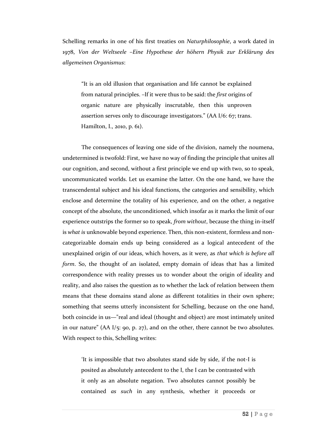Schelling remarks in one of his first treaties on *Naturphilosophie*, a work dated in 1978, *Von der Weltseele –Eine Hypothese der höhern Physik zur Erklärung des allgemeinen Organismus*:

"It is an old illusion that organisation and life cannot be explained from natural principles. –If it were thus to be said: the *first* origins of organic nature are physically inscrutable, then this unproven assertion serves only to discourage investigators." (AA I/6: 67; trans. Hamilton, I., 2010, p. 61).

The consequences of leaving one side of the division, namely the noumena, undetermined is twofold: First, we have no way of finding the principle that unites all our cognition, and second, without a first principle we end up with two, so to speak, uncommunicated worlds. Let us examine the latter. On the one hand, we have the transcendental subject and his ideal functions, the categories and sensibility, which enclose and determine the totality of his experience, and on the other, a negative concept of the absolute, the unconditioned, which insofar as it marks the limit of our experience outstrips the former so to speak, *from without*, because the thing in-itself is *what is* unknowable beyond experience. Then, this non-existent, formless and noncategorizable domain ends up being considered as a logical antecedent of the unexplained origin of our ideas, which hovers, as it were, as *that which is before all form*. So, the thought of an isolated, empty domain of ideas that has a limited correspondence with reality presses us to wonder about the origin of ideality and reality, and also raises the question as to whether the lack of relation between them means that these domains stand alone as different totalities in their own sphere; something that seems utterly inconsistent for Schelling, because on the one hand, both coincide in us—"real and ideal (thought and object) are most intimately united in our nature" (AA I/5: 90, p. 27), and on the other, there cannot be two absolutes. With respect to this, Schelling writes:

'It is impossible that two absolutes stand side by side, if the not-I is posited as absolutely antecedent to the I, the I can be contrasted with it only as an absolute negation. Two absolutes cannot possibly be contained *as such* in any synthesis, whether it proceeds or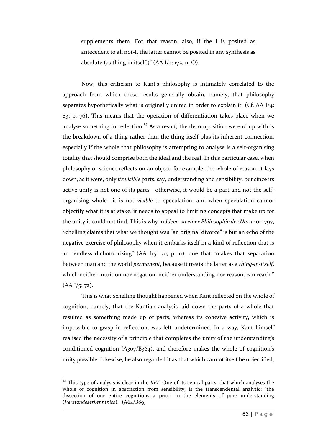supplements them. For that reason, also, if the I is posited as antecedent to all not-I, the latter cannot be posited in any synthesis as absolute (as thing in itself.)"  $(AA I/2: 172, n. O)$ .

Now, this criticism to Kant's philosophy is intimately correlated to the approach from which these results generally obtain, namely, that philosophy separates hypothetically what is originally united in order to explain it. (Cf. AA I/4: 83; p. 76). This means that the operation of differentiation takes place when we analyse something in reflection.<sup>54</sup> As a result, the decomposition we end up with is the breakdown of a thing rather than the thing itself plus its inherent connection, especially if the whole that philosophy is attempting to analyse is a self-organising totality that should comprise both the ideal and the real. In this particular case, when philosophy or science reflects on an object, for example, the whole of reason, it lays down, as it were, only *its visible* parts, say, understanding and sensibility, but since its active unity is not one of its parts—otherwise, it would be a part and not the selforganising whole—it is not *visible* to speculation, and when speculation cannot objectify what it is at stake, it needs to appeal to limiting concepts that make up for the unity it could not find. This is why in *Ideen zu einer Philosophie der Natur* of 1797, Schelling claims that what we thought was "an original divorce" is but an echo of the negative exercise of philosophy when it embarks itself in a kind of reflection that is an "endless dichotomizing" (AA I/5: 70, p. 11), one that "makes that separation between man and the world *permanent*, because it treats the latter as a *thing-in-itself*, which neither intuition nor negation, neither understanding nor reason, can reach."  $(AA I/5: 72).$ 

This is what Schelling thought happened when Kant reflected on the whole of cognition, namely, that the Kantian analysis laid down the parts of a whole that resulted as something made up of parts, whereas its cohesive activity, which is impossible to grasp in reflection, was left undetermined. In a way, Kant himself realised the necessity of a principle that completes the unity of the understanding's conditioned cognition (A307/B364), and therefore makes the whole of cognition's unity possible. Likewise, he also regarded it as that which cannot itself be objectified,

<sup>54</sup> This type of analysis is clear in the *KrV*. One of its central parts, that which analyses the whole of cognition in abstraction from sensibility, is the transcendental analytic: "the dissection of our entire cognitions a priori in the elements of pure understanding (*Verstandeserkenntniss*)." (A64/B89)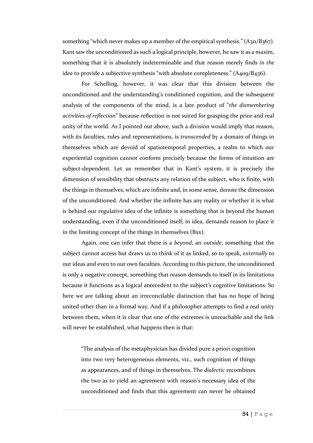something "which never makes up a member of the empirical synthesis."  $(A_{311}/B_{367})$ . Kant saw the unconditioned as such a logical principle, however, he saw it as a maxim, something that it is absolutely indeterminable and that reason merely finds *in the idea* to provide a subjective synthesis "with absolute completeness." (A409/B436).

For Schelling, however, it was clear that this division between the unconditioned and the understanding's conditioned cognition, and the subsequent analysis of the components of the mind, is a late product of "*the dismembering activities of reflection*" because reflection is not suited for grasping the prior and real unity of the world. As I pointed out above, such a division would imply that reason, with its faculties, rules and representations, is *transcended* by a domain of things in themselves which are devoid of spatiotemporal properties, a realm to which our experiential cognition cannot conform precisely because the forms of intuition are subject-dependent. Let us remember that in Kant's system, it is precisely the dimension of sensibility that obstructs any relation of the subject, who is finite, with the things in themselves, which are infinite and, in some sense, denote the dimension of the unconditioned. And whether the infinite has any reality or whether it is what is behind our regulative idea of the infinite is something that is beyond the human understanding, even if the unconditioned itself, in idea, demands reason to place it in the limiting concept of the things in themselves (Bxx).

Again, one can infer that there is a *beyond*, an *outside*, something that the subject cannot access but draws us to think of it as linked, so to speak, *externally* to our ideas and even to our own faculties. According to this picture, the unconditioned is only a negative concept, something that reason demands to itself in its limitations because it functions as a logical antecedent to the subject's cognitive limitations. So here we are talking about an irreconcilable distinction that has no hope of being united other than in a formal way. And if a philosopher attempts to find a real unity between them, when it is clear that one of the extremes is unreachable and the link will never be established, what happens then is that:

"The analysis of the metaphysician has divided pure a priori cognition into two very heterogeneous elements, viz., such cognition of things as appearances, and of things in themselves. The *dialectic* recombines the two as to yield an agreement with reason's necessary idea of the unconditioned and finds that this agreement can never be obtained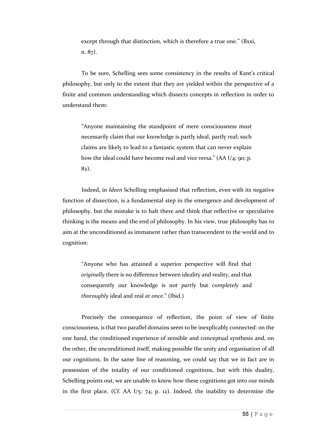except through that distinction, which is therefore a true one." (Bxxi, n. 87).

To be sure, Schelling sees some consistency in the results of Kant's critical philosophy, but only to the extent that they are yielded within the perspective of a finite and common understanding which dissects concepts in reflection in order to understand them:

"Anyone maintaining the standpoint of mere consciousness must necessarily claim that our knowledge is partly ideal, partly real; such claims are likely to lead to a fantastic system that can never explain how the ideal could have become real and vice versa." (AA I/4: 90; p. 82).

Indeed, in *Ideen* Schelling emphasised that reflection, even with its negative function of dissection, is a fundamental step in the emergence and development of philosophy, but the mistake is to halt there and think that reflective or speculative thinking is the means and the end of philosophy. In his view, true philosophy has to aim at the unconditioned as immanent rather than transcendent to the world and to cognition:

"Anyone who has attained a superior perspective will find that *originally* there is no difference between ideality and reality, and that consequently our knowledge is not *partly* but *completely* and *thoroughly* ideal and real *at once*." (Ibid.)

Precisely the consequence of reflection, the point of view of finite consciousness, is that two parallel domains seem to be inexplicably connected: on the one hand, the conditioned experience of sensible and conceptual synthesis and, on the other, the unconditioned itself, making possible the unity and organisation of all our cognitions. In the same line of reasoning, we could say that we in fact are in possession of the totality of our conditioned cognitions, but with this duality, Schelling points out, we are unable to know how these cognitions got into our minds in the first place. (Cf. AA  $I/5$ : 74; p. 12). Indeed, the inability to determine the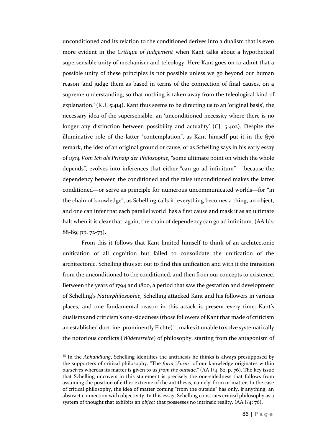unconditioned and its relation to the conditioned derives into a dualism that is even more evident in the *Critique of Judgement* when Kant talks about a hypothetical supersensible unity of mechanism and teleology. Here Kant goes on to admit that a possible unity of these principles is not possible unless we go beyond our human reason 'and judge them as based in terms of the connection of final causes, on a supreme understanding, so that nothing is taken away from the teleological kind of explanation.' (KU, 5:414). Kant thus seems to be directing us to an 'original basis', the necessary idea of the supersensible, an 'unconditioned necessity where there is no longer any distinction between possibility and actuality' (CJ, 5:402). Despite the illuminative role of the latter "contemplation", as Kant himself put it in the §76 remark, the idea of an original ground or cause, or as Schelling says in his early essay of 1974 *Vom Ich als Prinzip der Philosophie*, "some ultimate point on which the whole depends", evolves into inferences that either "can go ad infinitum" —because the dependency between the conditioned and the false unconditioned makes the latter conditioned—or serve as principle for numerous uncommunicated worlds—for "in the chain of knowledge", as Schelling calls it, everything becomes a thing, an object, and one can infer that each parallel world has a first cause and mask it as an ultimate halt when it is clear that, again, the chain of dependency can go ad infinitum. (AA I/2: 88-89; pp. 72-73).

From this it follows that Kant limited himself to think of an architectonic unification of all cognition but failed to consolidate the unification of the architectonic. Schelling thus set out to find this unification and with it the transition from the unconditioned to the conditioned, and then from our concepts to existence. Between the years of 1794 and 1800, a period that saw the gestation and development of Schelling's *Naturphilosophie*, Schelling attacked Kant and his followers in various places, and one fundamental reason in this attack is present every time: Kant's dualisms and criticism's one-sidedness (those followers of Kant that made of criticism an established doctrine, prominently Fichte)<sup>55</sup>, makes it unable to solve systematically the notorious conflicts (*Widerstreite*) of philosophy, starting from the antagonism of

<sup>55</sup> In the *Abhandlung*, Schelling identifies the antithesis he thinks is always presupposed by the supporters of critical philosophy: "The *form* [*Form*] of our knowledge originates within *ourselves* whereas its matter is given to us *from the outside*." (AA I/4: 82; p. 76). The key issue that Schelling uncovers in this statement is precisely the one-sidedness that follows from assuming the position of either extreme of the antithesis, namely, form or matter. In the case of critical philosophy, the idea of matter coming "from the outside" has only, if anything, an abstract connection with objectivity. In this essay, Schelling construes critical philosophy as a system of thought that exhibits an *object* that possesses no intrinsic reality. (AA I/4: 76).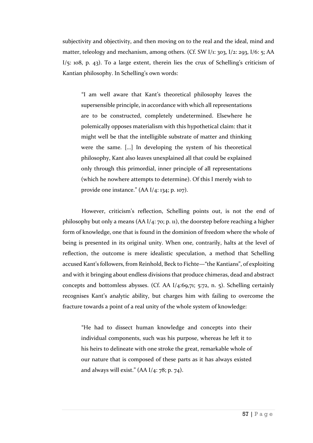subjectivity and objectivity, and then moving on to the real and the ideal, mind and matter, teleology and mechanism, among others. (Cf. SW I/1: 303, I/2: 293, I/6: 5; AA  $I/5$ : 108, p. 43). To a large extent, therein lies the crux of Schelling's criticism of Kantian philosophy. In Schelling's own words:

"I am well aware that Kant's theoretical philosophy leaves the supersensible principle, in accordance with which all representations are to be constructed, completely undetermined. Elsewhere he polemically opposes materialism with this hypothetical claim: that it might well be that the intelligible substrate of matter and thinking were the same. […] In developing the system of his theoretical philosophy, Kant also leaves unexplained all that could be explained only through this primordial, inner principle of all representations (which he nowhere attempts to determine). Of this I merely wish to provide one instance." (AA I/4: 134; p. 107).

However, criticism's reflection, Schelling points out, is not the end of philosophy but only a means (AA I/4: 70; p. 11), the doorstep before reaching a higher form of knowledge, one that is found in the dominion of freedom where the whole of being is presented in its original unity. When one, contrarily, halts at the level of reflection, the outcome is mere idealistic speculation, a method that Schelling accused Kant's followers, from Reinhold, Beck to Fichte—"the Kantians", of exploiting and with it bringing about endless divisions that produce chimeras, dead and abstract concepts and bottomless abysses. (Cf. AA I/4:69,71; 5:72, n. 5). Schelling certainly recognises Kant's analytic ability, but charges him with failing to overcome the fracture towards a point of a real unity of the whole system of knowledge:

"He had to dissect human knowledge and concepts into their individual components, such was his purpose, whereas he left it to his heirs to delineate with one stroke the great, remarkable whole of our nature that is composed of these parts as it has always existed and always will exist."  $(AA I/4: 78; p. 74)$ .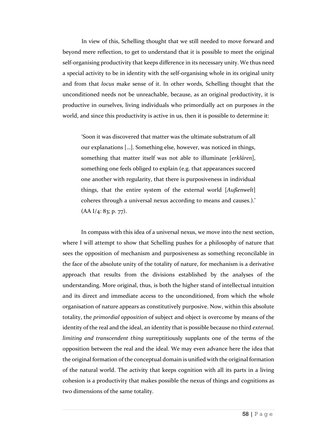In view of this, Schelling thought that we still needed to move forward and beyond mere reflection, to get to understand that it is possible to meet the original self-organising productivity that keeps difference in its necessary unity. We thus need a special activity to be in identity with the self-organising whole in its original unity and from that *locus* make sense of it. In other words, Schelling thought that the unconditioned needs not be unreachable, because, as an original productivity, it is productive in ourselves, living individuals who primordially act on purposes *in* the world, and since this productivity is active in us, then it is possible to determine it:

'Soon it was discovered that matter was the ultimate substratum of all our explanations […]. Something else, however, was noticed in things, something that matter itself was not able to illuminate [*erklären*], something one feels obliged to explain (e.g. that appearances succeed one another with regularity, that there is purposiveness in individual things, that the entire system of the external world [*Außenwelt*] coheres through a universal nexus according to means and causes.).'  $(AA I/4: 83; p. 77).$ 

In compass with this idea of a universal nexus, we move into the next section, where I will attempt to show that Schelling pushes for a philosophy of nature that sees the opposition of mechanism and purposiveness as something reconcilable in the face of the absolute unity of the totality of nature, for mechanism is a derivative approach that results from the divisions established by the analyses of the understanding. More original, thus, is both the higher stand of intellectual intuition and its direct and immediate access to the unconditioned, from which the whole organisation of nature appears as constitutively purposive. Now, within this absolute totality, the *primordial opposition* of subject and object is overcome by means of the identity of the real and the ideal, an identity that is possible because no third *external, limiting and transcendent thing* surreptitiously supplants one of the terms of the opposition between the real and the ideal. We may even advance here the idea that the original formation of the conceptual domain is unified with the original formation of the natural world. The activity that keeps cognition with all its parts in a living cohesion is a productivity that makes possible the nexus of things and cognitions as two dimensions of the same totality.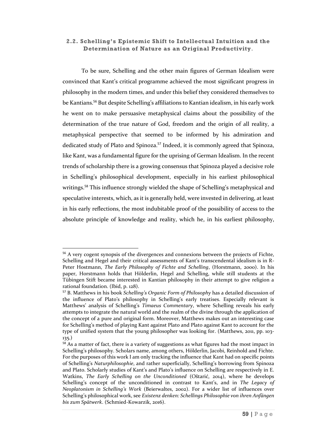## **2.2. Schelling's Epistemic Shift to Intellectual Intuition and the Determination of Nature as an Original Productivity**.

To be sure, Schelling and the other main figures of German Idealism were convinced that Kant's critical programme achieved the most significant progress in philosophy in the modern times, and under this belief they considered themselves to be Kantians.<sup>56</sup> But despite Schelling's affiliations to Kantian idealism, in his early work he went on to make persuasive metaphysical claims about the possibility of the determination of the true nature of God, freedom and the origin of all reality, a metaphysical perspective that seemed to be informed by his admiration and dedicated study of Plato and Spinoza.<sup>57</sup> Indeed, it is commonly agreed that Spinoza, like Kant, was a fundamental figure for the uprising of German Idealism. In the recent trends of scholarship there is a growing consensus that Spinoza played a decisive role in Schelling's philosophical development, especially in his earliest philosophical writings.<sup>58</sup> This influence strongly wielded the shape of Schelling's metaphysical and speculative interests, which, as it is generally held, were invested in delivering, at least in his early reflections, the most indubitable proof of the possibility of access to the absolute principle of knowledge and reality, which he, in his earliest philosophy,

<sup>&</sup>lt;sup>56</sup> A very cogent synopsis of the divergences and connexions between the projects of Fichte, Schelling and Hegel and their critical assessments of Kant's transcendental idealism is in R-Peter Hostmann, *The Early Philosophy of Fichte and Schelling*, (Horstmann, 2000). In his paper, Horstmann holds that Hölderlin, Hegel and Schelling, while still students at the Tübingen Stift became interested in Kantian philosophy in their attempt to give religion a rational foundation. (Ibid, p. 128).

<sup>57</sup> B. Matthews in his book *Schelling's Organic Form of Philosophy* has a detailed discussion of the influence of Plato's philosophy in Schelling's early treatises. Especially relevant is Matthews' analysis of Schelling's *Timaeus Commentary*, where Schelling reveals his early attempts to integrate the natural world and the realm of the divine through the application of the concept of a pure and original form. Moreover, Matthews makes out an interesting case for Schelling's method of playing Kant against Plato and Plato against Kant to account for the type of unified system that the young philosopher was looking for. (Matthews, 2011, pp. 103- 135.)

 $\frac{58}{38}$  As a matter of fact, there is a variety of suggestions as what figures had the most impact in Schelling's philosophy. Scholars name, among others, Hölderlin, Jacobi, Reinhold and Fichte. For the purposes of this work I am only tracking the influence that Kant had on specific points of Schelling's *Naturphilosophie*, and rather superficially, Schelling's borrowing from Spinoza and Plato. Scholarly studies of Kant's and Plato's influence on Schelling are respectively in E. Watkins, *The Early Schelling on the Unconditioned* (Oštarić, 2014), where he develops Schelling's concept of the unconditioned in contrast to Kant's, and in *The Legacy of Neoplatonism in Schelling's Work* (Beierwaltes, 2002). For a wider list of influences over Schelling's philosophical work, see *Existenz denken: Schellings Philosophie von ihren Anfängen bis zum Spätwerk*. (Schmied-Kowarzik, 2016).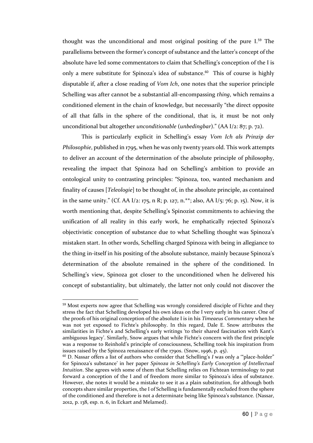thought was the unconditional and most original positing of the pure I.<sup>59</sup> The parallelisms between the former's concept of substance and the latter's concept of the absolute have led some commentators to claim that Schelling's conception of the I is only a mere substitute for Spinoza's idea of substance.<sup>60</sup> This of course is highly disputable if, after a close reading of *Vom Ich*, one notes that the superior principle Schelling was after cannot be a substantial all-encompassing *thing*, which remains a conditioned element in the chain of knowledge, but necessarily "the direct opposite of all that falls in the sphere of the conditional, that is, it must be not only unconditional but altogether *unconditionable* (*unbedingbar*)." (AA I/2: 87; p. 72).

This is particularly explicit in Schelling's essay *Vom Ich als Prinzip der Philosophie*, published in 1795, when he was only twenty years old. This work attempts to deliver an account of the determination of the absolute principle of philosophy, revealing the impact that Spinoza had on Schelling's ambition to provide an ontological unity to contrasting principles: "Spinoza, too, wanted mechanism and finality of causes [*Teleologie*] to be thought of, in the absolute principle, as contained in the same unity." (Cf. AA I/2: 175, n R; p. 127, n.\*\*; also, AA I/5: 76; p. 15). Now, it is worth mentioning that, despite Schelling's Spinozist commitments to achieving the unification of all reality in this early work, he emphatically rejected Spinoza's objectivistic conception of substance due to what Schelling thought was Spinoza's mistaken start. In other words, Schelling charged Spinoza with being in allegiance to the thing in-itself in his positing of the absolute substance, mainly because Spinoza's determination of the absolute remained in the sphere of the conditioned. In Schelling's view, Spinoza got closer to the unconditioned when he delivered his concept of substantiality, but ultimately, the latter not only could not discover the

<sup>&</sup>lt;sup>59</sup> Most experts now agree that Schelling was wrongly considered disciple of Fichte and they stress the fact that Schelling developed his own ideas on the I very early in his career. One of the proofs of his original conception of the absolute I is in his *Timeaeus Commentary* when he was not yet exposed to Fichte's philosophy. In this regard, Dale E. Snow attributes the similarities in Fichte's and Schelling's early writings 'to their shared fascination with Kant's ambiguous legacy'. Similarly, Snow argues that while Fichte's concern with the first principle was a response to Reinhold's principle of consciousness, Schelling took his inspiration from issues raised by the Spinoza renaissance of the 1790s. (Snow, 1996, p. 45).

<sup>60</sup> D. Nassar offers a list of authors who consider that Schelling's *I* was only a '"place-holder" for Spinoza's substance' in her paper *Spinoza in Schelling's Early Conception of Intellectual Intuition*. She agrees with some of them that Schelling relies on Fichtean terminology to put forward a conception of the I and of freedom more similar to Spinoza's idea of substance. However, she notes it would be a mistake to see it as a plain substitution, for although both concepts share similar properties, the I of Schelling is fundamentally excluded from the sphere of the conditioned and therefore is not a determinate being like Spinoza's substance. (Nassar, 2012, p. 138, esp. n. 6, in Eckart and Melamed).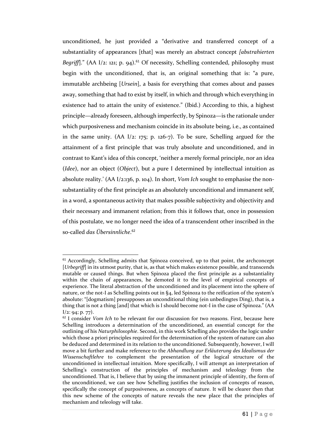unconditioned, he just provided a "derivative and transferred concept of a substantiality of appearances [that] was merely an abstract concept *[abstrahierten Begriff*]." (AA I/2: 121; p. 94).<sup>61</sup> Of necessity, Schelling contended, philosophy must begin with the unconditioned, that is, an original something that is: "a pure, immutable archbeing [*Ursein*], a basis for everything that comes about and passes away, something that had to exist by itself, in which and through which everything in existence had to attain the unity of existence." (Ibid.) According to this, a highest principle—already foreseen, although imperfectly, by Spinoza—is the rationale under which purposiveness and mechanism coincide in its absolute being, i.e., as contained in the same unity.  $(AA I/2: 175; p. 126-7)$ . To be sure, Schelling argued for the attainment of a first principle that was truly absolute and unconditioned, and in contrast to Kant's idea of this concept, 'neither a merely formal principle, nor an idea (*Idee*), nor an object (*Object*), but a pure I determined by intellectual intuition as absolute reality.' (AA I/2:136, p. 104). In short, *Vom Ich* sought to emphasise the nonsubstantiality of the first principle as an absolutely unconditional and immanent self, in a word, a spontaneous activity that makes possible subjectivity and objectivity and their necessary and immanent relation; from this it follows that, once in possession of this postulate, we no longer need the idea of a transcendent other inscribed in the so-called *das Übersinnliche*. 62

 $61$  Accordingly, Schelling admits that Spinoza conceived, up to that point, the archconcept [*Urbegriff*] in its utmost purity, that is, as that which makes existence possible, and transcends mutable or caused things. But when Spinoza placed the first principle as a substantiality within the chain of appearances, he demoted it to the level of empirical concepts of experience. The literal abstraction of the unconditioned and its placement into the sphere of nature, or the not-I as Schelling points out in §4, led Spinoza to the reification of the system's absolute: "[dogmatism] presupposes an unconditional thing (ein unbedingtes Ding), that is, a thing that is not a thing [and] that which is I should become not-I in the case of Spinoza." (AA  $I/2$ : 94; p. 77).

<sup>62</sup> I consider *Vom Ich* to be relevant for our discussion for two reasons. First, because here Schelling introduces a determination of the unconditioned, an essential concept for the outlining of his *Naturphilosophie*. Second, in this work Schelling also provides the logic under which those a priori principles required for the determination of the system of nature can also be deduced and determined in its relation to the unconditioned. Subsequently, however, I will move a bit further and make reference to the *Abhandlung zur Erläuterung des Idealismus der Wissenschaftlehre* to complement the presentation of the logical structure of the unconditioned in intellectual intuition. More specifically, I will attempt an interpretation of Schelling's construction of the principles of mechanism and teleology from the unconditioned. That is, I believe that by using the immanent principle of identity, the form of the unconditioned, we can see how Schelling justifies the inclusion of concepts of reason, specifically the concept of purposiveness, as concepts of nature. It will be clearer then that this new scheme of the concepts of nature reveals the new place that the principles of mechanism and teleology will take.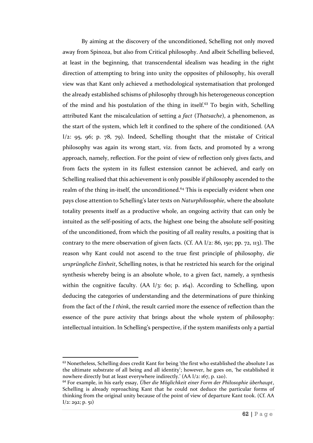By aiming at the discovery of the unconditioned, Schelling not only moved away from Spinoza, but also from Critical philosophy. And albeit Schelling believed, at least in the beginning, that transcendental idealism was heading in the right direction of attempting to bring into unity the opposites of philosophy, his overall view was that Kant only achieved a methodological systematisation that prolonged the already established schisms of philosophy through his heterogeneous conception of the mind and his postulation of the thing in itself.<sup>63</sup> To begin with, Schelling attributed Kant the miscalculation of setting a *fact* (*Thatsache*), a phenomenon, as the start of the system, which left it confined to the sphere of the conditioned. (AA  $I/2$ : 95, 96; p. 78, 79). Indeed, Schelling thought that the mistake of Critical philosophy was again its wrong start, viz. from facts, and promoted by a wrong approach, namely, reflection. For the point of view of reflection only gives facts, and from facts the system in its fullest extension cannot be achieved, and early on Schelling realised that this achievement is only possible if philosophy ascended to the realm of the thing in-itself, the unconditioned.<sup>64</sup> This is especially evident when one pays close attention to Schelling's later texts on *Naturphilosophie*, where the absolute totality presents itself as a productive whole, an ongoing activity that can only be intuited as the self-positing of acts, the highest one being the absolute self-positing of the unconditioned, from which the positing of all reality results, a positing that is contrary to the mere observation of given facts. (Cf. AA I/2: 86, 150; pp. 72, 113). The reason why Kant could not ascend to the true first principle of philosophy, *die ursprüngliche Einheit*, Schelling notes, is that he restricted his search for the original synthesis whereby being is an absolute whole, to a given fact, namely, a synthesis within the cognitive faculty. (AA I/3: 60; p. 164). According to Schelling, upon deducing the categories of understanding and the determinations of pure thinking from the fact of the *I think*, the result carried more the essence of reflection than the essence of the pure activity that brings about the whole system of philosophy: intellectual intuition. In Schelling's perspective, if the system manifests only a partial

<sup>&</sup>lt;sup>63</sup> Nonetheless, Schelling does credit Kant for being 'the first who established the absolute I as the ultimate substrate of all being and all identity'; however, he goes on, 'he established it nowhere directly but at least everywhere indirectly.' (AA I/2: 167, p. 120).

<sup>64</sup> For example, in his early essay, *Über die Möglichkeit einer Form der Philosophie überhaupt*, Schelling is already reproaching Kant that he could not deduce the particular forms of thinking from the original unity because of the point of view of departure Kant took. (Cf. AA  $I/2$ : 292; p. 51)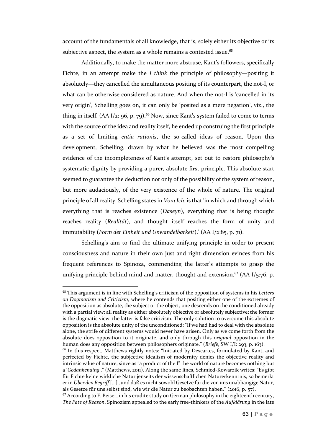account of the fundamentals of all knowledge, that is, solely either its objective or its subjective aspect, the system as a whole remains a contested issue.<sup>65</sup>

Additionally, to make the matter more abstruse, Kant's followers, specifically Fichte, in an attempt make the *I think* the principle of philosophy—positing it absolutely—they cancelled the simultaneous positing of its counterpart, the not-I, or what can be otherwise considered as nature. And when the not-I is 'cancelled in its very origin', Schelling goes on, it can only be 'posited as a mere negation', viz., the thing in itself. (AA I/2: 96, p. 79).<sup>66</sup> Now, since Kant's system failed to come to terms with the source of the idea and reality itself, he ended up construing the first principle as a set of limiting *entia rationis*, the so-called ideas of reason. Upon this development, Schelling, drawn by what he believed was the most compelling evidence of the incompleteness of Kant's attempt, set out to restore philosophy's systematic dignity by providing a purer, absolute first principle. This absolute start seemed to guarantee the deduction not only of the possibility of the system of reason, but more audaciously, of the very existence of the whole of nature. The original principle of all reality, Schelling states in *Vom Ich*, is that 'in which and through which everything that is reaches existence (*Daseyn*), everything that is being thought reaches reality (*Realität*), and thought itself reaches the form of unity and immutability (*Form der Einheit und Unwandelbarkeit*).' (AA I/2:85, p. 71).

Schelling's aim to find the ultimate unifying principle in order to present consciousness and nature in their own just and right dimension evinces from his frequent references to Spinoza, commending the latter's attempts to grasp the unifying principle behind mind and matter, thought and extension.<sup>67</sup> (AA I/5:76, p.

l

 $67$  According to F. Beiser, in his erudite study on German philosophy in the eighteenth century, *The Fate of Reason*, Spinozism appealed to the early free-thinkers of the *Aufklärung* in the late

<sup>65</sup> This argument is in line with Schelling's criticism of the opposition of systems in his *Letters on Dogmatism and Criticism*, where he contends that positing either one of the extremes of the opposition as absolute, the subject or the object, one descends on the conditioned already with a partial view: all reality as either absolutely objective or absolutely subjective; the former is the dogmatic view, the latter is false criticism. The only solution to overcome this absolute opposition is the absolute unity of the unconditioned: "If we had had to deal with the absolute alone, the strife of different systems would never have arisen. Only as we come forth from the absolute does opposition to it originate, and only through this *original* opposition in the human does any opposition between philosophers originate." (*Briefe*, SW I/I: 293, p. 163).

<sup>&</sup>lt;sup>66</sup> In this respect, Matthews rightly notes: "Initiated by Descartes, formulated by Kant, and perfected by Fichte, the subjective idealism of modernity denies the objective reality and intrinsic value of nature, since as "a product of the I" the world of nature becomes nothing but a '*Gedankending*'." (Matthews, 2011). Along the same lines, Schmied-Kowarzik writes: "Es gibt für Fichte keine wirkliche Natur jenseits der wissenschaftlichen Naturerkenntnis, so bemerkt er in Über den Begriff [...] "und daß es nicht sowohl Gesetze für die von uns unabhängige Natur, als Gesetze für uns selbst sind, wie wir die Natur zu beobachten haben." (2016, p. 57).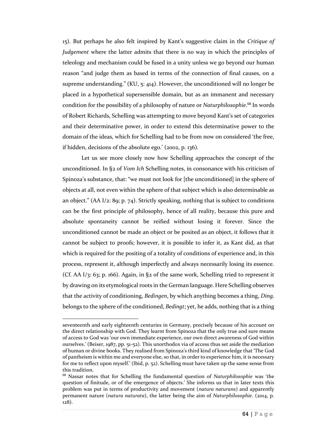15). But perhaps he also felt inspired by Kant's suggestive claim in the *Critique of Judgement* where the latter admits that there is no way in which the principles of teleology and mechanism could be fused in a unity unless we go beyond our human reason "and judge them as based in terms of the connection of final causes, on a supreme understanding." (KU, 5: 414). However, the unconditioned will no longer be placed in a hypothetical supersensible domain, but as an immanent and necessary condition for the possibility of a philosophy of nature or *Naturphilosophie*. <sup>68</sup> In words of Robert Richards, Schelling was attempting to move beyond Kant's set of categories and their determinative power, in order to extend this determinative power to the domain of the ideas, which for Schelling had to be from now on considered 'the free, if hidden, decisions of the absolute ego.' (2002, p. 136).

Let us see more closely now how Schelling approaches the concept of the unconditioned. In §2 of *Vom Ich* Schelling notes, in consonance with his criticism of Spinoza's substance, that: "we must not look for [the unconditioned] in the sphere of objects at all, not even within the sphere of that subject which is also determinable as an object." (AA I/2: 89; p. 74). Strictly speaking, nothing that is subject to conditions can be the first principle of philosophy, hence of all reality, because this pure and absolute spontaneity cannot be reified without losing it forever. Since the unconditioned cannot be made an object or be posited as an object, it follows that it cannot be subject to proofs; however, it is possible to infer it, as Kant did, as that which is required for the positing of a totality of conditions of experience and, in this process, represent it, although imperfectly and always necessarily losing its essence. (Cf. AA I/3: 63; p. 166). Again, in §2 of the same work, Schelling tried to represent it by drawing on its etymological roots in the German language. Here Schelling observes that the activity of conditioning, *Bedingen*, by which anything becomes a thing, *Ding,* belongs to the sphere of the conditioned, *Bedingt*; yet, he adds, nothing that is a thing

seventeenth and early eighteenth centuries in Germany, precisely because of his account on the direct relationship with God. They learnt from Spinoza that the only true and sure means of access to God was 'our own immediate experience, our own direct awareness of God within ourselves.' (Beiser, 1987, pp. 51-52). This unorthodox via of access thus set aside the mediation of human or divine books. They realised from Spinoza's third kind of knowledge that 'The God of pantheism is within me and everyone else, so that, in order to experience him, it is necessary for me to reflect upon myself.' (Ibid, p. 52). Schelling must have taken up the same sense from this tradition.

<sup>68</sup> Nassar notes that for Schelling the fundamental question of *Naturphilosophie* was 'the question of finitude, or of the emergence of objects.' She informs us that in later texts this problem was put in terms of productivity and movement (*natura naturans*) and apparently permanent nature (*natura naturata*), the latter being the aim of *Naturphilosophie*. (2014, p. 128).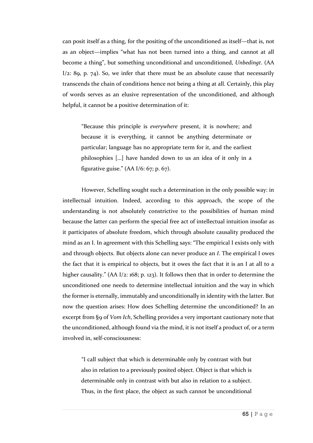can posit itself as a thing, for the positing of the unconditioned as itself—that is, not as an object—implies "what has not been turned into a thing, and cannot at all become a thing", but something unconditional and unconditioned, *Unbedingt*. (AA  $I/z$ : 89, p. 74). So, we infer that there must be an absolute cause that necessarily transcends the chain of conditions hence not being a thing at all. Certainly, this play of words serves as an elusive representation of the unconditioned, and although helpful, it cannot be a positive determination of it:

"Because this principle is *everywhere* present, it is nowhere; and because it is everything, it cannot be anything determinate or particular; language has no appropriate term for it, and the earliest philosophies […] have handed down to us an idea of it only in a figurative guise." (AA I/6: 67; p. 67).

However, Schelling sought such a determination in the only possible way: in intellectual intuition. Indeed, according to this approach, the scope of the understanding is not absolutely constrictive to the possibilities of human mind because the latter can perform the special free act of intellectual intuition insofar as it participates of absolute freedom, which through absolute causality produced the mind as an I. In agreement with this Schelling says: "The empirical I exists only with and through objects. But objects alone can never produce an *I*. The empirical I owes the fact that it is empirical to objects, but it owes the fact that it is an I at all to a higher causality." (AA I/2: 168; p. 123). It follows then that in order to determine the unconditioned one needs to determine intellectual intuition and the way in which the former is eternally, immutably and unconditionally in identity with the latter. But now the question arises: How does Schelling determine the unconditioned? In an excerpt from §9 of *Vom Ich*, Schelling provides a very important cautionary note that the unconditioned, although found via the mind, it is not itself a product of, or a term involved in, self-consciousness:

"I call subject that which is determinable only by contrast with but also in relation to a previously posited object. Object is that which is determinable only in contrast with but also in relation to a subject. Thus, in the first place, the object as such cannot be unconditional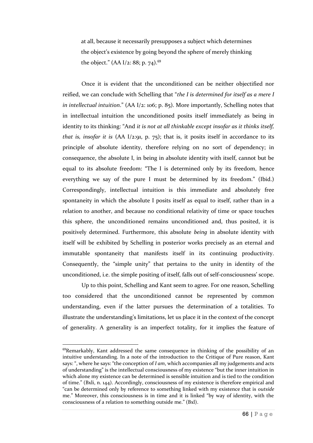at all, because it necessarily presupposes a subject which determines the object's existence by going beyond the sphere of merely thinking the object." (AA I/2: 88; p. 74).<sup>69</sup>

Once it is evident that the unconditioned can be neither objectified nor reified, we can conclude with Schelling that "*the I is determined for itself as a mere I in intellectual intuition*." (AA I/2: 106; p. 85). More importantly, Schelling notes that in intellectual intuition the unconditioned posits itself immediately as being in identity to its thinking: "And *it is not at all thinkable except insofar as it thinks itself, that is, insofar it is* (AA I/2:91, p. 75); that is, it posits itself in accordance to its principle of absolute identity, therefore relying on no sort of dependency; in consequence, the absolute I, in being in absolute identity with itself, cannot but be equal to its absolute freedom: "The I is determined only by its freedom, hence everything we say of the pure I must be determined by its freedom." (Ibid.) Correspondingly, intellectual intuition is this immediate and absolutely free spontaneity in which the absolute I posits itself as equal to itself, rather than in a relation to another, and because no conditional relativity of time or space touches this sphere, the unconditioned remains unconditioned and, thus posited, it is positively determined. Furthermore, this absolute *being* in absolute identity with itself will be exhibited by Schelling in posterior works precisely as an eternal and immutable spontaneity that manifests itself in its continuing productivity. Consequently, the "simple unity" that pertains to the unity in identity of the unconditioned, i.e. the simple positing of itself, falls out of self-consciousness' scope.

Up to this point, Schelling and Kant seem to agree. For one reason, Schelling too considered that the unconditioned cannot be represented by common understanding, even if the latter pursues the determination of a totalities. To illustrate the understanding's limitations, let us place it in the context of the concept of generality. A generality is an imperfect totality, for it implies the feature of

<sup>&</sup>lt;sup>69</sup>Remarkably, Kant addressed the same consequence in thinking of the possibility of an intuitive understanding. In a note of the introduction to the Critique of Pure reason, Kant says: ", where he says: "the conception of *I am*, which accompanies all my judgements and acts of understanding" is the intellectual consciousness of my existence "but the inner intuition in which alone my existence can be determined is sensible intuition and is tied to the condition of time." (Bxli, n. 144). Accordingly, consciousness of my existence is therefore empirical and "can be determined only by reference to something linked with my existence that is *outside*  me." Moreover, this consciousness is in time and it is linked "by way of identity, with the consciousness of a relation to something outside me." (Bxl).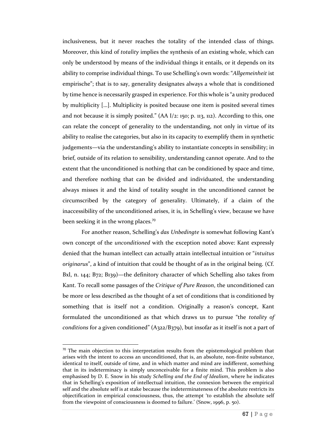inclusiveness, but it never reaches the totality of the intended class of things. Moreover, this kind of *totality* implies the synthesis of an existing whole, which can only be understood by means of the individual things it entails, or it depends on its ability to comprise individual things. To use Schelling's own words: "*Allgemeinheit* ist empirische"; that is to say, generality designates always a whole that is conditioned by time hence is necessarily grasped in experience. For this whole is "a unity produced by multiplicity […]. Multiplicity is posited because one item is posited several times and not because it is simply posited."  $(AA I/2: 150; p. 113, 112)$ . According to this, one can relate the concept of generality to the understanding, not only in virtue of its ability to realise the categories, but also in its capacity to exemplify them in synthetic judgements—via the understanding's ability to instantiate concepts in sensibility; in brief, outside of its relation to sensibility, understanding cannot operate. And to the extent that the unconditioned is nothing that can be conditioned by space and time, and therefore nothing that can be divided and individuated, the understanding always misses it and the kind of totality sought in the unconditioned cannot be circumscribed by the category of generality. Ultimately, if a claim of the inaccessibility of the unconditioned arises, it is, in Schelling's view, because we have been seeking it in the wrong places.<sup>70</sup>

For another reason, Schelling's *das Unbedingte* is somewhat following Kant's own concept of the *unconditioned* with the exception noted above: Kant expressly denied that the human intellect can actually attain intellectual intuition or "*intuitus originarus*", a kind of intuition that could be thought of as in the original being. (Cf. Bxl, n. 144; B72; B139)—the definitory character of which Schelling also takes from Kant. To recall some passages of the *Critique of Pure Reason*, the unconditioned can be more or less described as the thought of a set of conditions that is conditioned by something that is itself not a condition. Originally a reason's concept, Kant formulated the unconditioned as that which draws us to pursue "the *totality of conditions* for a given conditioned" (A322/B379), but insofar as it itself is not a part of

 $70$  The main objection to this interpretation results from the epistemological problem that arises with the intent to access an unconditioned, that is, an absolute, non-finite substance, identical to itself, outside of time, and in which matter and mind are indifferent, something that in its indeterminacy is simply unconceivable for a finite mind. This problem is also emphasised by D. E. Snow in his study *Schelling and the End of Idealism*, where he indicates that in Schelling's exposition of intellectual intuition, the connexion between the empirical self and the absolute self is at stake because the indeterminateness of the absolute restricts its objectification in empirical consciousness, thus, the attempt 'to establish the absolute self from the viewpoint of consciousness is doomed to failure.' (Snow, 1996, p. 50).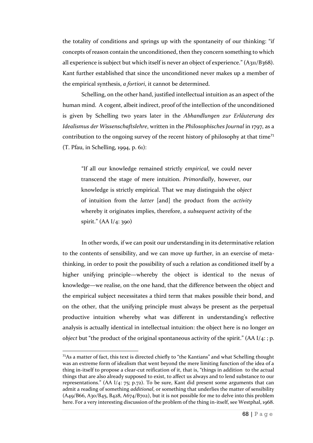the totality of conditions and springs up with the spontaneity of our thinking: "if concepts of reason contain the unconditioned, then they concern something to which all experience is subject but which itself is never an object of experience." (A311/B368). Kant further established that since the unconditioned never makes up a member of the empirical synthesis, *a fortiori*, it cannot be determined.

Schelling, on the other hand, justified intellectual intuition as an aspect of the human mind. A cogent, albeit indirect, proof of the intellection of the unconditioned is given by Schelling two years later in the *Abhandlungen zur Erläuterung des Idealismus der Wissenschaftslehre*, written in the *Philosophisches Journal* in 1797, as a contribution to the ongoing survey of the recent history of philosophy at that time<sup>71</sup> (T. Pfau, in Schelling, 1994, p. 61):

"If all our knowledge remained strictly *empirical*, we could never transcend the stage of mere intuition. *Primordially*, however, our knowledge is strictly empirical. That we may distinguish the *object* of intuition from the *latter* [and] the product from the *activity*  whereby it originates implies, therefore, a *subsequent* activity of the spirit." (AA I/4: 390)

In other words, if we can posit our understanding in its determinative relation to the contents of sensibility, and we can move up further, in an exercise of metathinking, in order to posit the possibility of such a relation as conditioned itself by a higher unifying principle—whereby the object is identical to the nexus of knowledge—we realise, on the one hand, that the difference between the object and the empirical subject necessitates a third term that makes possible their bond, and on the other, that the unifying principle must always be present as the perpetual productive intuition whereby what was different in understanding's reflective analysis is actually identical in intellectual intuition: the object here is no longer *an object* but "the product of the original spontaneous activity of the spirit." (AA I/4: ; p.

 $71$ As a matter of fact, this text is directed chiefly to "the Kantians" and what Schelling thought was an extreme form of idealism that went beyond the mere limiting function of the idea of a thing in-itself to propose a clear-cut reification of it, that is, "things in addition to the actual things that are also already supposed to exist, to affect us always and to lend substance to our representations." (AA I/4: 75; p.72). To be sure, Kant did present some arguments that can admit a reading of something *additional*, or something that underlies the matter of sensibility (A49/B66, A30/B45, B428, A674/B702), but it is not possible for me to delve into this problem here. For a very interesting discussion of the problem of the thing in-itself, see Westphal, 1968.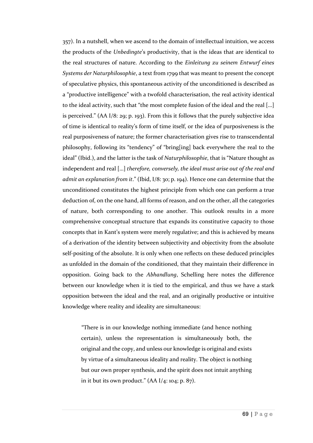357). In a nutshell, when we ascend to the domain of intellectual intuition, we access the products of the *Unbedingte*'s productivity, that is the ideas that are identical to the real structures of nature. According to the *Einleitung zu seinem Entwurf eines Systems der Naturphilosophie*, a text from 1799 that was meant to present the concept of speculative physics, this spontaneous activity of the unconditioned is described as a "productive intelligence" with a twofold characterisation, the real activity identical to the ideal activity, such that "the most complete fusion of the ideal and the real […] is perceived." (AA I/8: 29; p. 193). From this it follows that the purely subjective idea of time is identical to reality's form of time itself, or the idea of purposiveness is the real purposiveness of nature; the former characterisation gives rise to transcendental philosophy, following its "tendency" of "bring[ing] back everywhere the real to the ideal" (Ibid.), and the latter is the task of *Naturphilosophie*, that is "Nature thought as independent and real […] *therefore, conversely, the ideal must arise out of the real and admit an explanation from it*." (Ibid, I/8: 30; p. 194). Hence one can determine that the unconditioned constitutes the highest principle from which one can perform a true deduction of, on the one hand, all forms of reason, and on the other, all the categories of nature, both corresponding to one another. This outlook results in a more comprehensive conceptual structure that expands its constitutive capacity to those concepts that in Kant's system were merely regulative; and this is achieved by means of a derivation of the identity between subjectivity and objectivity from the absolute self-positing of the absolute. It is only when one reflects on these deduced principles as unfolded in the domain of the conditioned, that they maintain their difference in opposition. Going back to the *Abhandlung*, Schelling here notes the difference between our knowledge when it is tied to the empirical, and thus we have a stark opposition between the ideal and the real, and an originally productive or intuitive knowledge where reality and ideality are simultaneous:

"There is in our knowledge nothing immediate (and hence nothing certain), unless the representation is simultaneously both, the original and the copy, and unless our knowledge is original and exists by virtue of a simultaneous ideality and reality. The object is nothing but our own proper synthesis, and the spirit does not intuit anything in it but its own product."  $(AA I/4: 104; p. 87)$ .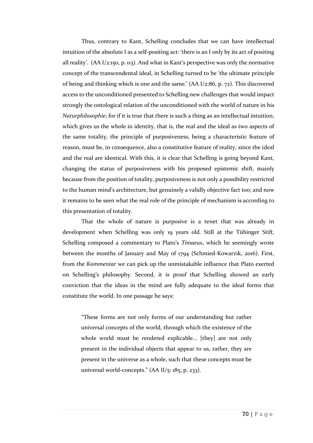Thus, contrary to Kant, Schelling concludes that we can have intellectual intuition of the absolute I as a self-positing act: 'there is an I only by its act of positing all reality'. (AA I/2:150, p. 113). And what in Kant's perspective was only the normative concept of the transcendental ideal, in Schelling turned to be 'the ultimate principle of being and thinking which is one and the same.' (AA I/2:86, p. 72). This discovered access to the unconditioned presented to Schelling new challenges that would impact strongly the ontological relation of the unconditioned with the world of nature in his *Naturphilosophie*; for if it is true that there is such a thing as an intellectual intuition, which gives us the whole in identity, that is, the real and the ideal as two aspects of the same totality, the principle of purposiveness, being a characteristic feature of reason, must be, in consequence, also a constitutive feature of reality, since the ideal and the real are identical. With this, it is clear that Schelling is going beyond Kant, changing the status of purposiveness with his proposed epistemic shift, mainly because from the position of totality, purposiveness is not only a possibility restricted to the human mind's architecture, but genuinely a validly objective fact too; and now it remains to be seen what the real role of the principle of mechanism is according to this presentation of totality.

That the whole of nature is purposive is a tenet that was already in development when Schelling was only 19 years old. Still at the Tübinger Stift, Schelling composed a commentary to Plato's *Timaeus*, which he seemingly wrote between the months of January and May of 1794 (Schmied-Kowarzik, 2016). First, from the *Kommentar* we can pick up the unmistakable influence that Plato exerted on Schelling's philosophy. Second, it is proof that Schelling showed an early conviction that the ideas in the mind are fully adequate to the ideal forms that constitute the world. In one passage he says:

"These forms are not only forms of our understanding but rather universal concepts of the world, through which the existence of the whole world must be rendered explicable... [they] are not only present in the individual objects that appear to us, rather, they are present in the universe as a whole, such that these concepts must be universal world-concepts." (AA II/5: 185; p. 233).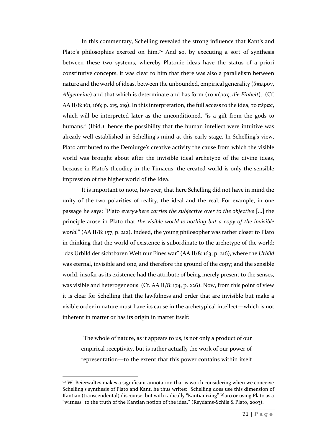In this commentary, Schelling revealed the strong influence that Kant's and Plato's philosophies exerted on him.<sup>72</sup> And so, by executing a sort of synthesis between these two systems, whereby Platonic ideas have the status of a priori constitutive concepts, it was clear to him that there was also a parallelism between nature and the world of ideas, between the unbounded, empirical generality (ἄπειρον, *Allgemeine*) and that which is determinate and has form (το πέρας, *die Einheit*). (Cf. AA II/8: 161, 166; p. 215, 219). In this interpretation, the full access to the idea, το πέρας, which will be interpreted later as the unconditioned, "is a gift from the gods to humans." (Ibid.); hence the possibility that the human intellect were intuitive was already well established in Schelling's mind at this early stage. In Schelling's view, Plato attributed to the Demiurge's creative activity the cause from which the visible world was brought about after the invisible ideal archetype of the divine ideas, because in Plato's theodicy in the Timaeus, the created world is only the sensible impression of the higher world of the Idea.

It is important to note, however, that here Schelling did not have in mind the unity of the two polarities of reality, the ideal and the real. For example, in one passage he says: "Plato *everywhere carries the subjective over to the objective* [...] the principle arose in Plato that *the visible world is nothing but a copy of the invisible world.*" (AA II/8: 157; p. 212). Indeed, the young philosopher was rather closer to Plato in thinking that the world of existence is subordinate to the archetype of the world: "das Urbild der sichtbaren Welt nur Eines war" (AA II/8: 163; p. 216), where the *Urbild* was eternal, invisible and one, and therefore the ground of the copy; and the sensible world, insofar as its existence had the attribute of being merely present to the senses, was visible and heterogeneous. (Cf. AA II/8: 174, p. 226). Now, from this point of view it is clear for Schelling that the lawfulness and order that are invisible but make a visible order in nature must have its cause in the archetypical intellect—which is not inherent in matter or has its origin in matter itself:

"The whole of nature, as it appears to us, is not only a product of our empirical receptivity, but is rather actually the work of our power of representation—to the extent that this power contains within itself

 $72$  W. Beierwaltes makes a significant annotation that is worth considering when we conceive Schelling's synthesis of Plato and Kant, he thus writes: "Schelling does use this dimension of Kantian (transcendental) discourse, but with radically "Kantianizing" Plato or using Plato as a "witness" to the truth of the Kantian notion of the idea." (Reydams-Schils & Plato, 2003).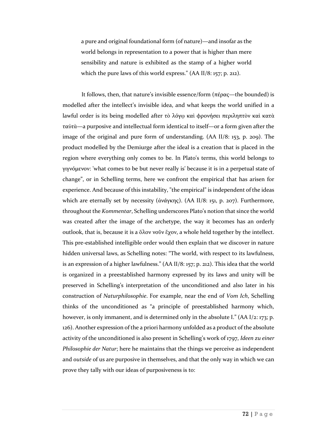a pure and original foundational form (of nature)—and insofar as the world belongs in representation to a power that is higher than mere sensibility and nature is exhibited as the stamp of a higher world which the pure laws of this world express." (AA II/8: 157; p. 212).

It follows, then, that nature's invisible essence/form (πέρας—the bounded) is modelled after the intellect's invisible idea, and what keeps the world unified in a lawful order is its being modelled after τὸ λόγῳ καὶ φρονήσει περιληπτὸν καὶ κατὰ ταὐτὰ—a purposive and intellectual form identical to itself—or a form given after the image of the original and pure form of understanding. (AA II/8: 153, p. 209). The product modelled by the Demiurge after the ideal is a creation that is placed in the region where everything only comes to be. In Plato's terms, this world belongs to γιγνόμενον: 'what comes to be but never really is' because it is in a perpetual state of change", or in Schelling terms, here we confront the empirical that has arisen for experience. And because of this instability, "the empirical" is independent of the ideas which are eternally set by necessity (ἀνάγκης). (AA II/8: 151, p. 207). Furthermore, throughout the *Kommentar*, Schelling underscores Plato's notion that since the world was created after the image of the archetype, the way it becomes has an orderly outlook, that is, because it is a ὅλον νοῦν ἔχον, a whole held together by the intellect. This pre-established intelligible order would then explain that we discover in nature hidden universal laws, as Schelling notes: "The world, with respect to its lawfulness, is an expression of a higher lawfulness." (AA II/8: 157; p. 212). This idea that the world is organized in a preestablished harmony expressed by its laws and unity will be preserved in Schelling's interpretation of the unconditioned and also later in his construction of *Naturphilosophie*. For example, near the end of *Vom Ich*, Schelling thinks of the unconditioned as "a principle of preestablished harmony which, however, is only immanent, and is determined only in the absolute I." (AA I/2: 173; p. 126). Another expression of the a priori harmony unfolded as a product of the absolute activity of the unconditioned is also present in Schelling's work of 1797, *Ideen zu einer Philosophie der Natur*; here he maintains that the things we perceive as independent and *outside* of us are purposive in themselves, and that the only way in which we can prove they tally with our ideas of purposiveness is to: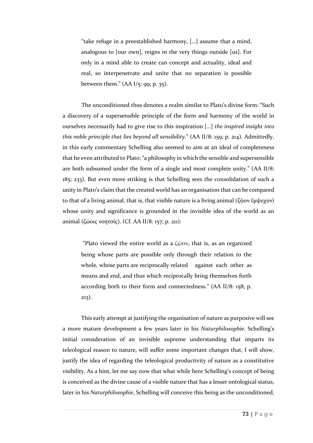"take refuge in a preestablished harmony, […] assume that a mind, analogous to [our own], reigns in the very things outside [us]. For only in a mind able to create can concept and actuality, ideal and real, so interpenetrate and unite that no separation is possible between them."  $(AA I/5: 99; p. 35)$ .

The unconditioned thus denotes a realm similar to Plato's divine form: "Such a discovery of a supersensible principle of the form and harmony of the world in ourselves necessarily had to give rise to this inspiration […] *the inspired insight into this noble principle that lies beyond all sensibility*." (AA II/8: 159; p. 214). Admittedly, in this early commentary Schelling also seemed to aim at an ideal of completeness that he even attributed to Plato: "a philosophy in which the sensible and supersensible are both subsumed under the form of a single and most complete unity." (AA II/8: 185; 233). But even more striking is that Schelling sees the consolidation of such a unity in Plato's claim that the created world has an organisation that can be compared to that of a living animal, that is, that visible nature is a living animal (ζῷον ἔμψυχον) whose unity and significance is grounded in the invisible idea of the world as an animal (ζώοις νοητοῖς). (Cf. AA II/8: 157; p. 211):

"Plato viewed the entire world as a ζῷον, that is, as an organized being whose parts are possible only through their relation to the whole, whose parts are reciprocally related against each other as means and end, and thus which reciprocally bring themselves forth according both to their form and connectedness." (AA II/8: 158; p. 213).

This early attempt at justifying the organisation of nature as purposive will see a more mature development a few years later in his *Naturphilosophie*. Schelling's initial consideration of an invisible supreme understanding that imparts its teleological reason to nature, will suffer some important changes that, I will show, justify the idea of regarding the teleological productivity of nature as a constitutive visibility. As a hint, let me say now that what while here Schelling's concept of being is conceived as the divine cause of a visible nature that has a lesser ontological status, later in his *Naturphilosophie*, Schelling will conceive this being as the unconditioned,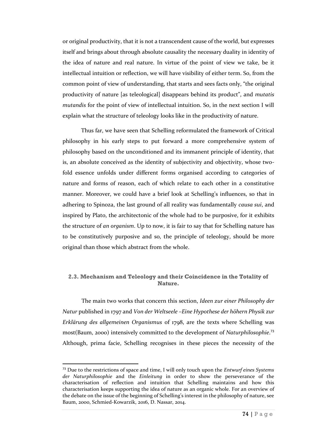or original productivity, that it is not a transcendent cause of the world, but expresses itself and brings about through absolute causality the necessary duality in identity of the idea of nature and real nature. In virtue of the point of view we take, be it intellectual intuition or reflection, we will have visibility of either term. So, from the common point of view of understanding, that starts and sees facts only, "the original productivity of nature [as teleological] disappears behind its product", and *mutatis mutandis* for the point of view of intellectual intuition. So, in the next section I will explain what the structure of teleology looks like in the productivity of nature.

Thus far, we have seen that Schelling reformulated the framework of Critical philosophy in his early steps to put forward a more comprehensive system of philosophy based on the unconditioned and its immanent principle of identity, that is, an absolute conceived as the identity of subjectivity and objectivity, whose twofold essence unfolds under different forms organised according to categories of nature and forms of reason, each of which relate to each other in a constitutive manner. Moreover, we could have a brief look at Schelling's influences, so that in adhering to Spinoza, the last ground of all reality was fundamentally *causa sui*, and inspired by Plato, the architectonic of the whole had to be purposive, for it exhibits the structure of *an organism*. Up to now, it is fair to say that for Schelling nature has to be constitutively purposive and so, the principle of teleology, should be more original than those which abstract from the whole.

## **2.3. Mechanism and Teleology and their Coincidence in the Totality of Nature.**

The main two works that concern this section, *Ideen zur einer Philosophy der Natur* published in 1797 and *Von der Weltseele –Eine Hypothese der höhern Physik zur Erklärung des allgemeinen Organismus* of 1798, are the texts where Schelling was most(Baum, 2000) intensively committed to the development of *Naturphilosophie*. 73 Although, prima facie, Schelling recognises in these pieces the necessity of the

l

<sup>73</sup> Due to the restrictions of space and time, I will only touch upon the *Entwurf eines Systems der Naturphilosophie* and the *Einleitung* in order to show the perseverance of the characterisation of reflection and intuition that Schelling maintains and how this characterisation keeps supporting the idea of nature as an organic whole. For an overview of the debate on the issue of the beginning of Schelling's interest in the philosophy of nature, see Baum, 2000, Schmied-Kowarzik, 2016, D. Nassar, 2014.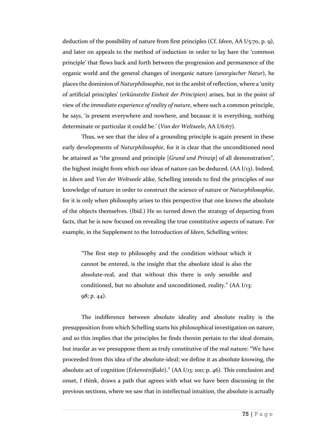deduction of the possibility of nature from first principles (Cf. *Ideen*, AA I/5:70, p. 9), and later on appeals to the method of induction in order to lay bare the 'common principle' that flows back and forth between the progression and permanence of the organic world and the general changes of inorganic nature (*anorgischer Natur*), he places the dominion of *Naturphilosophie*, not in the ambit of reflection, where a 'unity of artificial principles' (*erkünstelte Einheit der Principien*) arises, but in the point of view of *the immediate experience of reality of nature*, where such a common principle, he says, 'is present everywhere and nowhere, and because it is everything, nothing determinate or particular it could be.' (*Von der Weltseele*, AA I/6:67).

Thus, we see that the idea of a grounding principle is again present in these early developments of *Naturphilosophie*, for it is clear that the unconditioned need be attained as "the ground and principle [*Grund und Prinzip*] of all demonstration", the highest insight from which our ideas of nature can be deduced. (AA I/13). Indeed, in *Ideen* and *Von der Weltseele* alike, Schelling intends to find the principles of our knowledge of nature in order to construct the science of nature or *Naturphilosophie*, for it is only when philosophy arises to this perspective that one knows the absolute of the objects themselves. (Ibid.) He so turned down the strategy of departing from facts, that he is now focused on revealing the true constitutive aspects of nature. For example, in the Supplement to the Introduction of *Ideen*, Schelling writes:

"The first step to philosophy and the condition without which it cannot be entered, is the insight that the absolute ideal is also the absolute-real, and that without this there is only sensible and conditioned, but no absolute and unconditioned, reality." (AA I/13: 98; p. 44).

The indifference between absolute ideality and absolute reality is the presupposition from which Schelling starts his philosophical investigation on nature, and so this implies that the principles he finds therein pertain to the ideal domain, but insofar as we presuppose them as truly constitutive of the real nature: "We have proceeded from this idea of the absolute-ideal; we define it as absolute knowing, the absolute act of cognition (*Erkenntnißakt*)." (AA I/13: 100; p. 46). This conclusion and onset, I think, draws a path that agrees with what we have been discussing in the previous sections, where we saw that in intellectual intuition, the absolute is actually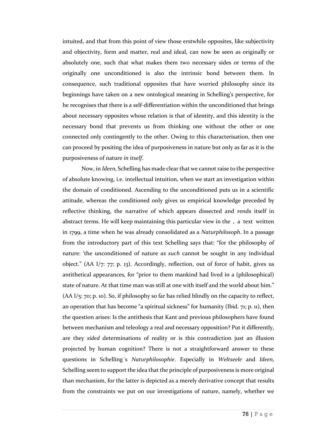intuited, and that from this point of view those erstwhile opposites, like subjectivity and objectivity, form and matter, real and ideal, can now be seen as originally or absolutely one, such that what makes them two necessary sides or terms of the originally one unconditioned is also the intrinsic bond between them. In consequence, such traditional opposites that have worried philosophy since its beginnings have taken on a new ontological meaning in Schelling's perspective, for he recognises that there is a self-differentiation within the unconditioned that brings about necessary opposites whose relation is that of identity, and this identity is the necessary bond that prevents us from thinking one without the other or one connected only contingently to the other. Owing to this characterisation, then one can proceed by positing the idea of purposiveness in nature but only as far as it is the purposiveness of nature *in itself*.

Now, in *Ideen*, Schelling has made clear that we cannot raise to the perspective of absolute knowing, i.e. intellectual intuition, when we start an investigation within the domain of conditioned. Ascending to the unconditioned puts us in a scientific attitude, whereas the conditioned only gives us empirical knowledge preceded by reflective thinking, the narrative of which appears dissected and rends itself in abstract terms. He will keep maintaining this particular view in the , a text written in 1799, a time when he was already consolidated as a *Naturphilosoph*. In a passage from the introductory part of this text Schelling says that: "for the philosophy of nature: 'the unconditioned of nature *as such* cannot be sought in any individual object." (AA I/7: 77; p. 13). Accordingly, reflection, out of force of habit, gives us antithetical appearances, for "prior to them mankind had lived in a (philosophical) state of nature. At that time man was still at one with itself and the world about him." (AA I/5: 70; p. 10). So, if philosophy so far has relied blindly on the capacity to reflect, an operation that has become "a spiritual sickness" for humanity (Ibid. 71; p. 11), then the question arises: Is the antithesis that Kant and previous philosophers have found between mechanism and teleology a real and necessary opposition? Put it differently, are they *sided* determinations of reality or is this contradiction just an illusion projected by human cognition? There is not a straightforward answer to these questions in Schelling´s *Naturphilosophie*. Especially in *Weltseele* and *Ideen*, Schelling seem to support the idea that the principle of purposiveness is more original than mechanism, for the latter is depicted as a merely derivative concept that results from the constraints we put on our investigations of nature, namely, whether we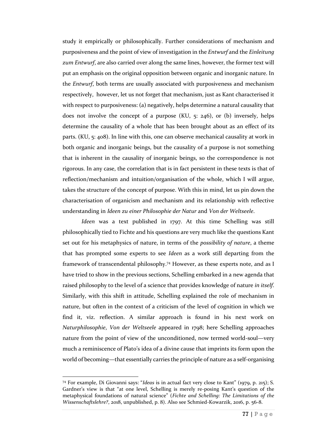study it empirically or philosophically. Further considerations of mechanism and purposiveness and the point of view of investigation in the *Entwurf* and the *Einleitung zum Entwurf*, are also carried over along the same lines, however, the former text will put an emphasis on the original opposition between organic and inorganic nature. In the *Entwurf*, both terms are usually associated with purposiveness and mechanism respectively, however, let us not forget that mechanism, just as Kant characterised it with respect to purposiveness: (a) negatively, helps determine a natural causality that does not involve the concept of a purpose (KU, 5: 246), or (b) inversely, helps determine the causality of a whole that has been brought about as an effect of its parts. (KU, 5: 408). In line with this, one can observe mechanical causality at work in both organic and inorganic beings, but the causality of a purpose is not something that is inherent in the causality of inorganic beings, so the correspondence is not rigorous. In any case, the correlation that is in fact persistent in these texts is that of reflection/mechanism and intuition/organisation of the whole, which I will argue, takes the structure of the concept of purpose. With this in mind, let us pin down the characterisation of organicism and mechanism and its relationship with reflective understanding in *Ideen zu einer Philosophie der Natur* and *Von der Weltseele*.

*Ideen* was a text published in 1797. At this time Schelling was still philosophically tied to Fichte and his questions are very much like the questions Kant set out for his metaphysics of nature, in terms of the *possibility of nature*, a theme that has prompted some experts to see *Ideen* as a work still departing from the framework of transcendental philosophy.<sup>74</sup> However, as these experts note, and as I have tried to show in the previous sections, Schelling embarked in a new agenda that raised philosophy to the level of a science that provides knowledge of nature *in itself*. Similarly, with this shift in attitude, Schelling explained the role of mechanism in nature, but often in the context of a criticism of the level of cognition in which we find it, viz. reflection. A similar approach is found in his next work on *Naturphilosophie*, *Von der Weltseele* appeared in 1798; here Schelling approaches nature from the point of view of the unconditioned, now termed world-soul—very much a reminiscence of Plato's idea of a divine cause that imprints its form upon the world of becoming—that essentially carries the principle of nature as a self-organising

 $\overline{a}$ 

<sup>74</sup> For example, Di Giovanni says: "*Ideas* is in actual fact very close to Kant" (1979, p. 215); S. Gardner's view is that "at one level, Schelling is merely re-posing Kant's question of the metaphysical foundations of natural science" (*Fichte and Schelling: The Limitations of the Wissenschaftslehre?*, 2018, unpublished, p. 8). Also see Schmied-Kowarzik, 2016, p. 56-8.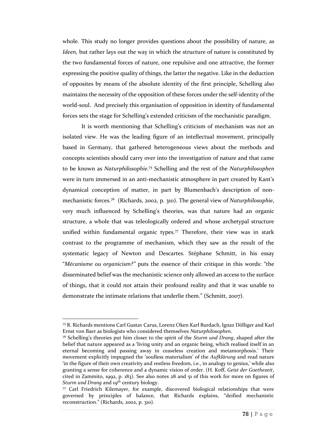whole. This study no longer provides questions about the possibility of nature, as *Ideen*, but rather lays out the way in which the structure of nature is constituted by the two fundamental forces of nature, one repulsive and one attractive, the former expressing the positive quality of things, the latter the negative. Like in the deduction of opposites by means of the absolute identity of the first principle, Schelling also maintains the necessity of the opposition of these forces under the self-identity of the world-soul. And precisely this organisation of opposition in identity of fundamental forces sets the stage for Schelling's extended criticism of the mechanistic paradigm.

It is worth mentioning that Schelling's criticism of mechanism was not an isolated view. He was the leading figure of an intellectual movement, principally based in Germany, that gathered heterogeneous views about the methods and concepts scientists should carry over into the investigation of nature and that came to be known as *Naturphilosophie*. <sup>75</sup> Schelling and the rest of the *Naturphilosophen* were in turn immersed in an anti-mechanistic atmosphere in part created by Kant's dynamical conception of matter, in part by Blumenbach's description of nonmechanistic forces.<sup>76</sup> (Richards, 2002, p. 310). The general view of *Naturphilosophie*, very much influenced by Schelling's theories, was that nature had an organic structure, a whole that was teleologically ordered and whose archetypal structure unified within fundamental organic types.<sup>77</sup> Therefore, their view was in stark contrast to the programme of mechanism, which they saw as the result of the systematic legacy of Newton and Descartes. Stéphane Schmitt, in his essay "*Mécanisme ou organicism?"* puts the essence of their critique in this words: "the disseminated belief was the mechanistic science only allowed an access to the surface of things, that it could not attain their profound reality and that it was unable to demonstrate the intimate relations that underlie them." (Schmitt, 2007).

 $\overline{a}$ 

<sup>75</sup> R. Richards mentions Carl Gustav Carus, Lorenz Oken Karl Burdach, Ignaz Dölliger and Karl Ernst von Baer as biologists who considered themselves *Naturphilosophen*.

<sup>76</sup> Schelling's theories put him closer to the spirit of the *Sturm und Drang*, shaped after the belief that nature appeared as a 'living unity and an organic being, which realised itself in an eternal becoming and passing away in ceaseless creation and metamorphosis.' Their movement explicitly impugned the 'soulless materialism' of the *Aufklärung* and read nature 'in the figure of their own creativity and restless freedom, i.e., in analogy to genius,' while also granting a sense for coherence and a dynamic vision of order. (H. Koff, *Geist der Goethezeit*, cited in Zammito, 1992, p. 183). See also notes  $28$  and  $51$  of this work for more on figures of *Sturm und Drang* and 19<sup>th</sup> century biology.

 $77$  Carl Friedrich Kilemayer, for example, discovered biological relationships that were governed by principles of balance, that Richards explains, "deified mechanistic reconstruction." (Richards, 2002, p. 310).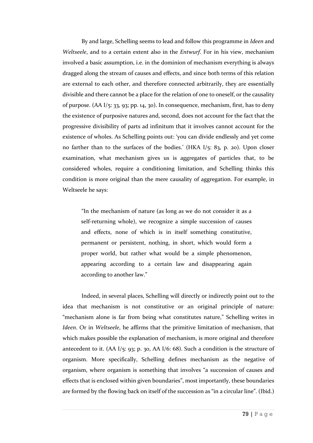By and large, Schelling seems to lead and follow this programme in *Ideen* and *Weltseele*, and to a certain extent also in the *Entwurf*. For in his view, mechanism involved a basic assumption, i.e. in the dominion of mechanism everything is always dragged along the stream of causes and effects, and since both terms of this relation are external to each other, and therefore connected arbitrarily, they are essentially divisible and there cannot be a place for the relation of one to oneself, or the causality of purpose. (AA I/5: 33, 93; pp. 14, 30). In consequence, mechanism, first, has to deny the existence of purposive natures and, second, does not account for the fact that the progressive divisibility of parts ad infinitum that it involves cannot account for the existence of wholes. As Schelling points out: 'you can divide endlessly and yet come no farther than to the surfaces of the bodies.' (HKA  $I$ /5: 83, p. 20). Upon closer examination, what mechanism gives us is aggregates of particles that, to be considered wholes, require a conditioning limitation, and Schelling thinks this condition is more original than the mere causality of aggregation. For example, in Weltseele he says:

"In the mechanism of nature (as long as we do not consider it as a self-returning whole), we recognize a simple succession of causes and effects, none of which is in itself something constitutive, permanent or persistent, nothing, in short, which would form a proper world, but rather what would be a simple phenomenon, appearing according to a certain law and disappearing again according to another law."

Indeed, in several places, Schelling will directly or indirectly point out to the idea that mechanism is not constitutive or an original principle of nature: "mechanism alone is far from being what constitutes nature," Schelling writes in *Ideen*. Or in *Weltseele*, he affirms that the primitive limitation of mechanism, that which makes possible the explanation of mechanism, is more original and therefore antecedent to it.  $(AA I<sub>5</sub>: 93; p. 30, AA I<sub>6</sub>: 68)$ . Such a condition is the structure of organism. More specifically, Schelling defines mechanism as the negative of organism, where organism is something that involves "a succession of causes and effects that is enclosed within given boundaries", most importantly, these boundaries are formed by the flowing back on itself of the succession as "in a circular line". (Ibid.)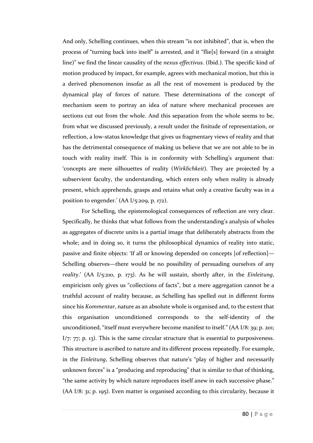And only, Schelling continues, when this stream "is not inhibited", that is, when the process of "turning back into itself" is arrested, and it "flie[s] forward (in a straight line)" we find the linear causality of the *nexus effectivus*. (Ibid.). The specific kind of motion produced by impact, for example, agrees with mechanical motion, but this is a derived phenomenon insofar as all the rest of movement is produced by the dynamical play of forces of nature. These determinations of the concept of mechanism seem to portray an idea of nature where mechanical processes are sections cut out from the whole. And this separation from the whole seems to be, from what we discussed previously, a result under the finitude of representation, or reflection, a low-status knowledge that gives us fragmentary views of reality and that has the detrimental consequence of making us believe that we are not able to be in touch with reality itself. This is in conformity with Schelling's argument that: 'concepts are mere silhouettes of reality (*Wirklichkeit*). They are projected by a subservient faculty, the understanding, which enters only when reality is already present, which apprehends, grasps and retains what only a creative faculty was in a position to engender.' (AA I/5:209, p. 172).

For Schelling, the epistemological consequences of reflection are very clear. Specifically, he thinks that what follows from the understanding's analysis of wholes as aggregates of discrete units is a partial image that deliberately abstracts from the whole; and in doing so, it turns the philosophical dynamics of reality into static, passive and finite objects: 'If all or knowing depended on concepts [of reflection]— Schelling observes—there would be no possibility of persuading ourselves of any *reality*.' (AA I/5:210, p. 173). As he will sustain, shortly after, in the *Einleitung*, empiricism only gives us "collections of facts", but a mere aggregation cannot be a truthful account of reality because, as Schelling has spelled out in different forms since his *Kommentar*, nature as an absolute whole is organised and, to the extent that this organisation unconditioned corresponds to the self-identity of the unconditioned, "itself must everywhere become manifest to itself." (AA I/8: 39; p. 201;  $I/7$ : 77; p. 13). This is the same circular structure that is essential to purposiveness. This structure is ascribed to nature and its different process repeatedly. For example, in the *Einleitung*, Schelling observes that nature's "play of higher and necessarily unknown forces" is a "producing and reproducing" that is similar to that of thinking, "the same activity by which nature reproduces itself anew in each successive phase." (AA I/8: 31; p. 195). Even matter is organised according to this circularity, because it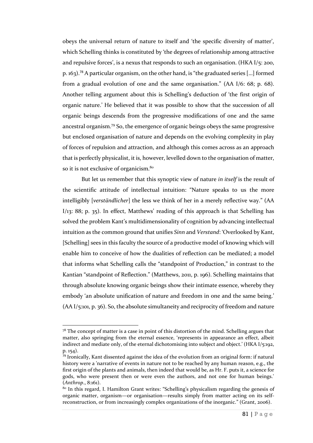obeys the universal return of nature to itself and 'the specific diversity of matter', which Schelling thinks is constituted by 'the degrees of relationship among attractive and repulsive forces', is a nexus that responds to such an organisation. (HKA I/5: 200, p. 163).<sup>78</sup> A particular organism, on the other hand, is "the graduated series […] formed from a gradual evolution of one and the same organisation." (AA I/6: 68; p. 68). Another telling argument about this is Schelling's deduction of 'the first origin of organic nature.' He believed that it was possible to show that the succession of all organic beings descends from the progressive modifications of one and the same ancestral organism.<sup>79</sup> So, the emergence of organic beings obeys the same progressive but enclosed organisation of nature and depends on the evolving complexity in play of forces of repulsion and attraction, and although this comes across as an approach that is perfectly physicalist, it is, however, levelled down to the organisation of matter, so it is not exclusive of organicism.<sup>80</sup>

But let us remember that this synoptic view of nature *in itself* is the result of the scientific attitude of intellectual intuition: "Nature speaks to us the more intelligibly [*verständlicher*] the less we think of her in a merely reflective way." (AA  $I/13$ : 88; p. 35). In effect, Matthews' reading of this approach is that Schelling has solved the problem Kant's multidimensionality of cognition by advancing intellectual intuition as the common ground that unifies *Sinn* and *Verstand*: 'Overlooked by Kant, [Schelling] sees in this faculty the source of a productive model of knowing which will enable him to conceive of how the dualities of reflection can be mediated; a model that informs what Schelling calls the "standpoint of Production," in contrast to the Kantian "standpoint of Reflection." (Matthews, 2011, p. 196). Schelling maintains that through absolute knowing organic beings show their intimate essence, whereby they embody 'an absolute unification of nature and freedom in one and the same being.' (AA I/5:101, p. 36). So, the absolute simultaneity and reciprocity of freedom and nature

 $\overline{\phantom{a}}$ 

 $7<sup>8</sup>$  The concept of matter is a case in point of this distortion of the mind. Schelling argues that matter, also springing from the eternal essence, 'represents in appearance an effect, albeit indirect and mediate only, of the eternal dichotomising into subject and object.' (HKA I/5:192, p. 154).

<sup>79</sup> Ironically, Kant dissented against the idea of the evolution from an original form: if natural history were a 'narrative of events in nature not to be reached by any human reason, e.g., the first origin of the plants and animals, then indeed that would be, as Hr. F. puts it, a science for gods, who were present then or were even the authors, and not one for human beings.' (*Anthrop*., 8:161).

<sup>&</sup>lt;sup>80</sup> In this regard, I. Hamilton Grant writes: "Schelling's physicalism regarding the genesis of organic matter, organism—or organisation—results simply from matter acting on its selfreconstruction, or from increasingly complex organizations of the inorganic." (Grant, 2006).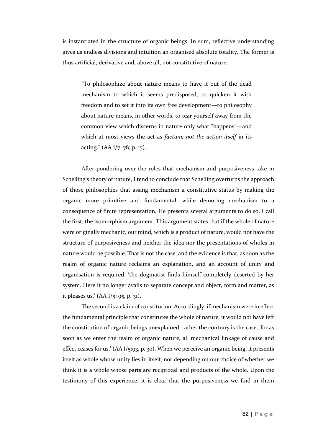is instantiated in the structure of organic beings. In sum, reflective understanding gives us endless divisions and intuition an organised absolute totality. The former is thus artificial, derivative and, above all, not constitutive of nature:

"To philosophize about nature means to have it out of the dead mechanism to which it seems predisposed, to quicken it with freedom and to set it into its own free development—to philosophy about nature means, in other words, to tear yourself away from the common view which discerns in nature only what "happens"—and which at most views the act as *factum, not the action itself* in its acting." (AA I/7: 78; p. 15).

After pondering over the roles that mechanism and purposiveness take in Schelling's theory of nature, I tend to conclude that Schelling overturns the approach of those philosophies that assing mechanism a constitutive status by making the organic more primitive and fundamental, while demoting mechanism to a consequence of finite representation. He presents several arguments to do so. I call the first, the isomorphism argument. This argument states that if the whole of nature were originally mechanic, our mind, which is a product of nature, would not have the structure of purposiveness and neither the idea nor the presentations of wholes in nature would be possible. That is not the case, and the evidence is that, as soon as the realm of organic nature reclaims an explanation, and an account of unity and organisation is required, 'the dogmatist finds himself completely deserted by her system. Here it no longer avails to separate concept and object, form and matter, as it pleases us.' (AA I/5: 95, p. 31).

The second is a claim of constitution. Accordingly, if mechanism were in effect the fundamental principle that constitutes the whole of nature, it would not have left the constitution of organic beings unexplained, rather the contrary is the case, 'for as soon as we enter the realm of organic nature, all mechanical linkage of cause and effect ceases for us.' (AA I/5:93, p. 30). When we perceive an organic being, it presents itself as whole whose unity lies in itself, not depending on our choice of whether we think it is a whole whose parts are reciprocal and products of the whole. Upon the testimony of this experience, it is clear that the purposiveness we find in them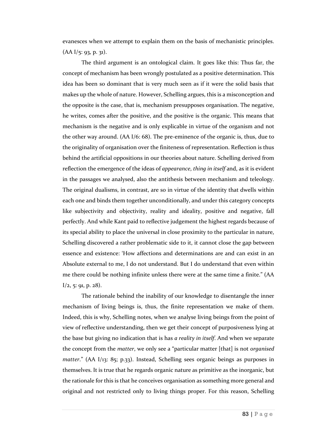evanesces when we attempt to explain them on the basis of mechanistic principles.  $(AA I/5: 93, p. 31).$ 

The third argument is an ontological claim. It goes like this: Thus far, the concept of mechanism has been wrongly postulated as a positive determination. This idea has been so dominant that is very much seen as if it were the solid basis that makes up the whole of nature. However, Schelling argues, this is a misconception and the opposite is the case, that is, mechanism presupposes organisation. The negative, he writes, comes after the positive, and the positive is the organic. This means that mechanism is the negative and is only explicable in virtue of the organism and not the other way around. (AA I/6: 68). The pre-eminence of the organic is, thus, due to the originality of organisation over the finiteness of representation. Reflection is thus behind the artificial oppositions in our theories about nature. Schelling derived from reflection the emergence of the ideas of *appearance*, *thing in itself* and, as it is evident in the passages we analysed, also the antithesis between mechanism and teleology. The original dualisms, in contrast, are so in virtue of the identity that dwells within each one and binds them together unconditionally, and under this category concepts like subjectivity and objectivity, reality and ideality, positive and negative, fall perfectly. And while Kant paid to reflective judgement the highest regards because of its special ability to place the universal in close proximity to the particular in nature, Schelling discovered a rather problematic side to it, it cannot close the gap between essence and existence: 'How affections and determinations are and can exist in an Absolute external to me, I do not understand. But I do understand that even within me there could be nothing infinite unless there were at the same time a finite." (AA  $I/2$ , 5: 91, p. 28).

The rationale behind the inability of our knowledge to disentangle the inner mechanism of living beings is, thus, the finite representation we make of them. Indeed, this is why, Schelling notes, when we analyse living beings from the point of view of reflective understanding, then we get their concept of purposiveness lying at the base but giving no indication that is has *a reality in itself*. And when we separate the concept from the *matter*, we only see a "particular matter [that] is not *organised matter*." (AA I/13: 85; p.33). Instead, Schelling sees organic beings as purposes in themselves. It is true that he regards organic nature as primitive as the inorganic, but the rationale for this is that he conceives organisation as something more general and original and not restricted only to living things proper. For this reason, Schelling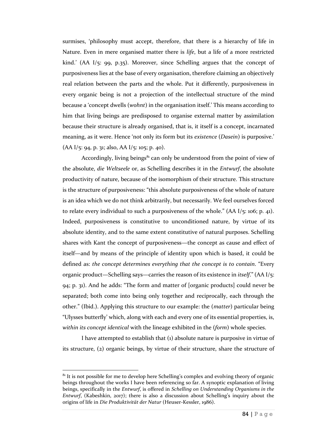surmises, 'philosophy must accept, therefore, that there is a hierarchy of life in Nature. Even in mere organised matter there is *life*, but a life of a more restricted kind.' (AA I/5: 99, p.35). Moreover, since Schelling argues that the concept of purposiveness lies at the base of every organisation, therefore claiming an objectively real relation between the parts and the whole. Put it differently, purposiveness in every organic being is not a projection of the intellectual structure of the mind because a 'concept dwells (*wohnt*) in the organisation itself.' This means according to him that living beings are predisposed to organise external matter by assimilation because their structure is already organised, that is, it itself is a concept, incarnated meaning, as it were. Hence 'not only its form but its *existence* (*Dasein*) is purposive.'  $(AA I/5: 94, p. 31; also, AA I/5: 105; p. 40).$ 

Accordingly, living beings $^{81}$  can only be understood from the point of view of the absolute, *die Weltseele* or, as Schelling describes it in the *Entwurf*, the absolute productivity of nature, because of the isomorphism of their structure. This structure is the structure of purposiveness: "this absolute purposiveness of the whole of nature is an idea which we do not think arbitrarily, but necessarily. We feel ourselves forced to relate every individual to such a purposiveness of the whole."  $(AA I<sub>5</sub>: 106; p. 41)$ . Indeed, purposiveness is constitutive to unconditioned nature, by virtue of its absolute identity, and to the same extent constitutive of natural purposes. Schelling shares with Kant the concept of purposiveness—the concept as cause and effect of itself—and by means of the principle of identity upon which is based, it could be defined as: *the concept determines everything that the concept is to contain*. "Every organic product—Schelling says—carries the reason of its existence in *itself*." (AA I/5: 94; p. 31). And he adds: "The form and matter of [organic products] could never be separated; both come into being only together and reciprocally, each through the other." (Ibid.). Applying this structure to our example: the (*matter*) particular being "Ulysses butterfly' which, along with each and every one of its essential properties, is, *within its concept identical* with the lineage exhibited in the (*form*) whole species.

I have attempted to establish that (1) absolute nature is purposive in virtue of its structure, (2) organic beings, by virtue of their structure, share the structure of

 $\overline{\phantom{a}}$ 

 $81$  It is not possible for me to develop here Schelling's complex and evolving theory of organic beings throughout the works I have been referencing so far. A synoptic explanation of living beings, specifically in the *Entwurf*, is offered in *Schelling on Understanding Organisms in the Entwurf*, (Kabeshkin, 2017); there is also a discussion about Schelling's inquiry about the origins of life in *Die Produktivität der Natur* (Heuser-Kessler, 1986).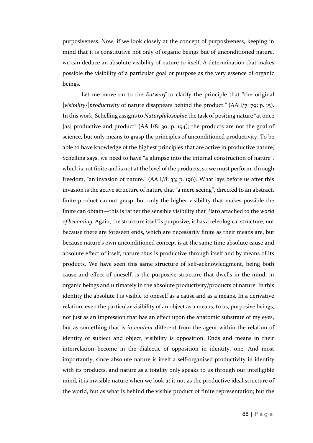purposiveness. Now, if we look closely at the concept of purposiveness, keeping in mind that it is constitutive not only of organic beings but of unconditioned nature, we can deduce an absolute visibility of nature to itself. A determination that makes possible the visibility of a particular goal or purpose as the very essence of organic beings.

Let me move on to the *Entwurf* to clarify the principle that "the original [*visibility/*]*productivity* of nature disappears behind the product." (AA I/7: 79; p. 15). In this work, Schelling assigns to *Naturphilosophie* the task of positing nature "at once [as] productive and product" (AA I/8: 30; p. 194); the products are not the goal of science, but only means to grasp the principles of unconditioned productivity. To be able to have knowledge of the highest principles that are active in productive nature, Schelling says, we need to have "a glimpse into the internal construction of nature", which is not finite and is not at the level of the products, so we must perform, through freedom, "an invasion of nature." (AA I/8: 33; p. 196). What lays before us after this invasion is the active structure of nature that "a mere seeing", directed to an abstract, finite product cannot grasp, but only the higher visibility that makes possible the finite can obtain—this is rather the sensible visibility that Plato attached to the *world of becoming*. Again, the structure itself is purposive, it has a teleological structure, not because there are foreseen ends, which are necessarily finite as their means are, but because nature's own unconditioned concept is at the same time absolute cause and absolute effect of itself, nature thus is productive through itself and by means of its products. We have seen this same structure of self-acknowledgment, being both cause and effect of oneself, is the purposive structure that dwells in the mind, in organic beings and ultimately in the absolute productivity/products of nature. In this identity the absolute I is visible to oneself as a cause and as a means. In a derivative relation, even the particular visibility of an object as a means, to us, purposive beings, not just as an impression that has an effect upon the anatomic substrate of my eyes, but as something that is *in content* different from the agent within the relation of identity of subject and object, visibility is opposition. Ends and means in their interrelation become in the dialectic of opposition in identity, one. And most importantly, since absolute nature is itself a self-organised productivity in identity with its products, and nature as a totality only speaks to us through our intelligible mind, it is invisible nature when we look at it not as the productive ideal structure of the world, but as what is behind the visible product of finite representation; but the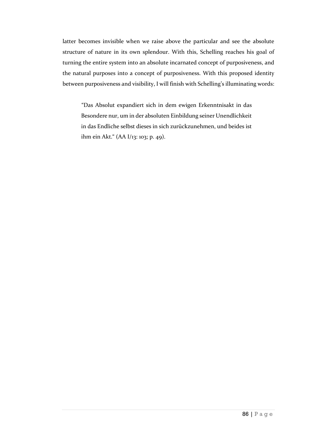latter becomes invisible when we raise above the particular and see the absolute structure of nature in its own splendour. With this, Schelling reaches his goal of turning the entire system into an absolute incarnated concept of purposiveness, and the natural purposes into a concept of purposiveness. With this proposed identity between purposiveness and visibility, I will finish with Schelling's illuminating words:

"Das Absolut expandiert sich in dem ewigen Erkenntnisakt in das Besondere nur, um in der absoluten Einbildung seiner Unendlichkeit in das Endliche selbst dieses in sich zurückzunehmen, und beides ist ihm ein Akt." (AA I/13: 103; p. 49).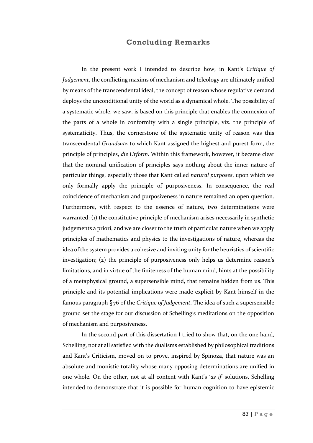# **Concluding Remarks**

In the present work I intended to describe how, in Kant's *Critique of Judgement*, the conflicting maxims of mechanism and teleology are ultimately unified by means of the transcendental ideal, the concept of reason whose regulative demand deploys the unconditional unity of the world as a dynamical whole. The possibility of a systematic whole, we saw, is based on this principle that enables the connexion of the parts of a whole in conformity with a single principle, viz. the principle of systematicity. Thus, the cornerstone of the systematic unity of reason was this transcendental *Grundsatz* to which Kant assigned the highest and purest form, the principle of principles, *die Urform*. Within this framework, however, it became clear that the nominal unification of principles says nothing about the inner nature of particular things, especially those that Kant called *natural purposes*, upon which we only formally apply the principle of purposiveness. In consequence, the real coincidence of mechanism and purposiveness in nature remained an open question. Furthermore, with respect to the essence of nature, two determinations were warranted: (1) the constitutive principle of mechanism arises necessarily in synthetic judgements a priori, and we are closer to the truth of particular nature when we apply principles of mathematics and physics to the investigations of nature, whereas the idea of the system provides a cohesive and inviting unity for the heuristics of scientific investigation; (2) the principle of purposiveness only helps us determine reason's limitations, and in virtue of the finiteness of the human mind, hints at the possibility of a metaphysical ground, a supersensible mind, that remains hidden from us. This principle and its potential implications were made explicit by Kant himself in the famous paragraph §76 of the *Critique of Judgement*. The idea of such a supersensible ground set the stage for our discussion of Schelling's meditations on the opposition of mechanism and purposiveness.

In the second part of this dissertation I tried to show that, on the one hand, Schelling, not at all satisfied with the dualisms established by philosophical traditions and Kant's Criticism, moved on to prove, inspired by Spinoza, that nature was an absolute and monistic totality whose many opposing determinations are unified in one whole. On the other, not at all content with Kant's '*as if*' solutions, Schelling intended to demonstrate that it is possible for human cognition to have epistemic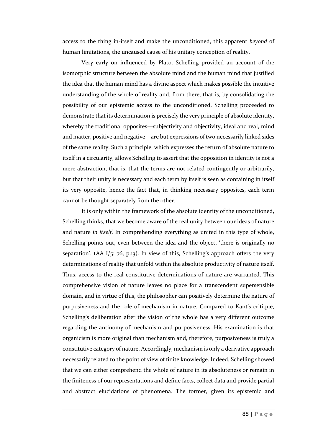access to the thing in-itself and make the unconditioned, this apparent *beyond* of human limitations, the uncaused cause of his unitary conception of reality.

Very early on influenced by Plato, Schelling provided an account of the isomorphic structure between the absolute mind and the human mind that justified the idea that the human mind has a divine aspect which makes possible the intuitive understanding of the whole of reality and, from there, that is, by consolidating the possibility of our epistemic access to the unconditioned, Schelling proceeded to demonstrate that its determination is precisely the very principle of absolute identity, whereby the traditional opposites—subjectivity and objectivity, ideal and real, mind and matter, positive and negative—are but expressions of two necessarily linked sides of the same reality. Such a principle, which expresses the return of absolute nature to itself in a circularity, allows Schelling to assert that the opposition in identity is not a mere abstraction, that is, that the terms are not related contingently or arbitrarily, but that their unity is necessary and each term by itself is seen as containing in itself its very opposite, hence the fact that, in thinking necessary opposites, each term cannot be thought separately from the other.

It is only within the framework of the absolute identity of the unconditioned, Schelling thinks, that we become aware of the real unity between our ideas of nature and nature *in itself*. In comprehending everything as united in this type of whole, Schelling points out, even between the idea and the object, 'there is originally no separation'. (AA I/5: 76, p.13). In view of this, Schelling's approach offers the very determinations of reality that unfold within the absolute productivity of nature itself. Thus, access to the real constitutive determinations of nature are warranted. This comprehensive vision of nature leaves no place for a transcendent supersensible domain, and in virtue of this, the philosopher can positively determine the nature of purposiveness and the role of mechanism in nature. Compared to Kant's critique, Schelling's deliberation after the vision of the whole has a very different outcome regarding the antinomy of mechanism and purposiveness. His examination is that organicism is more original than mechanism and, therefore, purposiveness is truly a constitutive category of nature. Accordingly, mechanism is only a derivative approach necessarily related to the point of view of finite knowledge. Indeed, Schelling showed that we can either comprehend the whole of nature in its absoluteness or remain in the finiteness of our representations and define facts, collect data and provide partial and abstract elucidations of phenomena. The former, given its epistemic and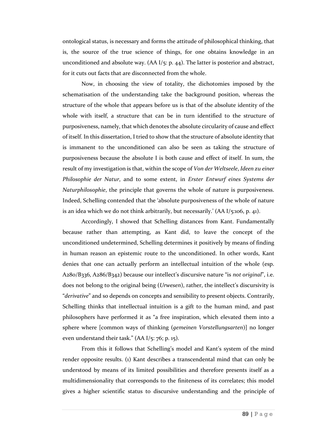ontological status, is necessary and forms the attitude of philosophical thinking, that is, the source of the true science of things, for one obtains knowledge in an unconditioned and absolute way.  $(AA I/5: p. 44)$ . The latter is posterior and abstract, for it cuts out facts that are disconnected from the whole.

Now, in choosing the view of totality, the dichotomies imposed by the schematisation of the understanding take the background position, whereas the structure of the whole that appears before us is that of the absolute identity of the whole with itself, a structure that can be in turn identified to the structure of purposiveness, namely, that which denotes the absolute circularity of cause and effect of itself. In this dissertation, I tried to show that the structure of absolute identity that is immanent to the unconditioned can also be seen as taking the structure of purposiveness because the absolute I is both cause and effect of itself. In sum, the result of my investigation is that, within the scope of *Von der Weltseele*, *Ideen zu einer Philosophie der Natur*, and to some extent, in *Erster Entwurf eines Systems der Naturphilosophie*, the principle that governs the whole of nature is purposiveness. Indeed, Schelling contended that the 'absolute purposiveness of the whole of nature is an idea which we do not think arbitrarily, but necessarily.'  $(AA I_{5:106, p. 41})$ .

Accordingly, I showed that Schelling distances from Kant. Fundamentally because rather than attempting, as Kant did, to leave the concept of the unconditioned undetermined, Schelling determines it positively by means of finding in human reason an epistemic route to the unconditioned. In other words, Kant denies that one can actually perform an intellectual intuition of the whole (esp. A280/B336, A286/B342) because our intellect's discursive nature "is *not original*", i.e. does not belong to the original being (*Urwesen*), rather, the intellect's discursivity is "*derivative*" and so depends on concepts and sensibility to present objects. Contrarily, Schelling thinks that intellectual intuition is a gift to the human mind, and past philosophers have performed it as "a free inspiration, which elevated them into a sphere where [common ways of thinking (*gemeinen Vorstellungsarten*)] no longer even understand their task."  $(AA I/5: 76; p. 15)$ .

From this it follows that Schelling's model and Kant's system of the mind render opposite results. (1) Kant describes a transcendental mind that can only be understood by means of its limited possibilities and therefore presents itself as a multidimensionality that corresponds to the finiteness of its correlates; this model gives a higher scientific status to discursive understanding and the principle of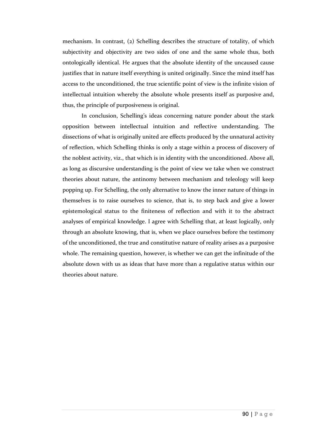mechanism. In contrast, (2) Schelling describes the structure of totality, of which subjectivity and objectivity are two sides of one and the same whole thus, both ontologically identical. He argues that the absolute identity of the uncaused cause justifies that in nature itself everything is united originally. Since the mind itself has access to the unconditioned, the true scientific point of view is the infinite vision of intellectual intuition whereby the absolute whole presents itself as purposive and, thus, the principle of purposiveness is original.

In conclusion, Schelling's ideas concerning nature ponder about the stark opposition between intellectual intuition and reflective understanding. The dissections of what is originally united are effects produced by the unnatural activity of reflection, which Schelling thinks is only a stage within a process of discovery of the noblest activity, viz., that which is in identity with the unconditioned. Above all, as long as discursive understanding is the point of view we take when we construct theories about nature, the antinomy between mechanism and teleology will keep popping up. For Schelling, the only alternative to know the inner nature of things in themselves is to raise ourselves to science, that is, to step back and give a lower epistemological status to the finiteness of reflection and with it to the abstract analyses of empirical knowledge. I agree with Schelling that, at least logically, only through an absolute knowing, that is, when we place ourselves before the testimony of the unconditioned, the true and constitutive nature of reality arises as a purposive whole. The remaining question, however, is whether we can get the infinitude of the absolute down with us as ideas that have more than a regulative status within our theories about nature.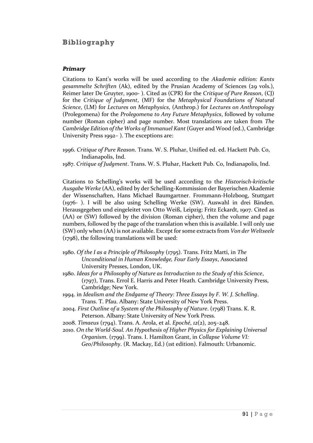# **Bibliography**

### *Primary*

Citations to Kant's works will be used according to the *Akademie edition: Kants gesammelte Schriften* (Ak), edited by the Prusian Academy of Sciences (29 vols.), Reimer later De Gruyter, 1900- ). Cited as (CPR) for the *Critique of Pure Reason*, (CJ) for the *Critique of Judgment*, (MF) for the *Metaphysical Foundations of Natural Science*, (LM) for *Lectures on Metaphysics*, (Anthrop.) for *Lectures on Anthropology* (Prolegomena) for the *Prolegomena to Any Future Metaphysics*, followed by volume number (Roman cipher) and page number. Most translations are taken from *The Cambridge Edition of the Works of Immanuel Kant* (Guyer and Wood (ed.), Cambridge University Press 1992– ). The exceptions are:

- 1996. *Critique of Pure Reason*. Trans. W. S. Pluhar, Unified ed. ed. Hackett Pub. Co, Indianapolis, Ind.
- 1987. *Critique of Judgment*. Trans. W. S. Pluhar, Hackett Pub. Co, Indianapolis, Ind.

Citations to Schelling's works will be used according to the *Historisch-kritische Ausgabe Werke* (AA), edited by der Schelling-Kommission der Bayerischen Akademie der Wissenschaften, Hans Michael Baumgartner. Frommann-Holzboog, Stuttgart (1976- ). I will be also using Schelling Werke (SW). Auswahl in drei Bänden. Herausgegeben und eingeleitet von Otto Weiß, Leipzig: Fritz Eckardt, 1907. Cited as (AA) or (SW) followed by the division (Roman cipher), then the volume and page numbers, followed by the page of the translation when this is available. I will only use (SW) only when (AA) is not available. Except for some extracts from *Von der Weltseele* (1798), the following translations will be used:

- 1980. *Of the I as a Principle of Philosophy* (1795). Trans. Fritz Marti, in *The Unconditional in Human Knowledge, Four Early Essays*, Associated University Presses, London, UK.
- 1980. *Ideas for a Philosophy of Nature as Introduction to the Study of this Science*, (1797), Trans. Errol E. Harris and Peter Heath. Cambridge University Press, Cambridge; New York.
- 1994. in *Idealism and the Endgame of Theory: Three Essays by F. W. J. Schelling*. Trans. T. Pfau. Albany: State University of New York Press.
- 2004. *First Outline of a System of the Philosophy of Nature*. (1798) Trans. K. R. Peterson. Albany: State University of New York Press.
- 2008. *Timaeus* (1794). Trans. A. Arola, et al. *Epoché*, *12*(2), 205–248.
- 2010. *On the World-Soul. An Hypothesis of Higher Physics for Explaining Universal Organism*. (1799). Trans. I. Hamilton Grant, in *Collapse Volume VI: Geo/Philosophy*. (R. Mackay, Ed.) (1st edition). Falmouth: Urbanomic.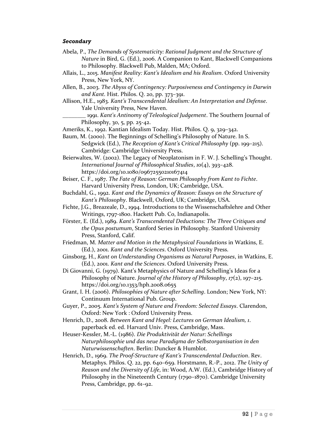#### *Secondary*

- Abela, P., *The Demands of Systematicity: Rational Judgment and the Structure of Nature* in Bird, G. (Ed.), 2006. A Companion to Kant, Blackwell Companions to Philosophy. Blackwell Pub, Malden, MA; Oxford.
- Allais, L., 2015. *Manifest Reality: Kant's Idealism and his Realism*. Oxford University Press, New York, NY.
- Allen, B., 2003. *The Abyss of Contingency: Purposiveness and Contingency in Darwin and Kant.* Hist. Philos. Q. 20, pp. 373–391.
- Allison, H.E., 1983. *Kant's Transcendental Idealism: An Interpretation and Defense*. Yale University Press, New Haven.
	- \_\_\_\_\_\_\_\_ 1991. *Kant's Antinomy of Teleological Judgement*. The Southern Journal of Philosophy, 30, 5, pp. 25-42.

Ameriks, K., 1992. Kantian Idealism Today. Hist. Philos. Q. 9, 329–342.

- Baum, M. (2000). The Beginnings of Schelling's Philosophy of Nature. In S. Sedgwick (Ed.), *The Reception of Kant's Critical Philosophy* (pp. 199–215). Cambridge: Cambridge University Press.
- Beierwaltes, W. (2002). The Legacy of Neoplatonism in F. W. J. Schelling's Thought. *International Journal of Philosophical Studies*, *10*(4), 393–428. https://doi.org/10.1080/09672550210167414
- Beiser, C. F., 1987. *The Fate of Reason: German Philosophy from Kant to Fichte*. Harvard University Press, London, UK; Cambridge, USA.
- Buchdahl, G., 1992. *Kant and the Dynamics of Reason: Essays on the Structure of Kant's Philosophy*. Blackwell, Oxford, UK; Cambridge, USA.
- Fichte, J.G., Breazeale, D., 1994. Introductions to the Wissenschaftslehre and Other Writings, 1797-1800. Hackett Pub. Co, Indianapolis.
- Förster, E. (Ed.), 1989. *Kant's Transcendental Deductions: The Three Critiques and the Opus postumum*, Stanford Series in Philosophy. Stanford University Press, Stanford, Calif.
- Friedman, M. *Matter and Motion in the Metaphysical Foundations* in Watkins, E. (Ed.), 2001. *Kant and the Sciences*. Oxford University Press.
- Ginsborg, H., *Kant on Understanding Organisms as Natural Purposes*, in Watkins, E. (Ed.), 2001. *Kant and the Sciences*. Oxford University Press.
- Di Giovanni, G. (1979). Kant's Metaphysics of Nature and Schelling's Ideas for a Philosophy of Nature. *Journal of the History of Philosophy*, *17*(2), 197–215. https://doi.org/10.1353/hph.2008.0655
- Grant, I. H. (2006). *Philosophies of Nature after Schelling*. London; New York, NY: Continuum International Pub. Group.
- Guyer, P., 2005. *Kant's System of Nature and Freedom: Selected Essays*. Clarendon, Oxford: New York : Oxford University Press.
- Henrich, D., 2008. *Between Kant and Hegel: Lectures on German Idealism, 1*. paperback ed. ed. Harvard Univ. Press, Cambridge, Mass.
- Heuser-Kessler, M.-L. (1986). *Die Produktivität der Natur: Schellings Naturphilosophie und das neue Paradigma der Selbstorganisation in den Naturwissenschaften*. Berlin: Duncker & Humblot.
- Henrich, D., 1969. *The Proof-Structure of Kant's Transcendental Deduction*. Rev. Metaphys. Philos. Q. 22, pp. 640–659. Horstmann, R.-P., 2012. *The Unity of Reason and the Diversity of Life*, in: Wood, A.W. (Ed.), Cambridge History of Philosophy in the Nineteenth Century (1790–1870). Cambridge University Press, Cambridge, pp. 61–92.